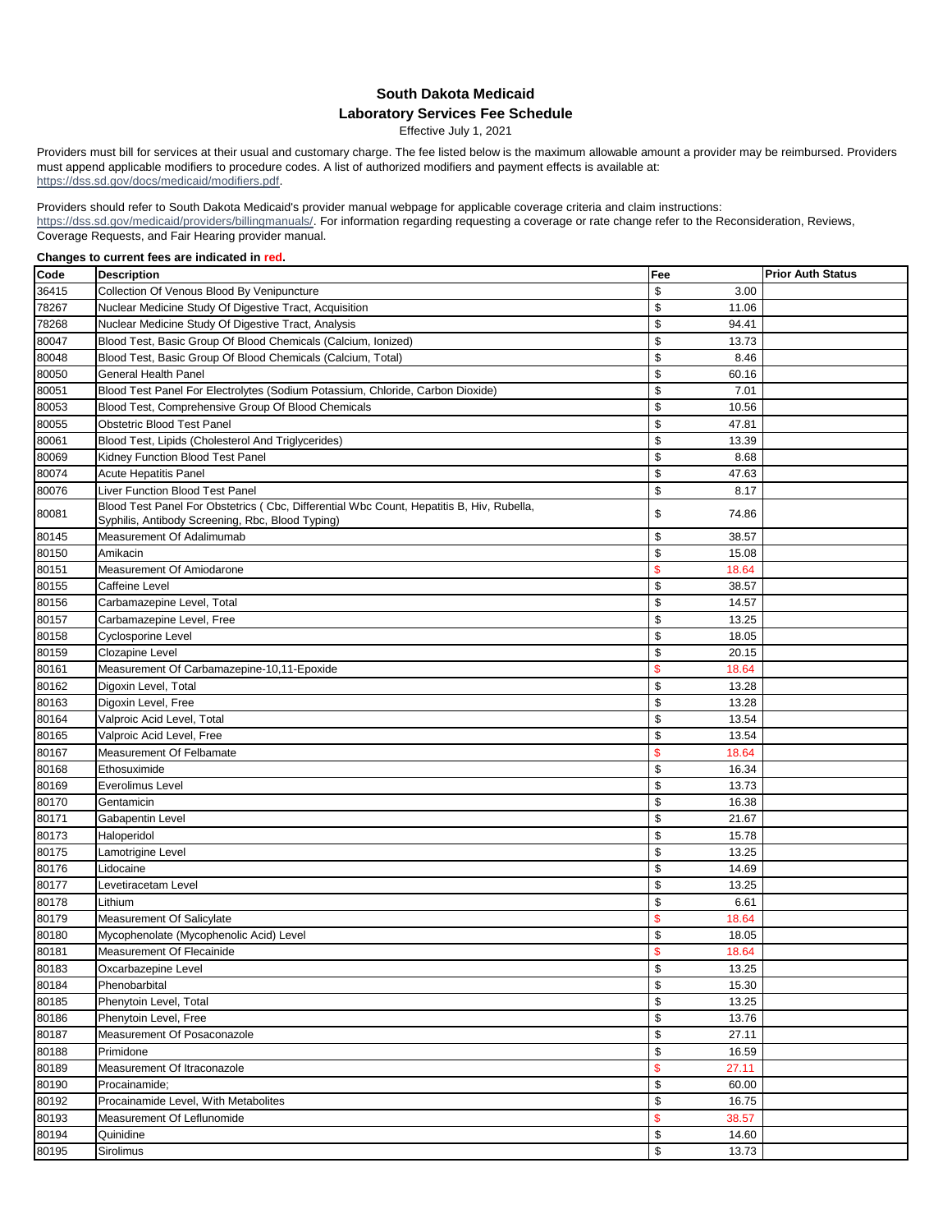## **South Dakota Medicaid Laboratory Services Fee Schedule**

Effective July 1, 2021

Providers must bill for services at their usual and customary charge. The fee listed below is the maximum allowable amount a provider may be reimbursed. Providers must append applicable modifiers to procedure codes. A list of authorized modifiers and payment effects is available at: https://dss.sd.gov/docs/medicaid/modifiers.pdf.

Providers should refer to South Dakota Medicaid's provider manual webpage for applicable coverage criteria and claim instructions: https://dss.sd.gov/medicaid/providers/billingmanuals/. For information regarding requesting a coverage or rate change refer to the Reconsideration, Reviews, Coverage Requests, and Fair Hearing provider manual.

## **Changes to current fees are indicated in red.**

| Code  | <b>Description</b>                                                                        | Fee                    | <b>Prior Auth Status</b> |
|-------|-------------------------------------------------------------------------------------------|------------------------|--------------------------|
| 36415 | Collection Of Venous Blood By Venipuncture                                                | \$<br>3.00             |                          |
| 78267 | Nuclear Medicine Study Of Digestive Tract, Acquisition                                    | \$<br>11.06            |                          |
| 78268 | Nuclear Medicine Study Of Digestive Tract, Analysis                                       | \$<br>94.41            |                          |
| 80047 | Blood Test, Basic Group Of Blood Chemicals (Calcium, Ionized)                             | \$<br>13.73            |                          |
| 80048 | Blood Test, Basic Group Of Blood Chemicals (Calcium, Total)                               | \$<br>8.46             |                          |
| 80050 | <b>General Health Panel</b>                                                               | \$<br>60.16            |                          |
| 80051 | Blood Test Panel For Electrolytes (Sodium Potassium, Chloride, Carbon Dioxide)            | \$<br>7.01             |                          |
| 80053 | Blood Test, Comprehensive Group Of Blood Chemicals                                        | \$<br>10.56            |                          |
| 80055 | Obstetric Blood Test Panel                                                                | \$<br>47.81            |                          |
| 80061 | Blood Test, Lipids (Cholesterol And Triglycerides)                                        | \$<br>13.39            |                          |
| 80069 | Kidney Function Blood Test Panel                                                          | \$<br>8.68             |                          |
| 80074 | <b>Acute Hepatitis Panel</b>                                                              | \$<br>47.63            |                          |
| 80076 | Liver Function Blood Test Panel                                                           | \$<br>8.17             |                          |
|       | Blood Test Panel For Obstetrics ( Cbc, Differential Wbc Count, Hepatitis B, Hiv, Rubella, |                        |                          |
| 80081 | Syphilis, Antibody Screening, Rbc, Blood Typing)                                          | \$<br>74.86            |                          |
| 80145 | Measurement Of Adalimumab                                                                 | \$<br>38.57            |                          |
| 80150 | Amikacin                                                                                  | \$<br>15.08            |                          |
| 80151 | Measurement Of Amiodarone                                                                 | \$<br>18.64            |                          |
| 80155 | Caffeine Level                                                                            | \$<br>38.57            |                          |
| 80156 | Carbamazepine Level, Total                                                                | \$<br>14.57            |                          |
| 80157 | Carbamazepine Level, Free                                                                 | \$<br>13.25            |                          |
| 80158 | Cyclosporine Level                                                                        | \$<br>18.05            |                          |
| 80159 | Clozapine Level                                                                           | \$<br>20.15            |                          |
| 80161 | Measurement Of Carbamazepine-10,11-Epoxide                                                | $\mathbf{\$}$<br>18.64 |                          |
| 80162 | Digoxin Level, Total                                                                      | \$<br>13.28            |                          |
| 80163 | Digoxin Level, Free                                                                       | \$<br>13.28            |                          |
| 80164 | Valproic Acid Level, Total                                                                | \$<br>13.54            |                          |
| 80165 | Valproic Acid Level, Free                                                                 | \$<br>13.54            |                          |
| 80167 | Measurement Of Felbamate                                                                  | $\mathbf{\$}$<br>18.64 |                          |
| 80168 | Ethosuximide                                                                              | \$<br>16.34            |                          |
| 80169 | Everolimus Level                                                                          | \$<br>13.73            |                          |
| 80170 | Gentamicin                                                                                | \$<br>16.38            |                          |
| 80171 | Gabapentin Level                                                                          | \$<br>21.67            |                          |
| 80173 | Haloperidol                                                                               | \$<br>15.78            |                          |
| 80175 | Lamotrigine Level                                                                         | \$<br>13.25            |                          |
| 80176 | Lidocaine                                                                                 | \$<br>14.69            |                          |
| 80177 | Levetiracetam Level                                                                       | \$<br>13.25            |                          |
| 80178 | Lithium                                                                                   | \$<br>6.61             |                          |
| 80179 | Measurement Of Salicylate                                                                 | \$<br>18.64            |                          |
| 80180 | Mycophenolate (Mycophenolic Acid) Level                                                   | \$<br>18.05            |                          |
| 80181 | Measurement Of Flecainide                                                                 | \$<br>18.64            |                          |
| 80183 | Oxcarbazepine Level                                                                       | \$<br>13.25            |                          |
| 80184 | Phenobarbital                                                                             | \$<br>15.30            |                          |
| 80185 | Phenytoin Level, Total                                                                    | \$<br>13.25            |                          |
| 80186 | Phenytoin Level, Free                                                                     | \$<br>13.76            |                          |
| 80187 | Measurement Of Posaconazole                                                               | \$<br>27.11            |                          |
| 80188 | Primidone                                                                                 | $\,$<br>16.59          |                          |
| 80189 | Measurement Of Itraconazole                                                               | \$<br>27.11            |                          |
| 80190 | Procainamide;                                                                             | \$<br>60.00            |                          |
| 80192 | Procainamide Level, With Metabolites                                                      | \$<br>16.75            |                          |
| 80193 | Measurement Of Leflunomide                                                                | $\mathbf{\$}$<br>38.57 |                          |
| 80194 | Quinidine                                                                                 | \$<br>14.60            |                          |
| 80195 | Sirolimus                                                                                 | \$<br>13.73            |                          |
|       |                                                                                           |                        |                          |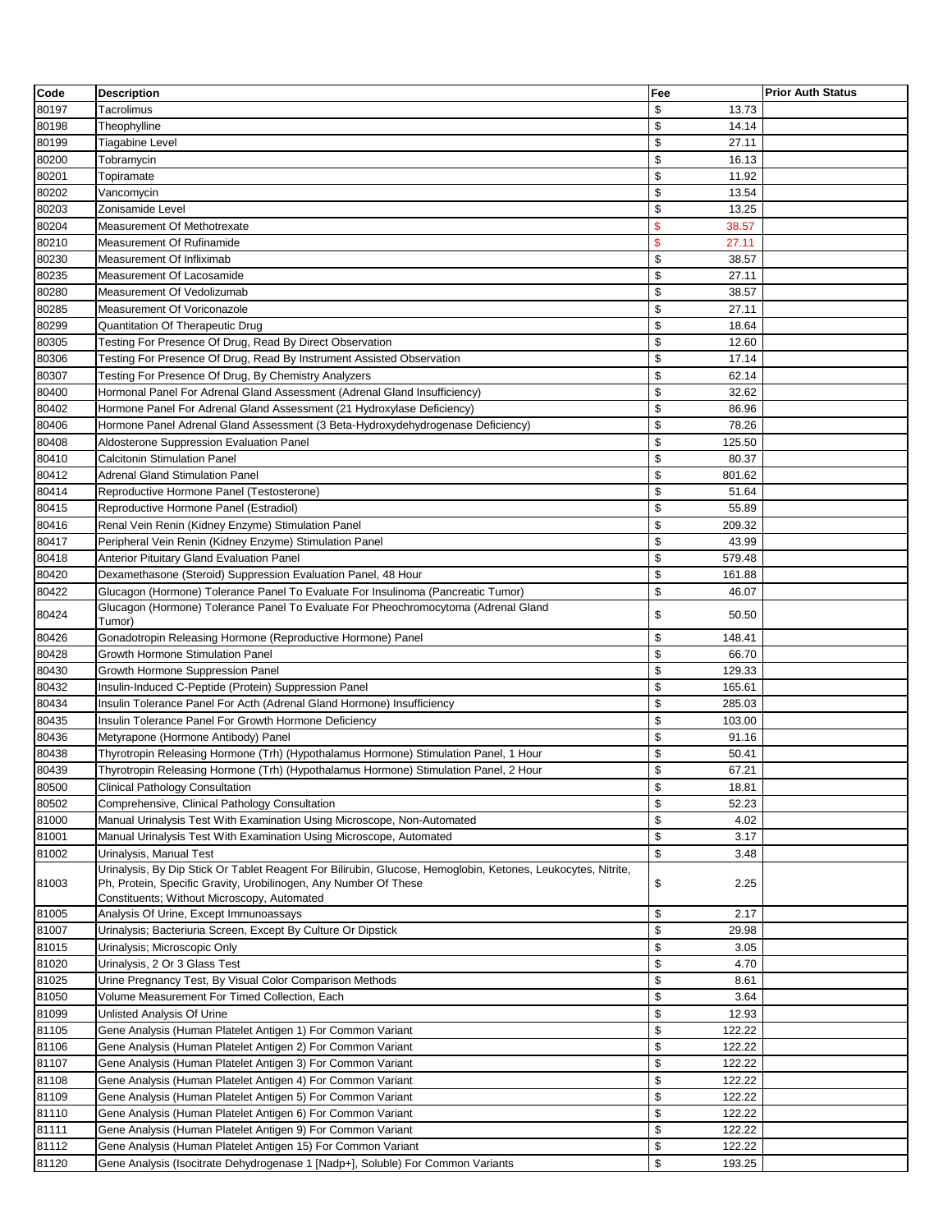| Code           | <b>Description</b>                                                                                                                                                                                                              | Fee                         | <b>Prior Auth Status</b> |
|----------------|---------------------------------------------------------------------------------------------------------------------------------------------------------------------------------------------------------------------------------|-----------------------------|--------------------------|
| 80197          | Tacrolimus                                                                                                                                                                                                                      | \$<br>13.73                 |                          |
| 80198          | Theophylline                                                                                                                                                                                                                    | \$<br>14.14                 |                          |
| 80199          | Tiagabine Level                                                                                                                                                                                                                 | \$<br>27.11                 |                          |
| 80200          | Tobramycin                                                                                                                                                                                                                      | \$<br>16.13                 |                          |
| 80201          | Topiramate                                                                                                                                                                                                                      | \$<br>11.92                 |                          |
| 80202          | Vancomycin                                                                                                                                                                                                                      | \$<br>13.54                 |                          |
| 80203          | Zonisamide Level                                                                                                                                                                                                                | \$<br>13.25                 |                          |
| 80204          | Measurement Of Methotrexate                                                                                                                                                                                                     | \$<br>38.57                 |                          |
| 80210          | <b>Measurement Of Rufinamide</b>                                                                                                                                                                                                | $\mathsf{\$}$<br>27.11      |                          |
| 80230          | Measurement Of Infliximab                                                                                                                                                                                                       | \$<br>38.57                 |                          |
| 80235          | Measurement Of Lacosamide                                                                                                                                                                                                       | \$<br>27.11                 |                          |
| 80280          | Measurement Of Vedolizumab                                                                                                                                                                                                      | \$<br>38.57                 |                          |
| 80285          | Measurement Of Voriconazole                                                                                                                                                                                                     | \$<br>27.11                 |                          |
| 80299          | Quantitation Of Therapeutic Drug                                                                                                                                                                                                | \$<br>18.64                 |                          |
| 80305          | Testing For Presence Of Drug, Read By Direct Observation                                                                                                                                                                        | \$<br>12.60                 |                          |
| 80306          | Testing For Presence Of Drug, Read By Instrument Assisted Observation                                                                                                                                                           | \$<br>17.14                 |                          |
| 80307          | Testing For Presence Of Drug, By Chemistry Analyzers                                                                                                                                                                            | \$<br>62.14                 |                          |
| 80400          | Hormonal Panel For Adrenal Gland Assessment (Adrenal Gland Insufficiency)                                                                                                                                                       | \$<br>32.62                 |                          |
| 80402          | Hormone Panel For Adrenal Gland Assessment (21 Hydroxylase Deficiency)                                                                                                                                                          | \$<br>86.96                 |                          |
| 80406          | Hormone Panel Adrenal Gland Assessment (3 Beta-Hydroxydehydrogenase Deficiency)                                                                                                                                                 | \$<br>78.26                 |                          |
| 80408          | Aldosterone Suppression Evaluation Panel                                                                                                                                                                                        | \$<br>125.50                |                          |
| 80410          | <b>Calcitonin Stimulation Panel</b>                                                                                                                                                                                             | \$<br>80.37                 |                          |
| 80412          | <b>Adrenal Gland Stimulation Panel</b>                                                                                                                                                                                          | \$<br>801.62                |                          |
| 80414          | Reproductive Hormone Panel (Testosterone)                                                                                                                                                                                       | \$<br>51.64                 |                          |
| 80415          | Reproductive Hormone Panel (Estradiol)                                                                                                                                                                                          | \$<br>55.89                 |                          |
| 80416          | Renal Vein Renin (Kidney Enzyme) Stimulation Panel                                                                                                                                                                              | \$<br>209.32<br>\$<br>43.99 |                          |
| 80417<br>80418 | Peripheral Vein Renin (Kidney Enzyme) Stimulation Panel<br><b>Anterior Pituitary Gland Evaluation Panel</b>                                                                                                                     | \$<br>579.48                |                          |
| 80420          | Dexamethasone (Steroid) Suppression Evaluation Panel, 48 Hour                                                                                                                                                                   | \$<br>161.88                |                          |
| 80422          | Glucagon (Hormone) Tolerance Panel To Evaluate For Insulinoma (Pancreatic Tumor)                                                                                                                                                | \$<br>46.07                 |                          |
|                | Glucagon (Hormone) Tolerance Panel To Evaluate For Pheochromocytoma (Adrenal Gland                                                                                                                                              |                             |                          |
| 80424          | Tumor)                                                                                                                                                                                                                          | \$<br>50.50                 |                          |
| 80426          | Gonadotropin Releasing Hormone (Reproductive Hormone) Panel                                                                                                                                                                     | \$<br>148.41                |                          |
| 80428          | Growth Hormone Stimulation Panel                                                                                                                                                                                                | \$<br>66.70                 |                          |
| 80430          | Growth Hormone Suppression Panel                                                                                                                                                                                                | \$<br>129.33                |                          |
| 80432          | Insulin-Induced C-Peptide (Protein) Suppression Panel                                                                                                                                                                           | \$<br>165.61                |                          |
| 80434          | Insulin Tolerance Panel For Acth (Adrenal Gland Hormone) Insufficiency                                                                                                                                                          | \$<br>285.03                |                          |
| 80435          | Insulin Tolerance Panel For Growth Hormone Deficiency                                                                                                                                                                           | \$<br>103.00<br>\$<br>91.16 |                          |
| 80436<br>80438 | Metyrapone (Hormone Antibody) Panel<br>Thyrotropin Releasing Hormone (Trh) (Hypothalamus Hormone) Stimulation Panel, 1 Hour                                                                                                     | \$<br>50.41                 |                          |
| 80439          | Thyrotropin Releasing Hormone (Trh) (Hypothalamus Hormone) Stimulation Panel, 2 Hour                                                                                                                                            | \$<br>67.21                 |                          |
| 80500          | <b>Clinical Pathology Consultation</b>                                                                                                                                                                                          | \$<br>18.81                 |                          |
| 80502          | Comprehensive, Clinical Pathology Consultation                                                                                                                                                                                  | \$<br>52.23                 |                          |
| 81000          | Manual Urinalysis Test With Examination Using Microscope, Non-Automated                                                                                                                                                         | \$<br>4.02                  |                          |
| 81001          | Manual Urinalysis Test With Examination Using Microscope, Automated                                                                                                                                                             | \$<br>3.17                  |                          |
| 81002          | Urinalysis, Manual Test                                                                                                                                                                                                         | \$<br>3.48                  |                          |
| 81003          | Urinalysis, By Dip Stick Or Tablet Reagent For Bilirubin, Glucose, Hemoglobin, Ketones, Leukocytes, Nitrite,<br>Ph, Protein, Specific Gravity, Urobilinogen, Any Number Of These<br>Constituents; Without Microscopy, Automated | \$<br>2.25                  |                          |
| 81005          | Analysis Of Urine, Except Immunoassays                                                                                                                                                                                          | \$<br>2.17                  |                          |
| 81007          | Urinalysis; Bacteriuria Screen, Except By Culture Or Dipstick                                                                                                                                                                   | \$<br>29.98                 |                          |
| 81015          | Urinalysis; Microscopic Only                                                                                                                                                                                                    | \$<br>3.05                  |                          |
| 81020          | Urinalysis, 2 Or 3 Glass Test                                                                                                                                                                                                   | \$<br>4.70                  |                          |
| 81025          | Urine Pregnancy Test, By Visual Color Comparison Methods                                                                                                                                                                        | \$<br>8.61                  |                          |
| 81050          | Volume Measurement For Timed Collection, Each                                                                                                                                                                                   | \$<br>3.64                  |                          |
| 81099          | Unlisted Analysis Of Urine                                                                                                                                                                                                      | \$<br>12.93                 |                          |
| 81105          | Gene Analysis (Human Platelet Antigen 1) For Common Variant                                                                                                                                                                     | \$<br>122.22                |                          |
| 81106          | Gene Analysis (Human Platelet Antigen 2) For Common Variant                                                                                                                                                                     | \$<br>122.22                |                          |
| 81107          | Gene Analysis (Human Platelet Antigen 3) For Common Variant                                                                                                                                                                     | \$<br>122.22                |                          |
| 81108          | Gene Analysis (Human Platelet Antigen 4) For Common Variant                                                                                                                                                                     | \$<br>122.22                |                          |
| 81109          | Gene Analysis (Human Platelet Antigen 5) For Common Variant                                                                                                                                                                     | \$<br>122.22                |                          |
| 81110          | Gene Analysis (Human Platelet Antigen 6) For Common Variant                                                                                                                                                                     | \$<br>122.22                |                          |
| 81111          | Gene Analysis (Human Platelet Antigen 9) For Common Variant                                                                                                                                                                     | \$<br>122.22                |                          |
| 81112          | Gene Analysis (Human Platelet Antigen 15) For Common Variant                                                                                                                                                                    | \$<br>122.22                |                          |
| 81120          | Gene Analysis (Isocitrate Dehydrogenase 1 [Nadp+], Soluble) For Common Variants                                                                                                                                                 | \$<br>193.25                |                          |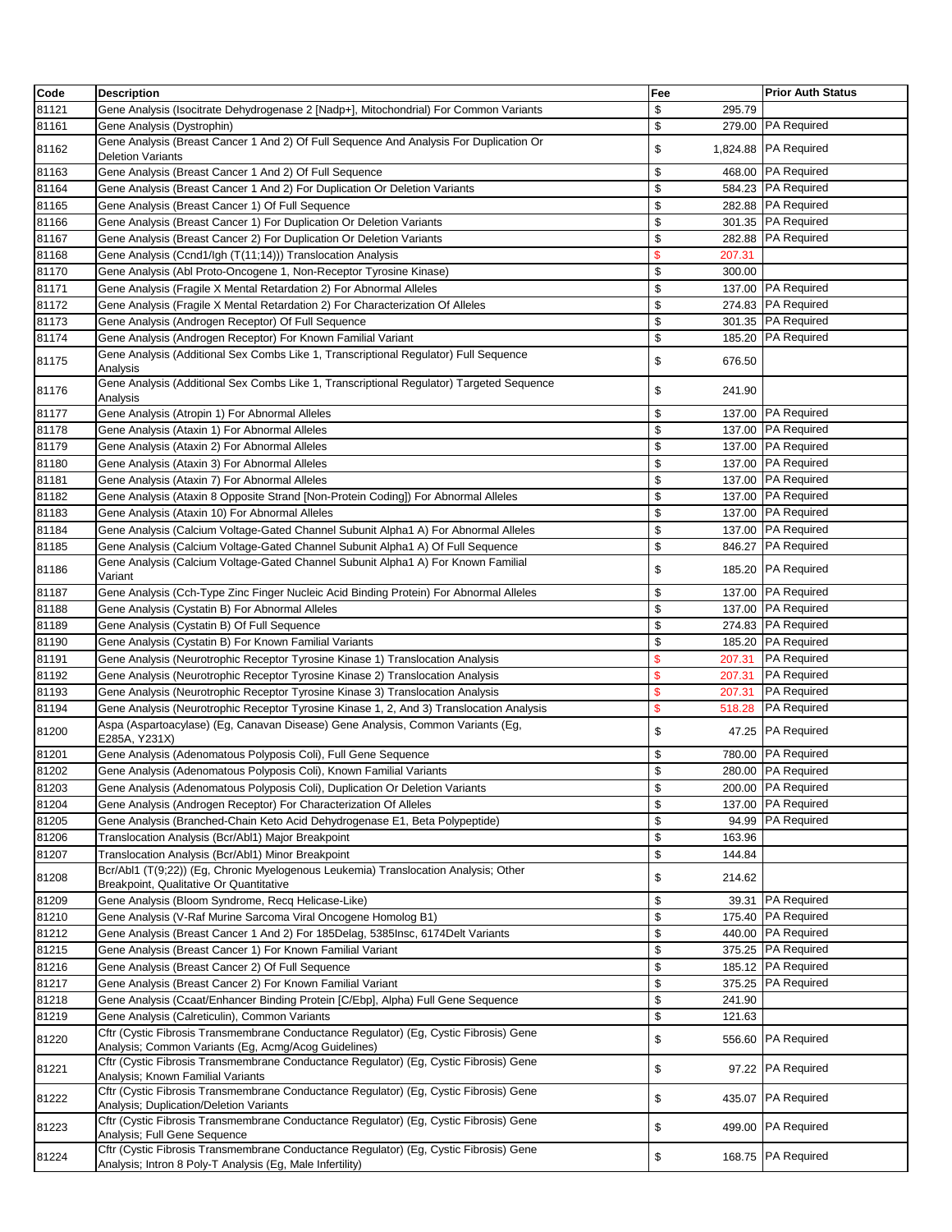| Code  | <b>Description</b>                                                                                                                                 | Fee          | <b>Prior Auth Status</b> |
|-------|----------------------------------------------------------------------------------------------------------------------------------------------------|--------------|--------------------------|
| 81121 | Gene Analysis (Isocitrate Dehydrogenase 2 [Nadp+], Mitochondrial) For Common Variants                                                              | \$<br>295.79 |                          |
| 81161 | Gene Analysis (Dystrophin)                                                                                                                         | \$           | 279.00 PA Required       |
| 81162 | Gene Analysis (Breast Cancer 1 And 2) Of Full Sequence And Analysis For Duplication Or<br><b>Deletion Variants</b>                                 | \$           | 1,824.88 PA Required     |
| 81163 | Gene Analysis (Breast Cancer 1 And 2) Of Full Sequence                                                                                             | \$<br>468.00 | <b>PA Required</b>       |
| 81164 | Gene Analysis (Breast Cancer 1 And 2) For Duplication Or Deletion Variants                                                                         | \$           | 584.23 PA Required       |
| 81165 | Gene Analysis (Breast Cancer 1) Of Full Sequence                                                                                                   | \$           | 282.88 PA Required       |
| 81166 | Gene Analysis (Breast Cancer 1) For Duplication Or Deletion Variants                                                                               | \$           | 301.35 PA Required       |
| 81167 | Gene Analysis (Breast Cancer 2) For Duplication Or Deletion Variants                                                                               | \$           | 282.88 PA Required       |
| 81168 | Gene Analysis (Ccnd1/lgh (T(11;14))) Translocation Analysis                                                                                        | \$<br>207.31 |                          |
| 81170 | Gene Analysis (Abl Proto-Oncogene 1, Non-Receptor Tyrosine Kinase)                                                                                 | \$<br>300.00 |                          |
| 81171 | Gene Analysis (Fragile X Mental Retardation 2) For Abnormal Alleles                                                                                | \$           | 137.00 PA Required       |
| 81172 | Gene Analysis (Fragile X Mental Retardation 2) For Characterization Of Alleles                                                                     | \$           | 274.83 PA Required       |
| 81173 | Gene Analysis (Androgen Receptor) Of Full Sequence                                                                                                 | \$           | 301.35 PA Required       |
| 81174 | Gene Analysis (Androgen Receptor) For Known Familial Variant                                                                                       | \$<br>185.20 | <b>PA Required</b>       |
|       | Gene Analysis (Additional Sex Combs Like 1, Transcriptional Regulator) Full Sequence                                                               |              |                          |
| 81175 | Analysis                                                                                                                                           | \$<br>676.50 |                          |
| 81176 | Gene Analysis (Additional Sex Combs Like 1, Transcriptional Regulator) Targeted Sequence<br>Analysis                                               | \$<br>241.90 |                          |
| 81177 | Gene Analysis (Atropin 1) For Abnormal Alleles                                                                                                     | \$           | 137.00 PA Required       |
| 81178 | Gene Analysis (Ataxin 1) For Abnormal Alleles                                                                                                      | \$           | 137.00 PA Required       |
| 81179 | Gene Analysis (Ataxin 2) For Abnormal Alleles                                                                                                      | \$           | 137.00 PA Required       |
| 81180 | Gene Analysis (Ataxin 3) For Abnormal Alleles                                                                                                      | \$           | 137.00 PA Required       |
| 81181 | Gene Analysis (Ataxin 7) For Abnormal Alleles                                                                                                      | \$           | 137.00 PA Required       |
| 81182 | Gene Analysis (Ataxin 8 Opposite Strand [Non-Protein Coding]) For Abnormal Alleles                                                                 | \$           | 137.00 PA Required       |
| 81183 | Gene Analysis (Ataxin 10) For Abnormal Alleles                                                                                                     | \$           | 137.00 PA Required       |
| 81184 | Gene Analysis (Calcium Voltage-Gated Channel Subunit Alpha1 A) For Abnormal Alleles                                                                | \$           | 137.00 PA Required       |
| 81185 | Gene Analysis (Calcium Voltage-Gated Channel Subunit Alpha1 A) Of Full Sequence                                                                    | \$           | 846.27 PA Required       |
| 81186 | Gene Analysis (Calcium Voltage-Gated Channel Subunit Alpha1 A) For Known Familial<br>Variant                                                       | \$           | 185.20 PA Required       |
| 81187 | Gene Analysis (Cch-Type Zinc Finger Nucleic Acid Binding Protein) For Abnormal Alleles                                                             | \$<br>137.00 | <b>PA Required</b>       |
| 81188 | Gene Analysis (Cystatin B) For Abnormal Alleles                                                                                                    | \$           | 137.00 PA Required       |
| 81189 | Gene Analysis (Cystatin B) Of Full Sequence                                                                                                        | \$           | 274.83 PA Required       |
| 81190 | Gene Analysis (Cystatin B) For Known Familial Variants                                                                                             | \$           | 185.20 PA Required       |
| 81191 | Gene Analysis (Neurotrophic Receptor Tyrosine Kinase 1) Translocation Analysis                                                                     | \$<br>207.31 | <b>PA Required</b>       |
| 81192 | Gene Analysis (Neurotrophic Receptor Tyrosine Kinase 2) Translocation Analysis                                                                     | \$<br>207.31 | <b>PA Required</b>       |
| 81193 | Gene Analysis (Neurotrophic Receptor Tyrosine Kinase 3) Translocation Analysis                                                                     | \$<br>207.31 | <b>PA Required</b>       |
| 81194 | Gene Analysis (Neurotrophic Receptor Tyrosine Kinase 1, 2, And 3) Translocation Analysis                                                           | \$<br>518.28 | <b>PA Required</b>       |
| 81200 | Aspa (Aspartoacylase) (Eg, Canavan Disease) Gene Analysis, Common Variants (Eg,<br>E285A, Y231X)                                                   | \$           | 47.25 PA Required        |
| 81201 | Gene Analysis (Adenomatous Polyposis Coli), Full Gene Sequence                                                                                     | \$           | 780.00 PA Required       |
| 81202 | Gene Analysis (Adenomatous Polyposis Coli), Known Familial Variants                                                                                | \$           | 280.00 PA Required       |
| 81203 | Gene Analysis (Adenomatous Polyposis Coli), Duplication Or Deletion Variants                                                                       | \$           | 200.00 PA Required       |
| 81204 | Gene Analysis (Androgen Receptor) For Characterization Of Alleles                                                                                  | \$           | 137.00 PA Required       |
| 81205 | Gene Analysis (Branched-Chain Keto Acid Dehydrogenase E1, Beta Polypeptide)                                                                        | \$           | 94.99 PA Required        |
| 81206 | Translocation Analysis (Bcr/Abl1) Major Breakpoint                                                                                                 | \$<br>163.96 |                          |
| 81207 | Translocation Analysis (Bcr/Abl1) Minor Breakpoint                                                                                                 | \$<br>144.84 |                          |
| 81208 | Bcr/Abl1 (T(9;22)) (Eg, Chronic Myelogenous Leukemia) Translocation Analysis; Other                                                                | \$<br>214.62 |                          |
|       | Breakpoint, Qualitative Or Quantitative                                                                                                            |              |                          |
| 81209 | Gene Analysis (Bloom Syndrome, Recq Helicase-Like)                                                                                                 | \$<br>39.31  | <b>PA Required</b>       |
| 81210 | Gene Analysis (V-Raf Murine Sarcoma Viral Oncogene Homolog B1)                                                                                     | \$           | 175.40 PA Required       |
| 81212 | Gene Analysis (Breast Cancer 1 And 2) For 185Delag, 5385Insc, 6174Delt Variants                                                                    | \$           | 440.00 PA Required       |
| 81215 | Gene Analysis (Breast Cancer 1) For Known Familial Variant                                                                                         | \$           | 375.25 PA Required       |
| 81216 | Gene Analysis (Breast Cancer 2) Of Full Sequence                                                                                                   | \$           | 185.12 PA Required       |
| 81217 | Gene Analysis (Breast Cancer 2) For Known Familial Variant                                                                                         | \$           | 375.25 PA Required       |
| 81218 | Gene Analysis (Ccaat/Enhancer Binding Protein [C/Ebp], Alpha) Full Gene Sequence                                                                   | \$<br>241.90 |                          |
| 81219 | Gene Analysis (Calreticulin), Common Variants<br>Cftr (Cystic Fibrosis Transmembrane Conductance Regulator) (Eg, Cystic Fibrosis) Gene             | \$<br>121.63 | <b>PA Required</b>       |
| 81220 | Analysis; Common Variants (Eg, Acmg/Acog Guidelines)<br>Cftr (Cystic Fibrosis Transmembrane Conductance Regulator) (Eg, Cystic Fibrosis) Gene      | \$<br>556.60 |                          |
| 81221 | Analysis; Known Familial Variants<br>Cftr (Cystic Fibrosis Transmembrane Conductance Regulator) (Eg, Cystic Fibrosis) Gene                         | \$<br>97.22  | <b>PA Required</b>       |
| 81222 | Analysis; Duplication/Deletion Variants                                                                                                            | \$           | 435.07 PA Required       |
| 81223 | Cftr (Cystic Fibrosis Transmembrane Conductance Regulator) (Eg, Cystic Fibrosis) Gene<br>Analysis; Full Gene Sequence                              | \$           | 499.00 PA Required       |
| 81224 | Cftr (Cystic Fibrosis Transmembrane Conductance Regulator) (Eg, Cystic Fibrosis) Gene<br>Analysis; Intron 8 Poly-T Analysis (Eg, Male Infertility) | \$           | 168.75 PA Required       |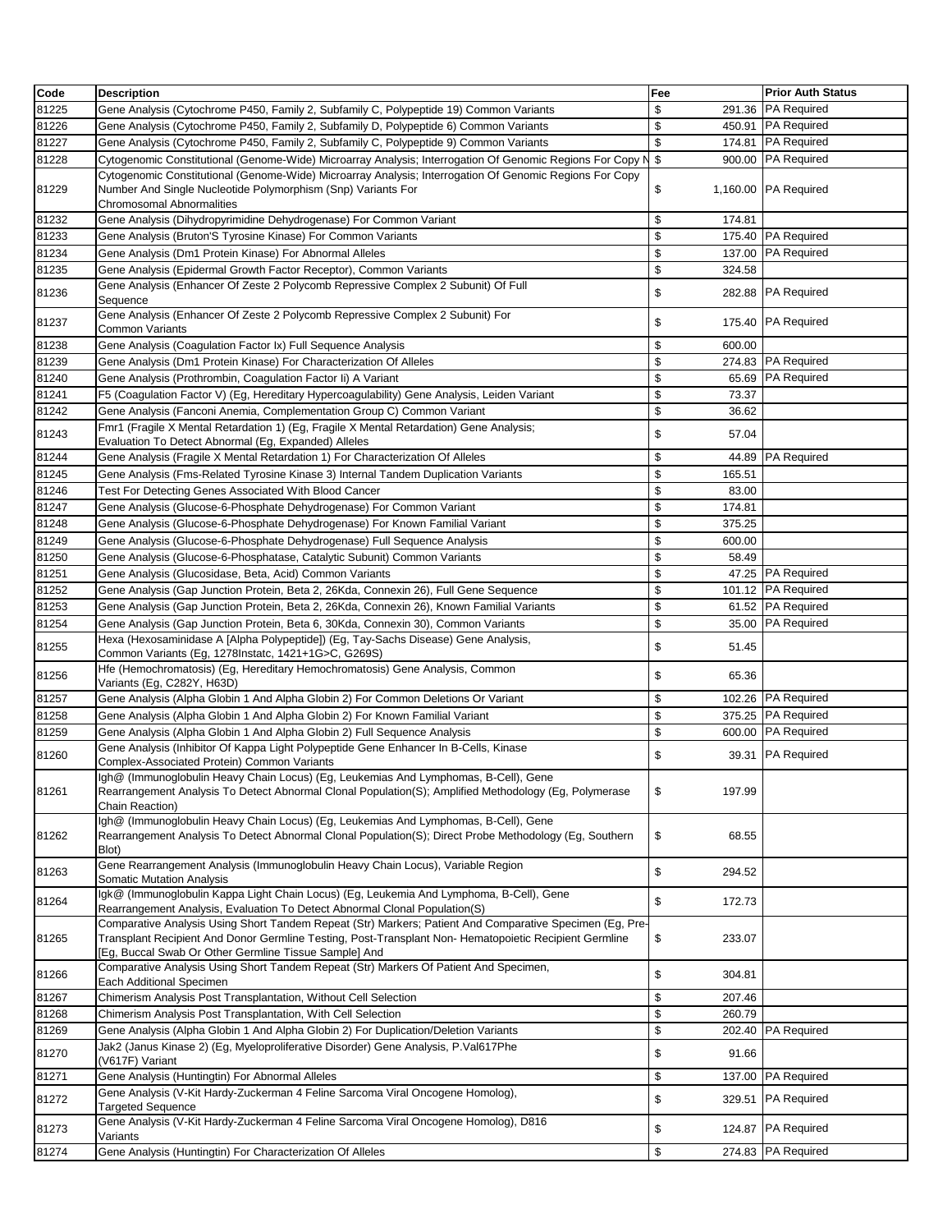| Code  | <b>Description</b>                                                                                                                                                                                                                                                         | Fee                 | <b>Prior Auth Status</b> |
|-------|----------------------------------------------------------------------------------------------------------------------------------------------------------------------------------------------------------------------------------------------------------------------------|---------------------|--------------------------|
| 81225 | Gene Analysis (Cytochrome P450, Family 2, Subfamily C, Polypeptide 19) Common Variants                                                                                                                                                                                     | \$                  | 291.36 PA Required       |
| 81226 | Gene Analysis (Cytochrome P450, Family 2, Subfamily D, Polypeptide 6) Common Variants                                                                                                                                                                                      | \$                  | 450.91 PA Required       |
| 81227 | Gene Analysis (Cytochrome P450, Family 2, Subfamily C, Polypeptide 9) Common Variants                                                                                                                                                                                      | \$                  | 174.81 PA Required       |
| 81228 | Cytogenomic Constitutional (Genome-Wide) Microarray Analysis; Interrogation Of Genomic Regions For Copy N                                                                                                                                                                  | \$                  | 900.00 PA Required       |
| 81229 | Cytogenomic Constitutional (Genome-Wide) Microarray Analysis; Interrogation Of Genomic Regions For Copy<br>Number And Single Nucleotide Polymorphism (Snp) Variants For<br><b>Chromosomal Abnormalities</b>                                                                | \$                  | 1,160.00 PA Required     |
| 81232 | Gene Analysis (Dihydropyrimidine Dehydrogenase) For Common Variant                                                                                                                                                                                                         | \$<br>174.81        |                          |
| 81233 | Gene Analysis (Bruton'S Tyrosine Kinase) For Common Variants                                                                                                                                                                                                               | \$                  | 175.40 PA Required       |
| 81234 | Gene Analysis (Dm1 Protein Kinase) For Abnormal Alleles                                                                                                                                                                                                                    | \$                  | 137.00 PA Required       |
| 81235 | Gene Analysis (Epidermal Growth Factor Receptor), Common Variants                                                                                                                                                                                                          | \$<br>324.58        |                          |
| 81236 | Gene Analysis (Enhancer Of Zeste 2 Polycomb Repressive Complex 2 Subunit) Of Full<br>Sequence                                                                                                                                                                              | \$                  | 282.88 PA Required       |
| 81237 | Gene Analysis (Enhancer Of Zeste 2 Polycomb Repressive Complex 2 Subunit) For<br><b>Common Variants</b>                                                                                                                                                                    | \$                  | 175.40 PA Required       |
| 81238 | Gene Analysis (Coagulation Factor Ix) Full Sequence Analysis                                                                                                                                                                                                               | \$<br>600.00        |                          |
| 81239 | Gene Analysis (Dm1 Protein Kinase) For Characterization Of Alleles                                                                                                                                                                                                         | \$                  | 274.83 PA Required       |
| 81240 | Gene Analysis (Prothrombin, Coagulation Factor li) A Variant                                                                                                                                                                                                               | \$                  | 65.69 PA Required        |
| 81241 | F5 (Coaqulation Factor V) (Eq. Hereditary Hypercoaqulability) Gene Analysis, Leiden Variant                                                                                                                                                                                | \$<br>73.37         |                          |
| 81242 | Gene Analysis (Fanconi Anemia, Complementation Group C) Common Variant                                                                                                                                                                                                     | \$<br>36.62         |                          |
| 81243 | Fmr1 (Fragile X Mental Retardation 1) (Eg, Fragile X Mental Retardation) Gene Analysis;<br>Evaluation To Detect Abnormal (Eg, Expanded) Alleles                                                                                                                            | \$<br>57.04         |                          |
| 81244 | Gene Analysis (Fragile X Mental Retardation 1) For Characterization Of Alleles                                                                                                                                                                                             | \$                  | 44.89 PA Required        |
| 81245 | Gene Analysis (Fms-Related Tyrosine Kinase 3) Internal Tandem Duplication Variants                                                                                                                                                                                         | \$<br>165.51        |                          |
| 81246 | Test For Detecting Genes Associated With Blood Cancer                                                                                                                                                                                                                      | \$<br>83.00         |                          |
| 81247 | Gene Analysis (Glucose-6-Phosphate Dehydrogenase) For Common Variant                                                                                                                                                                                                       | \$<br>174.81        |                          |
| 81248 | Gene Analysis (Glucose-6-Phosphate Dehydrogenase) For Known Familial Variant                                                                                                                                                                                               | \$<br>375.25        |                          |
| 81249 | Gene Analysis (Glucose-6-Phosphate Dehydrogenase) Full Sequence Analysis                                                                                                                                                                                                   | \$<br>600.00        |                          |
| 81250 | Gene Analysis (Glucose-6-Phosphatase, Catalytic Subunit) Common Variants                                                                                                                                                                                                   | \$<br>58.49         |                          |
| 81251 | Gene Analysis (Glucosidase, Beta, Acid) Common Variants                                                                                                                                                                                                                    | \$                  | 47.25 PA Required        |
| 81252 | Gene Analysis (Gap Junction Protein, Beta 2, 26Kda, Connexin 26), Full Gene Sequence                                                                                                                                                                                       | \$                  | 101.12 PA Required       |
| 81253 | Gene Analysis (Gap Junction Protein, Beta 2, 26Kda, Connexin 26), Known Familial Variants                                                                                                                                                                                  | \$                  | 61.52 PA Required        |
| 81254 | Gene Analysis (Gap Junction Protein, Beta 6, 30Kda, Connexin 30), Common Variants                                                                                                                                                                                          | \$                  | 35.00 PA Required        |
| 81255 | Hexa (Hexosaminidase A [Alpha Polypeptide]) (Eg, Tay-Sachs Disease) Gene Analysis,<br>Common Variants (Eg, 1278Instatc, 1421+1G>C, G269S)                                                                                                                                  | \$<br>51.45         |                          |
| 81256 | Hfe (Hemochromatosis) (Eg, Hereditary Hemochromatosis) Gene Analysis, Common<br>Variants (Eg, C282Y, H63D)                                                                                                                                                                 | \$<br>65.36         |                          |
| 81257 | Gene Analysis (Alpha Globin 1 And Alpha Globin 2) For Common Deletions Or Variant                                                                                                                                                                                          | \$                  | 102.26 PA Required       |
| 81258 | Gene Analysis (Alpha Globin 1 And Alpha Globin 2) For Known Familial Variant                                                                                                                                                                                               | \$                  | 375.25 PA Required       |
| 81259 | Gene Analysis (Alpha Globin 1 And Alpha Globin 2) Full Sequence Analysis                                                                                                                                                                                                   | \$                  | 600.00 PA Required       |
| 81260 | Gene Analysis (Inhibitor Of Kappa Light Polypeptide Gene Enhancer In B-Cells, Kinase<br>Complex-Associated Protein) Common Variants                                                                                                                                        | \$                  | 39.31 PA Required        |
| 81261 | Igh@ (Immunoglobulin Heavy Chain Locus) (Eg, Leukemias And Lymphomas, B-Cell), Gene<br>Rearrangement Analysis To Detect Abnormal Clonal Population(S); Amplified Methodology (Eq. Polymerase<br>Chain Reaction)                                                            | <b>\$</b><br>197.99 |                          |
| 81262 | Igh@ (Immunoglobulin Heavy Chain Locus) (Eg, Leukemias And Lymphomas, B-Cell), Gene<br>Rearrangement Analysis To Detect Abnormal Clonal Population(S); Direct Probe Methodology (Eq. Southern<br>Blot)                                                                     | \$<br>68.55         |                          |
| 81263 | Gene Rearrangement Analysis (Immunoglobulin Heavy Chain Locus), Variable Region<br>Somatic Mutation Analysis                                                                                                                                                               | \$<br>294.52        |                          |
| 81264 | Igk@ (Immunoglobulin Kappa Light Chain Locus) (Eg, Leukemia And Lymphoma, B-Cell), Gene<br>Rearrangement Analysis, Evaluation To Detect Abnormal Clonal Population(S)                                                                                                      | \$<br>172.73        |                          |
| 81265 | Comparative Analysis Using Short Tandem Repeat (Str) Markers; Patient And Comparative Specimen (Eg, Pre-<br>Transplant Recipient And Donor Germline Testing, Post-Transplant Non-Hematopoietic Recipient Germline<br>[Eg, Buccal Swab Or Other Germline Tissue Sample] And | \$<br>233.07        |                          |
| 81266 | Comparative Analysis Using Short Tandem Repeat (Str) Markers Of Patient And Specimen,<br>Each Additional Specimen                                                                                                                                                          | \$<br>304.81        |                          |
| 81267 | Chimerism Analysis Post Transplantation, Without Cell Selection                                                                                                                                                                                                            | \$<br>207.46        |                          |
| 81268 | Chimerism Analysis Post Transplantation, With Cell Selection                                                                                                                                                                                                               | \$<br>260.79        |                          |
| 81269 | Gene Analysis (Alpha Globin 1 And Alpha Globin 2) For Duplication/Deletion Variants                                                                                                                                                                                        | \$                  | 202.40 PA Required       |
| 81270 | Jak2 (Janus Kinase 2) (Eg, Myeloproliferative Disorder) Gene Analysis, P.Val617Phe<br>(V617F) Variant                                                                                                                                                                      | \$<br>91.66         |                          |
| 81271 | Gene Analysis (Huntingtin) For Abnormal Alleles                                                                                                                                                                                                                            | \$                  | 137.00 PA Required       |
| 81272 | Gene Analysis (V-Kit Hardy-Zuckerman 4 Feline Sarcoma Viral Oncogene Homolog),<br><b>Targeted Sequence</b>                                                                                                                                                                 | \$                  | 329.51 PA Required       |
| 81273 | Gene Analysis (V-Kit Hardy-Zuckerman 4 Feline Sarcoma Viral Oncogene Homolog), D816<br>Variants                                                                                                                                                                            | \$                  | 124.87 PA Required       |
| 81274 | Gene Analysis (Huntingtin) For Characterization Of Alleles                                                                                                                                                                                                                 | \$                  | 274.83 PA Required       |
|       |                                                                                                                                                                                                                                                                            |                     |                          |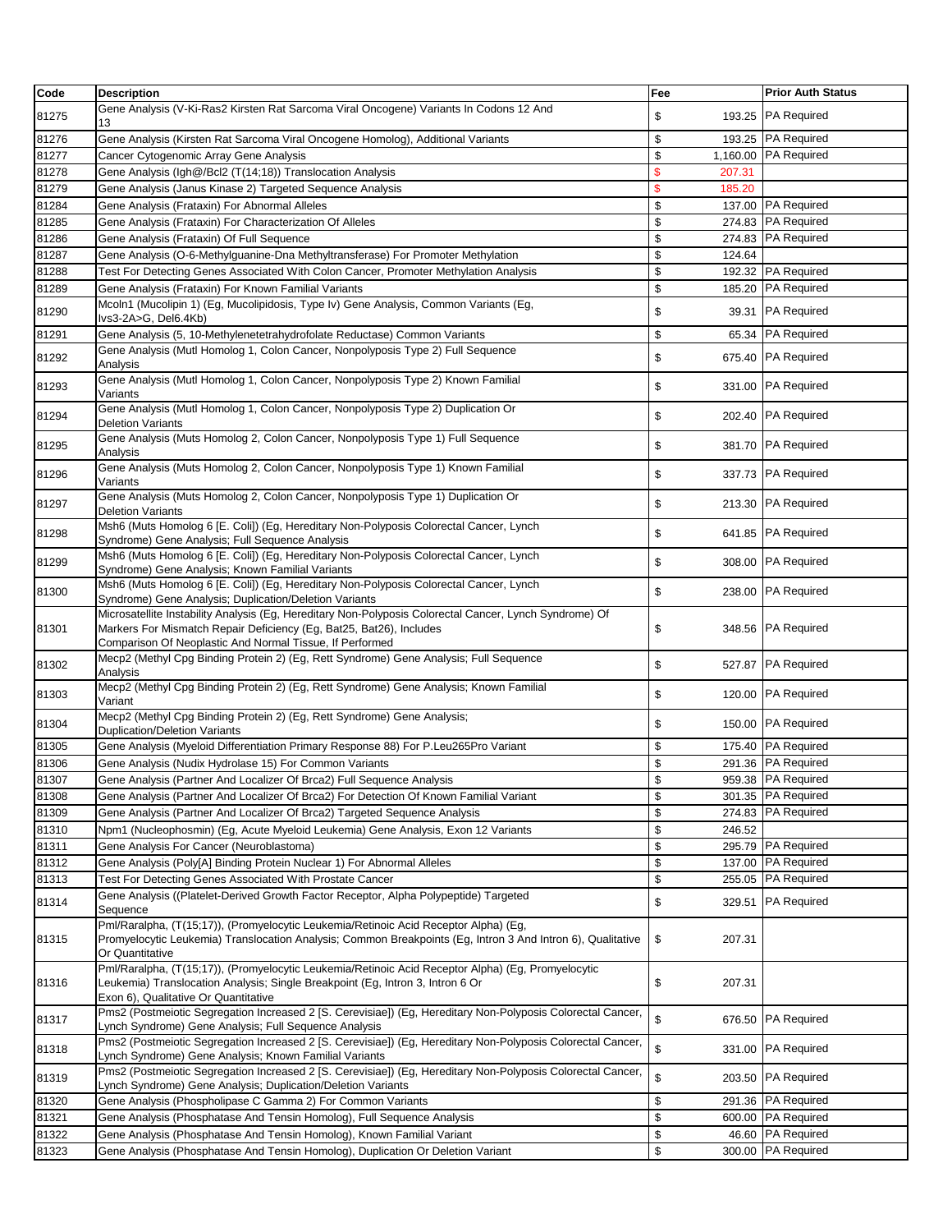| Code  | <b>Description</b>                                                                                                                                                                                                           | Fee                     | <b>Prior Auth Status</b> |
|-------|------------------------------------------------------------------------------------------------------------------------------------------------------------------------------------------------------------------------------|-------------------------|--------------------------|
| 81275 | Gene Analysis (V-Ki-Ras2 Kirsten Rat Sarcoma Viral Oncogene) Variants In Codons 12 And<br>13                                                                                                                                 | \$<br>193.25            | PA Required              |
| 81276 | Gene Analysis (Kirsten Rat Sarcoma Viral Oncogene Homolog), Additional Variants                                                                                                                                              | \$                      | 193.25 PA Required       |
| 81277 | Cancer Cytogenomic Array Gene Analysis                                                                                                                                                                                       | \$                      | 1,160.00 PA Required     |
| 81278 | Gene Analysis (Igh@/Bcl2 (T(14;18)) Translocation Analysis                                                                                                                                                                   | $\mathsf{\$}$<br>207.31 |                          |
| 81279 | Gene Analysis (Janus Kinase 2) Targeted Sequence Analysis                                                                                                                                                                    | \$<br>185.20            |                          |
| 81284 | Gene Analysis (Frataxin) For Abnormal Alleles                                                                                                                                                                                | \$                      | 137.00 PA Required       |
| 81285 | Gene Analysis (Frataxin) For Characterization Of Alleles                                                                                                                                                                     | \$                      | 274.83 PA Required       |
| 81286 | Gene Analysis (Frataxin) Of Full Sequence                                                                                                                                                                                    | \$                      | 274.83 PA Required       |
| 81287 | Gene Analysis (O-6-Methylguanine-Dna Methyltransferase) For Promoter Methylation                                                                                                                                             | \$<br>124.64            |                          |
| 81288 | Test For Detecting Genes Associated With Colon Cancer, Promoter Methylation Analysis                                                                                                                                         | \$                      | 192.32 PA Required       |
| 81289 | Gene Analysis (Frataxin) For Known Familial Variants                                                                                                                                                                         | \$                      | 185.20 PA Required       |
| 81290 | Mcoln1 (Mucolipin 1) (Eq. Mucolipidosis, Type Iv) Gene Analysis, Common Variants (Eq.<br>lvs3-2A>G, Del6.4Kb)                                                                                                                | \$                      | 39.31 PA Required        |
| 81291 | Gene Analysis (5, 10-Methylenetetrahydrofolate Reductase) Common Variants                                                                                                                                                    | \$                      | 65.34 PA Required        |
|       | Gene Analysis (Mutl Homolog 1, Colon Cancer, Nonpolyposis Type 2) Full Sequence                                                                                                                                              |                         |                          |
| 81292 | Analysis                                                                                                                                                                                                                     | \$                      | 675.40 PA Required       |
| 81293 | Gene Analysis (Mutl Homolog 1, Colon Cancer, Nonpolyposis Type 2) Known Familial<br>Variants                                                                                                                                 | \$                      | 331.00 PA Required       |
| 81294 | Gene Analysis (Mutl Homolog 1, Colon Cancer, Nonpolyposis Type 2) Duplication Or<br><b>Deletion Variants</b>                                                                                                                 | \$                      | 202.40 PA Required       |
| 81295 | Gene Analysis (Muts Homolog 2, Colon Cancer, Nonpolyposis Type 1) Full Sequence<br>Analysis                                                                                                                                  | \$                      | 381.70 PA Required       |
| 81296 | Gene Analysis (Muts Homolog 2, Colon Cancer, Nonpolyposis Type 1) Known Familial<br>Variants                                                                                                                                 | \$                      | 337.73 PA Required       |
| 81297 | Gene Analysis (Muts Homolog 2, Colon Cancer, Nonpolyposis Type 1) Duplication Or<br><b>Deletion Variants</b>                                                                                                                 | \$                      | 213.30 PA Required       |
| 81298 | Msh6 (Muts Homolog 6 [E. Coli]) (Eg, Hereditary Non-Polyposis Colorectal Cancer, Lynch<br>Syndrome) Gene Analysis; Full Sequence Analysis                                                                                    | \$                      | 641.85 PA Required       |
| 81299 | Msh6 (Muts Homolog 6 [E. Coli]) (Eg, Hereditary Non-Polyposis Colorectal Cancer, Lynch<br>Syndrome) Gene Analysis; Known Familial Variants                                                                                   | \$                      | 308.00 PA Required       |
| 81300 | Msh6 (Muts Homolog 6 [E. Coli]) (Eg, Hereditary Non-Polyposis Colorectal Cancer, Lynch<br>Syndrome) Gene Analysis; Duplication/Deletion Variants                                                                             | \$<br>238.00            | PA Required              |
| 81301 | Microsatellite Instability Analysis (Eg, Hereditary Non-Polyposis Colorectal Cancer, Lynch Syndrome) Of<br>Markers For Mismatch Repair Deficiency (Eg, Bat25, Bat26), Includes                                               | \$                      | 348.56 PA Required       |
| 81302 | Comparison Of Neoplastic And Normal Tissue, If Performed<br>Mecp2 (Methyl Cpg Binding Protein 2) (Eg, Rett Syndrome) Gene Analysis; Full Sequence                                                                            | \$                      | 527.87 PA Required       |
| 81303 | Analysis<br>Mecp2 (Methyl Cpg Binding Protein 2) (Eg, Rett Syndrome) Gene Analysis; Known Familial                                                                                                                           | \$                      | 120.00 PA Required       |
| 81304 | Variant<br>Mecp2 (Methyl Cpg Binding Protein 2) (Eg, Rett Syndrome) Gene Analysis;                                                                                                                                           | \$                      | 150.00 PA Required       |
|       | <b>Duplication/Deletion Variants</b>                                                                                                                                                                                         |                         |                          |
| 81305 | Gene Analysis (Myeloid Differentiation Primary Response 88) For P.Leu265Pro Variant                                                                                                                                          | \$                      | 175.40 PA Required       |
| 81306 | Gene Analysis (Nudix Hydrolase 15) For Common Variants                                                                                                                                                                       | \$                      | 291.36 PA Required       |
| 81307 | Gene Analysis (Partner And Localizer Of Brca2) Full Sequence Analysis                                                                                                                                                        | \$                      | 959.38 PA Required       |
| 81308 | Gene Analysis (Partner And Localizer Of Brca2) For Detection Of Known Familial Variant                                                                                                                                       | \$                      | 301.35 PA Required       |
| 81309 | Gene Analysis (Partner And Localizer Of Brca2) Targeted Sequence Analysis                                                                                                                                                    | \$                      | 274.83 PA Required       |
| 81310 | Npm1 (Nucleophosmin) (Eg, Acute Myeloid Leukemia) Gene Analysis, Exon 12 Variants                                                                                                                                            | \$<br>246.52            |                          |
| 81311 | Gene Analysis For Cancer (Neuroblastoma)                                                                                                                                                                                     | \$                      | 295.79 PA Required       |
| 81312 | Gene Analysis (Poly[A] Binding Protein Nuclear 1) For Abnormal Alleles                                                                                                                                                       | \$<br>137.00            | <b>PA Required</b>       |
| 81313 | Test For Detecting Genes Associated With Prostate Cancer                                                                                                                                                                     | \$<br>255.05            | <b>PA Required</b>       |
| 81314 | Gene Analysis ((Platelet-Derived Growth Factor Receptor, Alpha Polypeptide) Targeted<br>Sequence                                                                                                                             | \$<br>329.51            | <b>PA Required</b>       |
| 81315 | Pml/Raralpha, (T(15;17)), (Promyelocytic Leukemia/Retinoic Acid Receptor Alpha) (Eg,<br>Promyelocytic Leukemia) Translocation Analysis; Common Breakpoints (Eg, Intron 3 And Intron 6), Qualitative<br>Or Quantitative       | \$<br>207.31            |                          |
| 81316 | Pml/Raralpha, (T(15;17)), (Promyelocytic Leukemia/Retinoic Acid Receptor Alpha) (Eg, Promyelocytic<br>Leukemia) Translocation Analysis; Single Breakpoint (Eg, Intron 3, Intron 6 Or<br>Exon 6), Qualitative Or Quantitative | \$<br>207.31            |                          |
| 81317 | Pms2 (Postmeiotic Segregation Increased 2 [S. Cerevisiae]) (Eg, Hereditary Non-Polyposis Colorectal Cancer,<br>_ynch Syndrome) Gene Analysis; Full Sequence Analysis                                                         | \$                      | 676.50 PA Required       |
| 81318 | Pms2 (Postmeiotic Segregation Increased 2 [S. Cerevisiae]) (Eg, Hereditary Non-Polyposis Colorectal Cancer,<br>Lynch Syndrome) Gene Analysis; Known Familial Variants                                                        | \$<br>331.00            | <b>PA Required</b>       |
| 81319 | Pms2 (Postmeiotic Segregation Increased 2 [S. Cerevisiae]) (Eg, Hereditary Non-Polyposis Colorectal Cancer,<br>_ynch Syndrome) Gene Analysis; Duplication/Deletion Variants                                                  | \$<br>203.50            | <b>PA Required</b>       |
| 81320 | Gene Analysis (Phospholipase C Gamma 2) For Common Variants                                                                                                                                                                  | \$                      | 291.36 PA Required       |
| 81321 | Gene Analysis (Phosphatase And Tensin Homolog), Full Sequence Analysis                                                                                                                                                       | \$                      | 600.00 PA Required       |
| 81322 | Gene Analysis (Phosphatase And Tensin Homolog), Known Familial Variant                                                                                                                                                       | \$<br>46.60             | <b>PA Required</b>       |
| 81323 | Gene Analysis (Phosphatase And Tensin Homolog), Duplication Or Deletion Variant                                                                                                                                              | \$                      | 300.00 PA Required       |
|       |                                                                                                                                                                                                                              |                         |                          |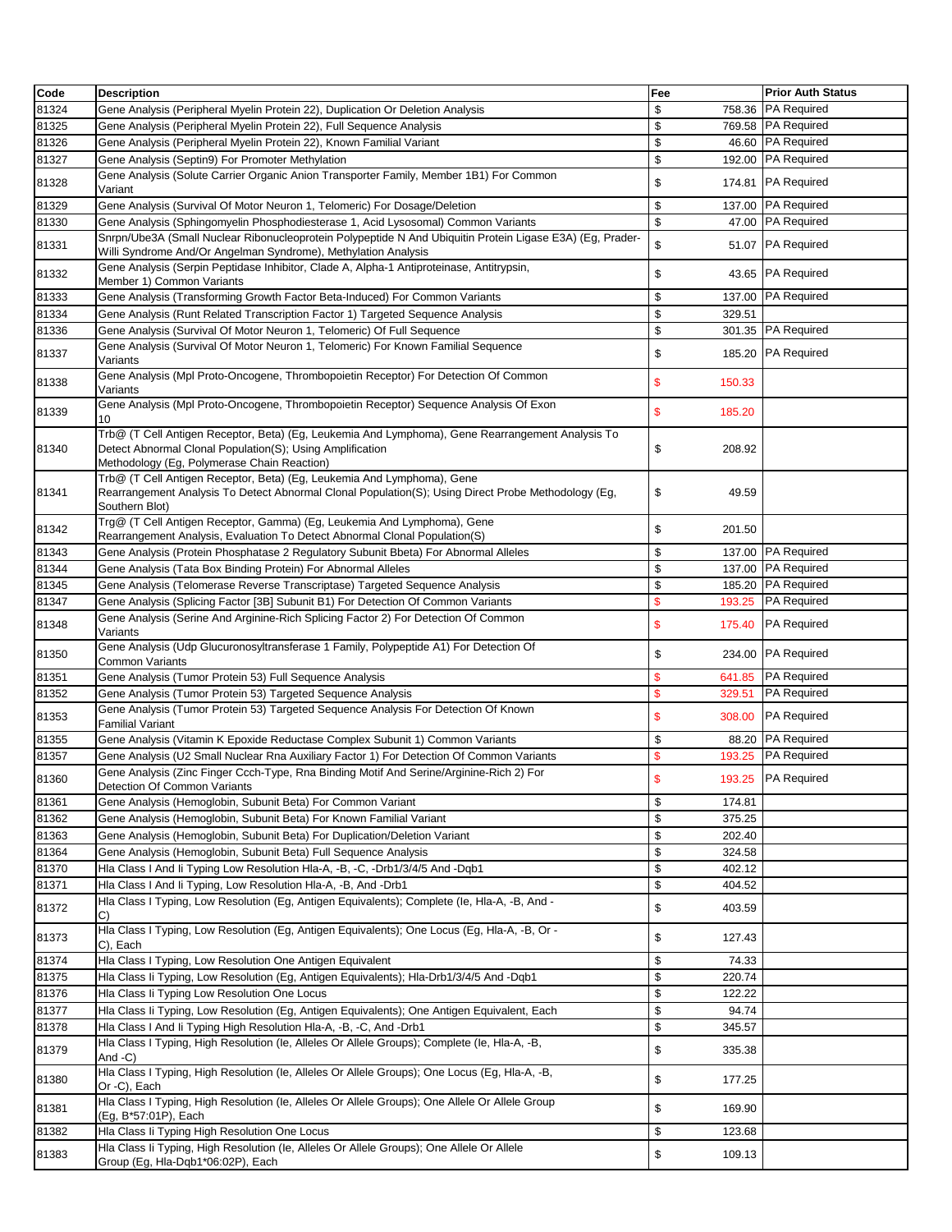| Code  | <b>Description</b>                                                                                                                                                                                           | Fee                     | <b>Prior Auth Status</b> |
|-------|--------------------------------------------------------------------------------------------------------------------------------------------------------------------------------------------------------------|-------------------------|--------------------------|
| 81324 | Gene Analysis (Peripheral Myelin Protein 22), Duplication Or Deletion Analysis                                                                                                                               | \$<br>758.36            | <b>PA Required</b>       |
| 81325 | Gene Analysis (Peripheral Myelin Protein 22), Full Sequence Analysis                                                                                                                                         | \$                      | 769.58 PA Required       |
| 81326 | Gene Analysis (Peripheral Myelin Protein 22), Known Familial Variant                                                                                                                                         | \$                      | 46.60 PA Required        |
| 81327 | Gene Analysis (Septin9) For Promoter Methylation                                                                                                                                                             | \$                      | 192.00 PA Required       |
| 81328 | Gene Analysis (Solute Carrier Organic Anion Transporter Family, Member 1B1) For Common<br>Variant                                                                                                            | \$<br>174.81            | <b>PA Required</b>       |
| 81329 | Gene Analysis (Survival Of Motor Neuron 1, Telomeric) For Dosage/Deletion                                                                                                                                    | \$                      | 137.00 PA Required       |
| 81330 | Gene Analysis (Sphingomyelin Phosphodiesterase 1, Acid Lysosomal) Common Variants                                                                                                                            | \$                      | 47.00 PA Required        |
| 81331 | Snrpn/Ube3A (Small Nuclear Ribonucleoprotein Polypeptide N And Ubiquitin Protein Ligase E3A) (Eg, Prader-<br>Willi Syndrome And/Or Angelman Syndrome), Methylation Analysis                                  | \$                      | 51.07 PA Required        |
| 81332 | Gene Analysis (Serpin Peptidase Inhibitor, Clade A, Alpha-1 Antiproteinase, Antitrypsin,<br>Member 1) Common Variants                                                                                        | \$                      | 43.65 PA Required        |
| 81333 | Gene Analysis (Transforming Growth Factor Beta-Induced) For Common Variants                                                                                                                                  | \$                      | 137.00 PA Required       |
| 81334 | Gene Analysis (Runt Related Transcription Factor 1) Targeted Sequence Analysis                                                                                                                               | \$<br>329.51            |                          |
| 81336 | Gene Analysis (Survival Of Motor Neuron 1, Telomeric) Of Full Sequence                                                                                                                                       | \$<br>301.35            | <b>PA Required</b>       |
| 81337 | Gene Analysis (Survival Of Motor Neuron 1, Telomeric) For Known Familial Sequence<br>Variants                                                                                                                | \$                      | 185.20 PA Required       |
| 81338 | Gene Analysis (Mpl Proto-Oncogene, Thrombopoietin Receptor) For Detection Of Common<br>Variants                                                                                                              | \$<br>150.33            |                          |
| 81339 | Gene Analysis (Mpl Proto-Oncogene, Thrombopoietin Receptor) Sequence Analysis Of Exon<br>10                                                                                                                  | \$<br>185.20            |                          |
| 81340 | Trb@ (T Cell Antigen Receptor, Beta) (Eg, Leukemia And Lymphoma), Gene Rearrangement Analysis To<br>Detect Abnormal Clonal Population(S); Using Amplification<br>Methodology (Eg, Polymerase Chain Reaction) | \$<br>208.92            |                          |
| 81341 | Trb@ (T Cell Antigen Receptor, Beta) (Eg, Leukemia And Lymphoma), Gene<br>Rearrangement Analysis To Detect Abnormal Clonal Population(S); Using Direct Probe Methodology (Eg,<br>Southern Blot)              | \$<br>49.59             |                          |
| 81342 | Trg@ (T Cell Antigen Receptor, Gamma) (Eg, Leukemia And Lymphoma), Gene<br>Rearrangement Analysis, Evaluation To Detect Abnormal Clonal Population(S)                                                        | \$<br>201.50            |                          |
| 81343 | Gene Analysis (Protein Phosphatase 2 Regulatory Subunit Bbeta) For Abnormal Alleles                                                                                                                          | \$                      | 137.00 PA Required       |
| 81344 | Gene Analysis (Tata Box Binding Protein) For Abnormal Alleles                                                                                                                                                | \$                      | 137.00 PA Required       |
| 81345 | Gene Analysis (Telomerase Reverse Transcriptase) Targeted Sequence Analysis                                                                                                                                  | \$                      | 185.20 PA Required       |
| 81347 | Gene Analysis (Splicing Factor [3B] Subunit B1) For Detection Of Common Variants                                                                                                                             | $\mathsf{\$}$<br>193.25 | <b>PA Required</b>       |
| 81348 | Gene Analysis (Serine And Arginine-Rich Splicing Factor 2) For Detection Of Common<br>Variants                                                                                                               | \$<br>175.40            | <b>PA Required</b>       |
| 81350 | Gene Analysis (Udp Glucuronosyltransferase 1 Family, Polypeptide A1) For Detection Of<br>Common Variants                                                                                                     | \$                      | 234.00 PA Required       |
| 81351 | Gene Analysis (Tumor Protein 53) Full Sequence Analysis                                                                                                                                                      | $\mathbf{s}$<br>641.85  | <b>PA Required</b>       |
| 81352 | Gene Analysis (Tumor Protein 53) Targeted Sequence Analysis                                                                                                                                                  | $\mathsf{\$}$<br>329.51 | <b>PA Required</b>       |
| 81353 | Gene Analysis (Tumor Protein 53) Targeted Sequence Analysis For Detection Of Known<br>Familial Variant                                                                                                       | \$<br>308.00            | <b>PA Required</b>       |
| 81355 | Gene Analysis (Vitamin K Epoxide Reductase Complex Subunit 1) Common Variants                                                                                                                                | \$                      | 88.20 PA Required        |
| 81357 | Gene Analysis (U2 Small Nuclear Rna Auxiliary Factor 1) For Detection Of Common Variants                                                                                                                     | \$<br>193.25            | <b>PA Required</b>       |
| 81360 | Gene Analysis (Zinc Finger Ccch-Type, Rna Binding Motif And Serine/Arginine-Rich 2) For<br>Detection Of Common Variants                                                                                      |                         | 193.25 PA Required       |
| 81361 | Gene Analysis (Hemoglobin, Subunit Beta) For Common Variant                                                                                                                                                  | \$<br>174.81            |                          |
| 81362 | Gene Analysis (Hemoglobin, Subunit Beta) For Known Familial Variant                                                                                                                                          | \$<br>375.25            |                          |
| 81363 | Gene Analysis (Hemoglobin, Subunit Beta) For Duplication/Deletion Variant                                                                                                                                    | \$<br>202.40            |                          |
| 81364 | Gene Analysis (Hemoglobin, Subunit Beta) Full Sequence Analysis                                                                                                                                              | \$<br>324.58            |                          |
| 81370 | Hla Class I And Ii Typing Low Resolution Hla-A, -B, -C, -Drb1/3/4/5 And -Dqb1                                                                                                                                | \$<br>402.12            |                          |
| 81371 | Hla Class I And Ii Typing, Low Resolution Hla-A, -B, And -Drb1                                                                                                                                               | \$<br>404.52            |                          |
| 81372 | Hla Class I Typing, Low Resolution (Eg, Antigen Equivalents); Complete (le, Hla-A, -B, And -<br>C)                                                                                                           | \$<br>403.59            |                          |
| 81373 | Hla Class I Typing, Low Resolution (Eg, Antigen Equivalents); One Locus (Eg, Hla-A, -B, Or -<br>C), Each                                                                                                     | \$<br>127.43            |                          |
| 81374 | Hla Class I Typing, Low Resolution One Antigen Equivalent                                                                                                                                                    | \$<br>74.33             |                          |
| 81375 | Hla Class Ii Typing, Low Resolution (Eg, Antigen Equivalents); Hla-Drb1/3/4/5 And -Dqb1                                                                                                                      | \$<br>220.74            |                          |
| 81376 | Hla Class Ii Typing Low Resolution One Locus                                                                                                                                                                 | \$<br>122.22            |                          |
| 81377 | Hla Class li Typing, Low Resolution (Eg, Antigen Equivalents); One Antigen Equivalent, Each                                                                                                                  | \$<br>94.74             |                          |
| 81378 | Hla Class I And Ii Typing High Resolution Hla-A, -B, -C, And -Drb1                                                                                                                                           | \$<br>345.57            |                          |
| 81379 | Hla Class I Typing, High Resolution (le, Alleles Or Allele Groups); Complete (le, Hla-A, -B,<br>And -C)                                                                                                      | \$<br>335.38            |                          |
| 81380 | Hla Class I Typing, High Resolution (le, Alleles Or Allele Groups); One Locus (Eg, Hla-A, -B,<br>Or -C), Each                                                                                                | \$<br>177.25            |                          |
| 81381 | Hia Class I Typing, High Resolution (le, Alleles Or Allele Groups); One Allele Or Allele Group<br>(Eg, B*57:01P), Each                                                                                       | \$<br>169.90            |                          |
| 81382 | Hla Class li Typing High Resolution One Locus                                                                                                                                                                | \$<br>123.68            |                          |
|       | Hia Class Ii Typing, High Resolution (Ie, Alleles Or Allele Groups); One Allele Or Allele                                                                                                                    |                         |                          |
| 81383 | Group (Eg, Hla-Dqb1*06:02P), Each                                                                                                                                                                            | \$<br>109.13            |                          |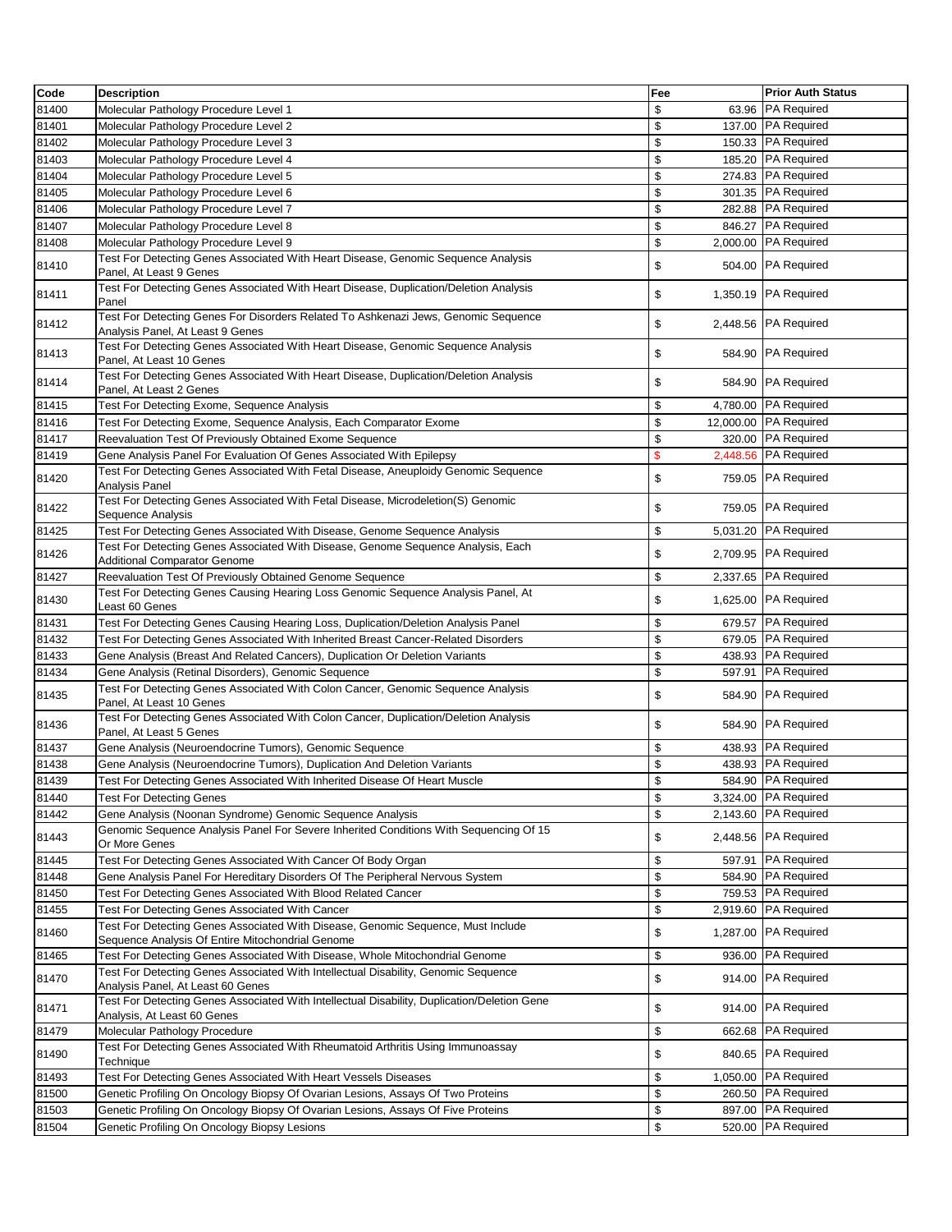| Code  | <b>Description</b>                                                                                                                   | Fee | <b>Prior Auth Status</b> |
|-------|--------------------------------------------------------------------------------------------------------------------------------------|-----|--------------------------|
| 81400 | Molecular Pathology Procedure Level 1                                                                                                | \$  | 63.96 PA Required        |
| 81401 | Molecular Pathology Procedure Level 2                                                                                                | \$  | 137.00 PA Required       |
| 81402 | Molecular Pathology Procedure Level 3                                                                                                | \$  | 150.33 PA Required       |
| 81403 | Molecular Pathology Procedure Level 4                                                                                                | \$  | 185.20 PA Required       |
| 81404 | Molecular Pathology Procedure Level 5                                                                                                | \$  | 274.83 PA Required       |
| 81405 | Molecular Pathology Procedure Level 6                                                                                                | \$  | 301.35 PA Required       |
| 81406 | Molecular Pathology Procedure Level 7                                                                                                | \$  | 282.88 PA Required       |
| 81407 | Molecular Pathology Procedure Level 8                                                                                                | \$  | 846.27 PA Required       |
| 81408 | Molecular Pathology Procedure Level 9                                                                                                | \$  | 2,000.00 PA Required     |
| 81410 | Test For Detecting Genes Associated With Heart Disease, Genomic Sequence Analysis<br>Panel, At Least 9 Genes                         | \$  | 504.00 PA Required       |
| 81411 | Test For Detecting Genes Associated With Heart Disease, Duplication/Deletion Analysis<br>Panel                                       | \$  | 1,350.19 PA Required     |
| 81412 | Test For Detecting Genes For Disorders Related To Ashkenazi Jews, Genomic Sequence<br>Analysis Panel, At Least 9 Genes               | \$  | 2,448.56 PA Required     |
| 81413 | Test For Detecting Genes Associated With Heart Disease, Genomic Sequence Analysis<br>Panel, At Least 10 Genes                        | \$  | 584.90 PA Required       |
| 81414 | Test For Detecting Genes Associated With Heart Disease, Duplication/Deletion Analysis<br>Panel, At Least 2 Genes                     | \$  | 584.90 PA Required       |
| 81415 | Test For Detecting Exome, Sequence Analysis                                                                                          | \$  | 4,780.00 PA Required     |
| 81416 | Test For Detecting Exome, Sequence Analysis, Each Comparator Exome                                                                   | \$  | 12,000.00 PA Required    |
| 81417 | Reevaluation Test Of Previously Obtained Exome Sequence                                                                              | \$  | 320.00 PA Required       |
| 81419 | Gene Analysis Panel For Evaluation Of Genes Associated With Epilepsy                                                                 | \$  | 2,448.56 PA Required     |
| 81420 | Test For Detecting Genes Associated With Fetal Disease, Aneuploidy Genomic Sequence<br>Analysis Panel                                | \$  | 759.05 PA Required       |
| 81422 | Test For Detecting Genes Associated With Fetal Disease, Microdeletion(S) Genomic<br>Sequence Analysis                                | \$  | 759.05 PA Required       |
| 81425 | Test For Detecting Genes Associated With Disease, Genome Sequence Analysis                                                           | \$  | 5,031.20 PA Required     |
| 81426 | Test For Detecting Genes Associated With Disease, Genome Sequence Analysis, Each<br>Additional Comparator Genome                     | \$  | 2,709.95 PA Required     |
| 81427 | Reevaluation Test Of Previously Obtained Genome Sequence                                                                             | \$  | 2,337.65 PA Required     |
| 81430 | Test For Detecting Genes Causing Hearing Loss Genomic Sequence Analysis Panel, At<br>Least 60 Genes                                  | \$  | 1,625.00 PA Required     |
| 81431 | Test For Detecting Genes Causing Hearing Loss, Duplication/Deletion Analysis Panel                                                   | \$  | 679.57 PA Required       |
| 81432 | Test For Detecting Genes Associated With Inherited Breast Cancer-Related Disorders                                                   | \$  | 679.05 PA Required       |
| 81433 | Gene Analysis (Breast And Related Cancers), Duplication Or Deletion Variants                                                         | \$  | 438.93 PA Required       |
| 81434 | Gene Analysis (Retinal Disorders), Genomic Sequence                                                                                  | \$  | 597.91 PA Required       |
| 81435 | Test For Detecting Genes Associated With Colon Cancer, Genomic Sequence Analysis<br>Panel, At Least 10 Genes                         | \$  | 584.90 PA Required       |
| 81436 | Test For Detecting Genes Associated With Colon Cancer, Duplication/Deletion Analysis<br>Panel, At Least 5 Genes                      | \$  | 584.90 PA Required       |
| 81437 | Gene Analysis (Neuroendocrine Tumors), Genomic Sequence                                                                              | \$  | 438.93 PA Required       |
| 81438 | Gene Analysis (Neuroendocrine Tumors), Duplication And Deletion Variants                                                             | \$  | 438.93 PA Required       |
| 81439 | Test For Detecting Genes Associated With Inherited Disease Of Heart Muscle                                                           | \$  | 584.90 PA Required       |
| 81440 | <b>Test For Detecting Genes</b>                                                                                                      | \$  | 3,324.00 PA Required     |
| 81442 | Gene Analysis (Noonan Syndrome) Genomic Sequence Analysis                                                                            | \$  | 2,143.60 PA Required     |
| 81443 | Genomic Sequence Analysis Panel For Severe Inherited Conditions With Sequencing Of 15<br>Or More Genes                               | \$  | 2,448.56 PA Required     |
| 81445 | Test For Detecting Genes Associated With Cancer Of Body Organ                                                                        | \$  | 597.91 PA Required       |
| 81448 | Gene Analysis Panel For Hereditary Disorders Of The Peripheral Nervous System                                                        | \$  | 584.90 PA Required       |
| 81450 | Test For Detecting Genes Associated With Blood Related Cancer                                                                        | \$  | 759.53 PA Required       |
| 81455 | Test For Detecting Genes Associated With Cancer                                                                                      | \$  | 2,919.60 PA Required     |
| 81460 | Test For Detecting Genes Associated With Disease, Genomic Sequence, Must Include<br>Sequence Analysis Of Entire Mitochondrial Genome | \$  | 1,287.00 PA Required     |
| 81465 | Test For Detecting Genes Associated With Disease, Whole Mitochondrial Genome                                                         | \$  | 936.00 PA Required       |
| 81470 | Test For Detecting Genes Associated With Intellectual Disability, Genomic Sequence<br>Analysis Panel, At Least 60 Genes              | \$  | 914.00 PA Required       |
| 81471 | Test For Detecting Genes Associated With Intellectual Disability, Duplication/Deletion Gene<br>Analysis, At Least 60 Genes           | \$  | 914.00 PA Required       |
| 81479 | Molecular Pathology Procedure                                                                                                        | \$  | 662.68 PA Required       |
| 81490 | Test For Detecting Genes Associated With Rheumatoid Arthritis Using Immunoassay<br>Technique                                         | \$  | 840.65 PA Required       |
| 81493 | Test For Detecting Genes Associated With Heart Vessels Diseases                                                                      | \$  | 1,050.00 PA Required     |
| 81500 | Genetic Profiling On Oncology Biopsy Of Ovarian Lesions, Assays Of Two Proteins                                                      | \$  | 260.50 PA Required       |
| 81503 | Genetic Profiling On Oncology Biopsy Of Ovarian Lesions, Assays Of Five Proteins                                                     | \$  | 897.00 PA Required       |
| 81504 | Genetic Profiling On Oncology Biopsy Lesions                                                                                         | \$  | 520.00 PA Required       |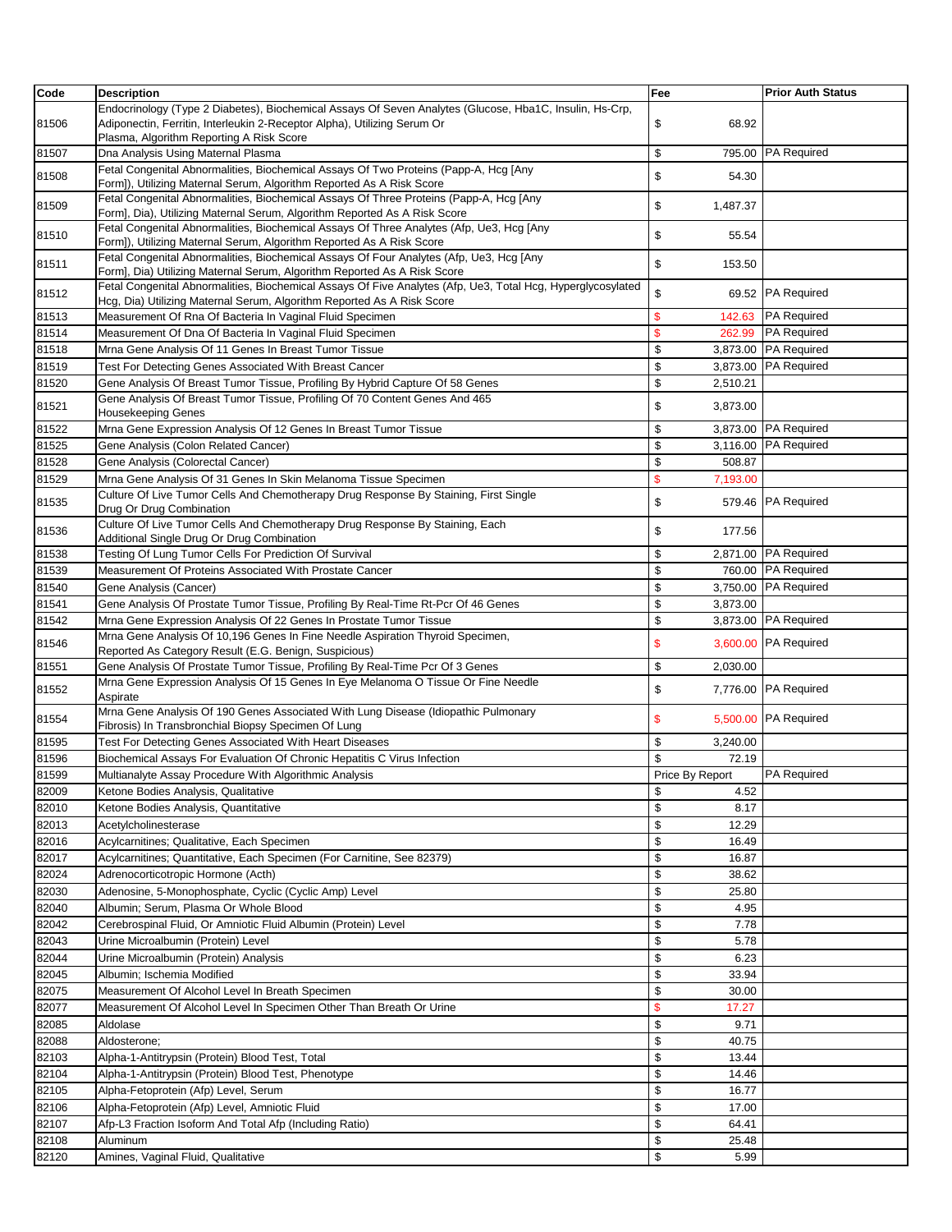| Code  | <b>Description</b>                                                                                                                                                                                                              | Fee             | <b>Prior Auth Status</b> |
|-------|---------------------------------------------------------------------------------------------------------------------------------------------------------------------------------------------------------------------------------|-----------------|--------------------------|
| 81506 | Endocrinology (Type 2 Diabetes), Biochemical Assays Of Seven Analytes (Glucose, Hba1C, Insulin, Hs-Crp,<br>Adiponectin, Ferritin, Interleukin 2-Receptor Alpha), Utilizing Serum Or<br>Plasma, Algorithm Reporting A Risk Score | \$<br>68.92     |                          |
| 81507 | Dna Analysis Using Maternal Plasma                                                                                                                                                                                              | \$<br>795.00    | <b>PA Required</b>       |
| 81508 | Fetal Congenital Abnormalities, Biochemical Assays Of Two Proteins (Papp-A, Hcg [Any<br>Form]), Utilizing Maternal Serum, Algorithm Reported As A Risk Score                                                                    | \$<br>54.30     |                          |
| 81509 | Fetal Congenital Abnormalities, Biochemical Assays Of Three Proteins (Papp-A, Hcg [Any<br>Form], Dia), Utilizing Maternal Serum, Algorithm Reported As A Risk Score                                                             | \$<br>1,487.37  |                          |
| 81510 | Fetal Congenital Abnormalities, Biochemical Assays Of Three Analytes (Afp, Ue3, Hcg [Any<br>Form]), Utilizing Maternal Serum, Algorithm Reported As A Risk Score                                                                | \$<br>55.54     |                          |
| 81511 | Fetal Congenital Abnormalities, Biochemical Assays Of Four Analytes (Afp, Ue3, Hcq [Any<br>Form], Dia) Utilizing Maternal Serum, Algorithm Reported As A Risk Score                                                             | \$<br>153.50    |                          |
| 81512 | Fetal Congenital Abnormalities, Biochemical Assays Of Five Analytes (Afp, Ue3, Total Hcg, Hyperglycosylated<br>Hcg, Dia) Utilizing Maternal Serum, Algorithm Reported As A Risk Score                                           | \$              | 69.52 PA Required        |
| 81513 | Measurement Of Rna Of Bacteria In Vaginal Fluid Specimen                                                                                                                                                                        | \$<br>142.63    | <b>PA Required</b>       |
| 81514 | Measurement Of Dna Of Bacteria In Vaginal Fluid Specimen                                                                                                                                                                        | \$<br>262.99    | <b>PA Required</b>       |
| 81518 | Mrna Gene Analysis Of 11 Genes In Breast Tumor Tissue                                                                                                                                                                           | \$<br>3,873.00  | PA Required              |
| 81519 | Test For Detecting Genes Associated With Breast Cancer                                                                                                                                                                          | \$<br>3,873.00  | <b>PA Required</b>       |
| 81520 | Gene Analysis Of Breast Tumor Tissue, Profiling By Hybrid Capture Of 58 Genes                                                                                                                                                   | \$<br>2,510.21  |                          |
| 81521 | Gene Analysis Of Breast Tumor Tissue, Profiling Of 70 Content Genes And 465<br><b>Housekeeping Genes</b>                                                                                                                        | \$<br>3,873.00  |                          |
| 81522 | Mrna Gene Expression Analysis Of 12 Genes In Breast Tumor Tissue                                                                                                                                                                | \$              | 3,873.00 PA Required     |
| 81525 | Gene Analysis (Colon Related Cancer)                                                                                                                                                                                            | \$<br>3.116.00  | <b>PA Required</b>       |
| 81528 | Gene Analysis (Colorectal Cancer)                                                                                                                                                                                               | \$<br>508.87    |                          |
| 81529 | Mrna Gene Analysis Of 31 Genes In Skin Melanoma Tissue Specimen                                                                                                                                                                 | \$<br>7,193.00  |                          |
| 81535 | Culture Of Live Tumor Cells And Chemotherapy Drug Response By Staining, First Single<br>Drug Or Drug Combination                                                                                                                | \$              | 579.46 PA Required       |
| 81536 | Culture Of Live Tumor Cells And Chemotherapy Drug Response By Staining, Each<br>Additional Single Drug Or Drug Combination                                                                                                      | \$<br>177.56    |                          |
| 81538 | Testing Of Lung Tumor Cells For Prediction Of Survival                                                                                                                                                                          | \$              | 2,871.00 PA Required     |
| 81539 | Measurement Of Proteins Associated With Prostate Cancer                                                                                                                                                                         | \$              | 760.00 PA Required       |
| 81540 | Gene Analysis (Cancer)                                                                                                                                                                                                          | \$              | 3,750.00 PA Required     |
| 81541 | Gene Analysis Of Prostate Tumor Tissue, Profiling By Real-Time Rt-Pcr Of 46 Genes                                                                                                                                               | \$<br>3,873.00  |                          |
| 81542 | Mrna Gene Expression Analysis Of 22 Genes In Prostate Tumor Tissue                                                                                                                                                              | \$<br>3,873.00  | <b>PA Required</b>       |
| 81546 | Mrna Gene Analysis Of 10,196 Genes In Fine Needle Aspiration Thyroid Specimen,<br>Reported As Category Result (E.G. Benign, Suspicious)                                                                                         | \$              | 3,600.00 PA Required     |
| 81551 | Gene Analysis Of Prostate Tumor Tissue, Profiling By Real-Time Pcr Of 3 Genes                                                                                                                                                   | \$<br>2,030.00  |                          |
| 81552 | Mrna Gene Expression Analysis Of 15 Genes In Eye Melanoma O Tissue Or Fine Needle<br>Aspirate                                                                                                                                   | \$              | 7,776.00 PA Required     |
| 81554 | Mrna Gene Analysis Of 190 Genes Associated With Lung Disease (Idiopathic Pulmonary<br>Fibrosis) In Transbronchial Biopsy Specimen Of Lung                                                                                       | \$              | 5,500.00 PA Required     |
| 81595 | Test For Detecting Genes Associated With Heart Diseases                                                                                                                                                                         | \$<br>3,240.00  |                          |
| 81596 | Biochemical Assays For Evaluation Of Chronic Hepatitis C Virus Infection                                                                                                                                                        | \$<br>72.19     |                          |
| 81599 | Multianalyte Assay Procedure With Algorithmic Analysis                                                                                                                                                                          | Price By Report | <b>PA Required</b>       |
| 82009 | Ketone Bodies Analysis, Qualitative                                                                                                                                                                                             | \$<br>4.52      |                          |
| 82010 | Ketone Bodies Analysis, Quantitative                                                                                                                                                                                            | \$<br>8.17      |                          |
| 82013 | Acetylcholinesterase                                                                                                                                                                                                            | \$<br>12.29     |                          |
| 82016 | Acylcarnitines; Qualitative, Each Specimen                                                                                                                                                                                      | \$<br>16.49     |                          |
| 82017 | Acylcarnitines; Quantitative, Each Specimen (For Carnitine, See 82379)                                                                                                                                                          | \$<br>16.87     |                          |
| 82024 | Adrenocorticotropic Hormone (Acth)                                                                                                                                                                                              | \$<br>38.62     |                          |
| 82030 | Adenosine, 5-Monophosphate, Cyclic (Cyclic Amp) Level                                                                                                                                                                           | \$<br>25.80     |                          |
| 82040 | Albumin; Serum, Plasma Or Whole Blood                                                                                                                                                                                           | \$<br>4.95      |                          |
| 82042 | Cerebrospinal Fluid, Or Amniotic Fluid Albumin (Protein) Level                                                                                                                                                                  | \$<br>7.78      |                          |
| 82043 | Urine Microalbumin (Protein) Level                                                                                                                                                                                              | \$<br>5.78      |                          |
| 82044 | Urine Microalbumin (Protein) Analysis                                                                                                                                                                                           | \$<br>6.23      |                          |
| 82045 | Albumin; Ischemia Modified                                                                                                                                                                                                      | \$<br>33.94     |                          |
| 82075 | Measurement Of Alcohol Level In Breath Specimen                                                                                                                                                                                 | \$<br>30.00     |                          |
| 82077 | Measurement Of Alcohol Level In Specimen Other Than Breath Or Urine                                                                                                                                                             | \$<br>17.27     |                          |
| 82085 | Aldolase                                                                                                                                                                                                                        | \$<br>9.71      |                          |
| 82088 | Aldosterone;                                                                                                                                                                                                                    | \$<br>40.75     |                          |
| 82103 | Alpha-1-Antitrypsin (Protein) Blood Test, Total                                                                                                                                                                                 | \$<br>13.44     |                          |
| 82104 | Alpha-1-Antitrypsin (Protein) Blood Test, Phenotype                                                                                                                                                                             | \$<br>14.46     |                          |
| 82105 | Alpha-Fetoprotein (Afp) Level, Serum                                                                                                                                                                                            | \$<br>16.77     |                          |
| 82106 | Alpha-Fetoprotein (Afp) Level, Amniotic Fluid                                                                                                                                                                                   | \$<br>17.00     |                          |
| 82107 | Afp-L3 Fraction Isoform And Total Afp (Including Ratio)                                                                                                                                                                         | \$<br>64.41     |                          |
| 82108 | Aluminum                                                                                                                                                                                                                        | \$<br>25.48     |                          |
| 82120 | Amines, Vaginal Fluid, Qualitative                                                                                                                                                                                              | \$<br>5.99      |                          |
|       |                                                                                                                                                                                                                                 |                 |                          |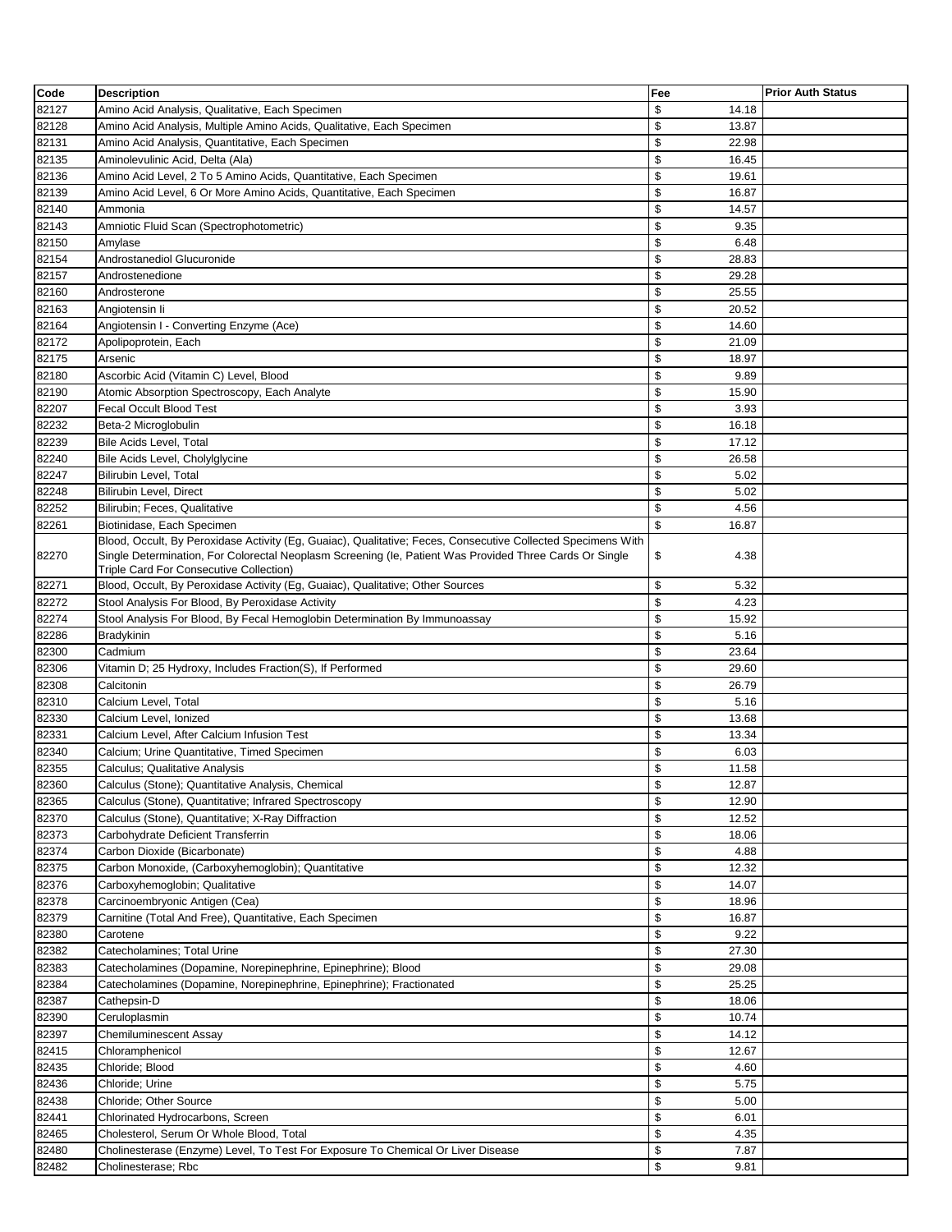| Code  | <b>Description</b>                                                                                                                                                                                                      | Fee         | <b>Prior Auth Status</b> |
|-------|-------------------------------------------------------------------------------------------------------------------------------------------------------------------------------------------------------------------------|-------------|--------------------------|
| 82127 | Amino Acid Analysis, Qualitative, Each Specimen                                                                                                                                                                         | \$<br>14.18 |                          |
| 82128 | Amino Acid Analysis, Multiple Amino Acids, Qualitative, Each Specimen                                                                                                                                                   | \$<br>13.87 |                          |
| 82131 | Amino Acid Analysis, Quantitative, Each Specimen                                                                                                                                                                        | \$<br>22.98 |                          |
| 82135 | Aminolevulinic Acid, Delta (Ala)                                                                                                                                                                                        | \$<br>16.45 |                          |
| 82136 | Amino Acid Level, 2 To 5 Amino Acids, Quantitative, Each Specimen                                                                                                                                                       | \$<br>19.61 |                          |
| 82139 | Amino Acid Level, 6 Or More Amino Acids, Quantitative, Each Specimen                                                                                                                                                    | \$<br>16.87 |                          |
| 82140 | Ammonia                                                                                                                                                                                                                 | \$<br>14.57 |                          |
| 82143 | Amniotic Fluid Scan (Spectrophotometric)                                                                                                                                                                                | \$<br>9.35  |                          |
| 82150 | Amylase                                                                                                                                                                                                                 | \$<br>6.48  |                          |
| 82154 | Androstanediol Glucuronide                                                                                                                                                                                              | \$<br>28.83 |                          |
| 82157 | Androstenedione                                                                                                                                                                                                         | \$<br>29.28 |                          |
| 82160 | Androsterone                                                                                                                                                                                                            | \$<br>25.55 |                          |
|       |                                                                                                                                                                                                                         | \$          |                          |
| 82163 | Angiotensin li                                                                                                                                                                                                          | 20.52       |                          |
| 82164 | Angiotensin I - Converting Enzyme (Ace)                                                                                                                                                                                 | \$<br>14.60 |                          |
| 82172 | Apolipoprotein, Each                                                                                                                                                                                                    | \$<br>21.09 |                          |
| 82175 | Arsenic                                                                                                                                                                                                                 | \$<br>18.97 |                          |
| 82180 | Ascorbic Acid (Vitamin C) Level, Blood                                                                                                                                                                                  | \$<br>9.89  |                          |
| 82190 | Atomic Absorption Spectroscopy, Each Analyte                                                                                                                                                                            | \$<br>15.90 |                          |
| 82207 | <b>Fecal Occult Blood Test</b>                                                                                                                                                                                          | \$<br>3.93  |                          |
| 82232 | Beta-2 Microglobulin                                                                                                                                                                                                    | \$<br>16.18 |                          |
| 82239 | <b>Bile Acids Level, Total</b>                                                                                                                                                                                          | \$<br>17.12 |                          |
| 82240 | Bile Acids Level, Cholylglycine                                                                                                                                                                                         | \$<br>26.58 |                          |
| 82247 | Bilirubin Level, Total                                                                                                                                                                                                  | \$<br>5.02  |                          |
| 82248 | Bilirubin Level, Direct                                                                                                                                                                                                 | \$<br>5.02  |                          |
| 82252 | Bilirubin; Feces, Qualitative                                                                                                                                                                                           | \$<br>4.56  |                          |
| 82261 | Biotinidase, Each Specimen                                                                                                                                                                                              | \$<br>16.87 |                          |
| 82270 | Blood, Occult, By Peroxidase Activity (Eg, Guaiac), Qualitative; Feces, Consecutive Collected Specimens With<br>Single Determination, For Colorectal Neoplasm Screening (le, Patient Was Provided Three Cards Or Single | \$<br>4.38  |                          |
|       | Triple Card For Consecutive Collection)                                                                                                                                                                                 |             |                          |
| 82271 | Blood, Occult, By Peroxidase Activity (Eg, Guaiac), Qualitative; Other Sources                                                                                                                                          | \$<br>5.32  |                          |
| 82272 | Stool Analysis For Blood, By Peroxidase Activity                                                                                                                                                                        | \$<br>4.23  |                          |
| 82274 | Stool Analysis For Blood, By Fecal Hemoglobin Determination By Immunoassay                                                                                                                                              | \$<br>15.92 |                          |
| 82286 | <b>Bradykinin</b>                                                                                                                                                                                                       | \$<br>5.16  |                          |
| 82300 | Cadmium                                                                                                                                                                                                                 | \$<br>23.64 |                          |
| 82306 | Vitamin D; 25 Hydroxy, Includes Fraction(S), If Performed                                                                                                                                                               | \$<br>29.60 |                          |
| 82308 | Calcitonin                                                                                                                                                                                                              | \$<br>26.79 |                          |
| 82310 | Calcium Level, Total                                                                                                                                                                                                    | \$<br>5.16  |                          |
| 82330 | Calcium Level, Ionized                                                                                                                                                                                                  | \$<br>13.68 |                          |
| 82331 | Calcium Level. After Calcium Infusion Test                                                                                                                                                                              | \$<br>13.34 |                          |
| 82340 | Calcium; Urine Quantitative, Timed Specimen                                                                                                                                                                             | \$<br>6.03  |                          |
| 82355 | <b>Calculus: Qualitative Analysis</b>                                                                                                                                                                                   | \$<br>11.58 |                          |
| 82360 | Calculus (Stone); Quantitative Analysis, Chemical                                                                                                                                                                       | \$<br>12.87 |                          |
| 82365 | Calculus (Stone), Quantitative; Infrared Spectroscopy                                                                                                                                                                   | \$<br>12.90 |                          |
| 82370 | Calculus (Stone), Quantitative; X-Ray Diffraction                                                                                                                                                                       | \$<br>12.52 |                          |
| 82373 | Carbohydrate Deficient Transferrin                                                                                                                                                                                      | \$<br>18.06 |                          |
| 82374 | Carbon Dioxide (Bicarbonate)                                                                                                                                                                                            | \$<br>4.88  |                          |
| 82375 | Carbon Monoxide, (Carboxyhemoglobin); Quantitative                                                                                                                                                                      | \$<br>12.32 |                          |
| 82376 | Carboxyhemoglobin; Qualitative                                                                                                                                                                                          | \$<br>14.07 |                          |
| 82378 | Carcinoembryonic Antigen (Cea)                                                                                                                                                                                          | \$<br>18.96 |                          |
| 82379 | Carnitine (Total And Free), Quantitative, Each Specimen                                                                                                                                                                 | \$<br>16.87 |                          |
|       | Carotene                                                                                                                                                                                                                | \$          |                          |
| 82380 | Catecholamines; Total Urine                                                                                                                                                                                             | 9.22<br>\$  |                          |
| 82382 |                                                                                                                                                                                                                         | 27.30       |                          |
| 82383 | Catecholamines (Dopamine, Norepinephrine, Epinephrine); Blood                                                                                                                                                           | \$<br>29.08 |                          |
| 82384 | Catecholamines (Dopamine, Norepinephrine, Epinephrine); Fractionated                                                                                                                                                    | \$<br>25.25 |                          |
| 82387 | Cathepsin-D                                                                                                                                                                                                             | \$<br>18.06 |                          |
| 82390 | Ceruloplasmin                                                                                                                                                                                                           | \$<br>10.74 |                          |
| 82397 | Chemiluminescent Assay                                                                                                                                                                                                  | \$<br>14.12 |                          |
| 82415 | Chloramphenicol                                                                                                                                                                                                         | \$<br>12.67 |                          |
| 82435 | Chloride; Blood                                                                                                                                                                                                         | \$<br>4.60  |                          |
| 82436 | Chloride; Urine                                                                                                                                                                                                         | \$<br>5.75  |                          |
| 82438 | Chloride; Other Source                                                                                                                                                                                                  | \$<br>5.00  |                          |
| 82441 | Chlorinated Hydrocarbons, Screen                                                                                                                                                                                        | \$<br>6.01  |                          |
| 82465 | Cholesterol, Serum Or Whole Blood, Total                                                                                                                                                                                | \$<br>4.35  |                          |
| 82480 | Cholinesterase (Enzyme) Level, To Test For Exposure To Chemical Or Liver Disease                                                                                                                                        | \$<br>7.87  |                          |
| 82482 | Cholinesterase; Rbc                                                                                                                                                                                                     | \$<br>9.81  |                          |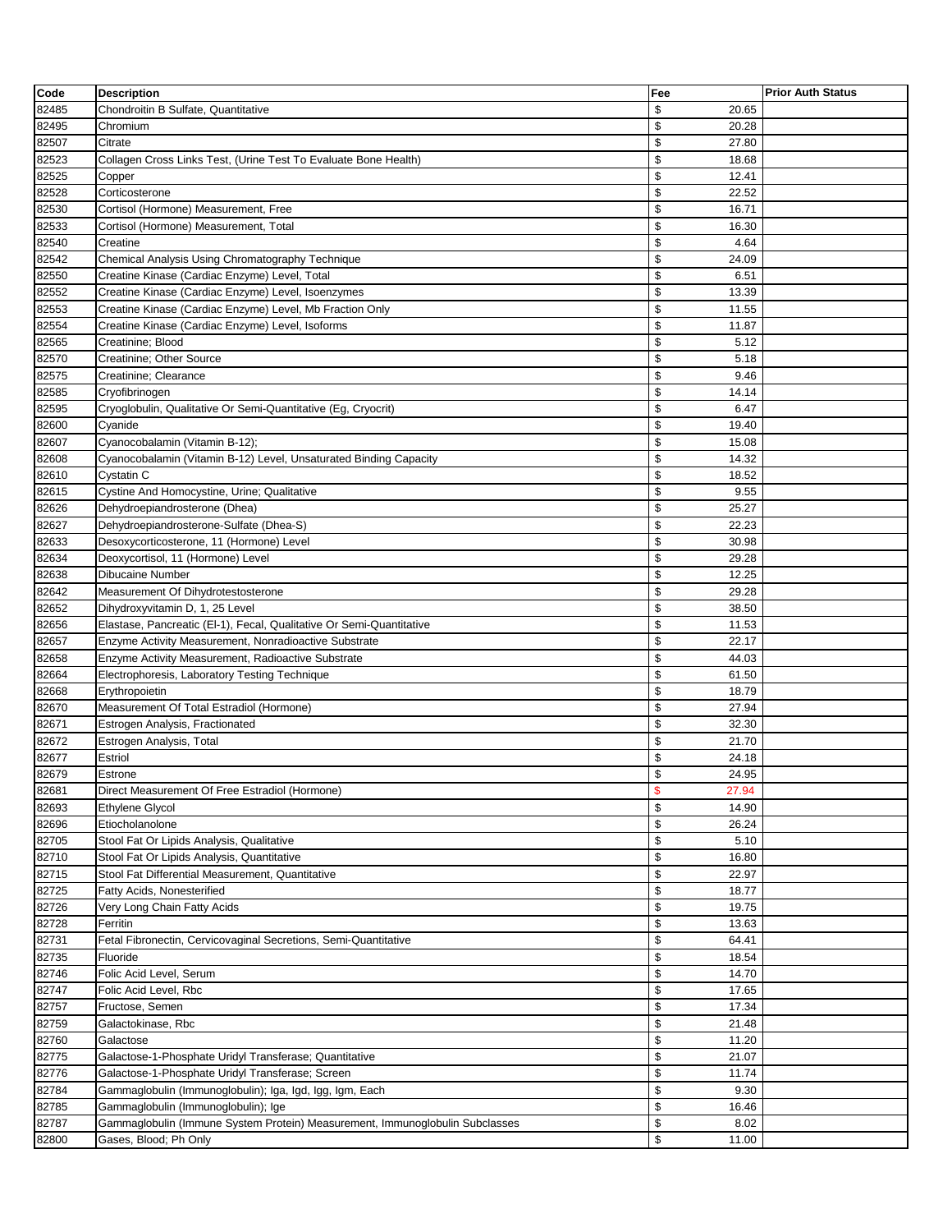| Code  | <b>Description</b>                                                           | Fee                    | <b>Prior Auth Status</b> |
|-------|------------------------------------------------------------------------------|------------------------|--------------------------|
| 82485 | Chondroitin B Sulfate, Quantitative                                          | \$<br>20.65            |                          |
| 82495 | Chromium                                                                     | \$<br>20.28            |                          |
| 82507 | Citrate                                                                      | \$<br>27.80            |                          |
| 82523 | Collagen Cross Links Test, (Urine Test To Evaluate Bone Health)              | \$<br>18.68            |                          |
| 82525 | Copper                                                                       | \$<br>12.41            |                          |
| 82528 | Corticosterone                                                               | \$<br>22.52            |                          |
| 82530 | Cortisol (Hormone) Measurement, Free                                         | \$<br>16.71            |                          |
| 82533 | Cortisol (Hormone) Measurement, Total                                        | \$<br>16.30            |                          |
| 82540 | Creatine                                                                     | \$<br>4.64             |                          |
| 82542 | Chemical Analysis Using Chromatography Technique                             | \$<br>24.09            |                          |
| 82550 | Creatine Kinase (Cardiac Enzyme) Level, Total                                | \$<br>6.51             |                          |
| 82552 | Creatine Kinase (Cardiac Enzyme) Level, Isoenzymes                           | \$<br>13.39            |                          |
| 82553 | Creatine Kinase (Cardiac Enzyme) Level, Mb Fraction Only                     | \$<br>11.55            |                          |
| 82554 | Creatine Kinase (Cardiac Enzyme) Level, Isoforms                             | \$<br>11.87            |                          |
| 82565 | Creatinine; Blood                                                            | \$<br>5.12             |                          |
| 82570 | Creatinine; Other Source                                                     | \$<br>5.18             |                          |
| 82575 | Creatinine; Clearance                                                        | \$<br>9.46             |                          |
| 82585 | Cryofibrinogen                                                               | \$<br>14.14            |                          |
| 82595 | Cryoglobulin, Qualitative Or Semi-Quantitative (Eg, Cryocrit)                | \$<br>6.47             |                          |
| 82600 | Cyanide                                                                      | \$<br>19.40            |                          |
| 82607 | Cyanocobalamin (Vitamin B-12);                                               | \$<br>15.08            |                          |
| 82608 | Cyanocobalamin (Vitamin B-12) Level, Unsaturated Binding Capacity            | \$<br>14.32            |                          |
| 82610 | Cystatin C                                                                   | \$<br>18.52            |                          |
| 82615 | Cystine And Homocystine, Urine; Qualitative                                  | \$<br>9.55             |                          |
| 82626 | Dehydroepiandrosterone (Dhea)                                                | \$<br>25.27            |                          |
| 82627 | Dehydroepiandrosterone-Sulfate (Dhea-S)                                      | \$<br>22.23            |                          |
| 82633 | Desoxycorticosterone, 11 (Hormone) Level                                     | \$<br>30.98            |                          |
| 82634 | Deoxycortisol, 11 (Hormone) Level                                            | \$<br>29.28            |                          |
| 82638 | Dibucaine Number                                                             | \$<br>12.25            |                          |
| 82642 | Measurement Of Dihydrotestosterone                                           | \$<br>29.28            |                          |
| 82652 | Dihydroxyvitamin D, 1, 25 Level                                              | \$<br>38.50            |                          |
| 82656 | Elastase, Pancreatic (EI-1), Fecal, Qualitative Or Semi-Quantitative         | \$<br>11.53            |                          |
| 82657 | Enzyme Activity Measurement, Nonradioactive Substrate                        | \$<br>22.17            |                          |
| 82658 | Enzyme Activity Measurement, Radioactive Substrate                           | \$<br>44.03            |                          |
| 82664 | Electrophoresis, Laboratory Testing Technique                                | \$<br>61.50            |                          |
| 82668 | Erythropoietin                                                               | \$<br>18.79            |                          |
| 82670 | Measurement Of Total Estradiol (Hormone)                                     | \$<br>27.94            |                          |
| 82671 | Estrogen Analysis, Fractionated                                              | \$<br>32.30            |                          |
| 82672 | Estrogen Analysis, Total                                                     | \$<br>21.70            |                          |
| 82677 | Estriol                                                                      | \$<br>24.18            |                          |
| 82679 | Estrone                                                                      | \$<br>24.95            |                          |
| 82681 | Direct Measurement Of Free Estradiol (Hormone)                               | $\frac{1}{2}$<br>27.94 |                          |
| 82693 | <b>Ethylene Glycol</b>                                                       | \$<br>14.90            |                          |
| 82696 | Etiocholanolone                                                              | \$<br>26.24            |                          |
| 82705 | Stool Fat Or Lipids Analysis, Qualitative                                    | \$<br>5.10             |                          |
| 82710 | Stool Fat Or Lipids Analysis, Quantitative                                   | \$<br>16.80            |                          |
| 82715 | Stool Fat Differential Measurement, Quantitative                             | \$<br>22.97            |                          |
| 82725 | Fatty Acids, Nonesterified                                                   | \$<br>18.77            |                          |
| 82726 | Very Long Chain Fatty Acids                                                  | \$<br>19.75            |                          |
| 82728 | Ferritin                                                                     | \$<br>13.63            |                          |
| 82731 | Fetal Fibronectin, Cervicovaginal Secretions, Semi-Quantitative              | \$<br>64.41            |                          |
| 82735 | Fluoride                                                                     | \$<br>18.54            |                          |
| 82746 | Folic Acid Level, Serum                                                      | \$<br>14.70            |                          |
| 82747 | Folic Acid Level, Rbc                                                        | \$<br>17.65            |                          |
| 82757 | Fructose, Semen                                                              | \$<br>17.34            |                          |
| 82759 | Galactokinase, Rbc                                                           | \$<br>21.48            |                          |
| 82760 | Galactose                                                                    | \$<br>11.20            |                          |
| 82775 | Galactose-1-Phosphate Uridyl Transferase; Quantitative                       | \$<br>21.07            |                          |
| 82776 | Galactose-1-Phosphate Uridyl Transferase; Screen                             | \$<br>11.74            |                          |
| 82784 | Gammaglobulin (Immunoglobulin); Iga, Igd, Igg, Igm, Each                     | \$<br>9.30             |                          |
| 82785 | Gammaglobulin (Immunoglobulin); Ige                                          | \$<br>16.46            |                          |
| 82787 | Gammaglobulin (Immune System Protein) Measurement, Immunoglobulin Subclasses | \$<br>8.02             |                          |
| 82800 | Gases, Blood; Ph Only                                                        | \$<br>11.00            |                          |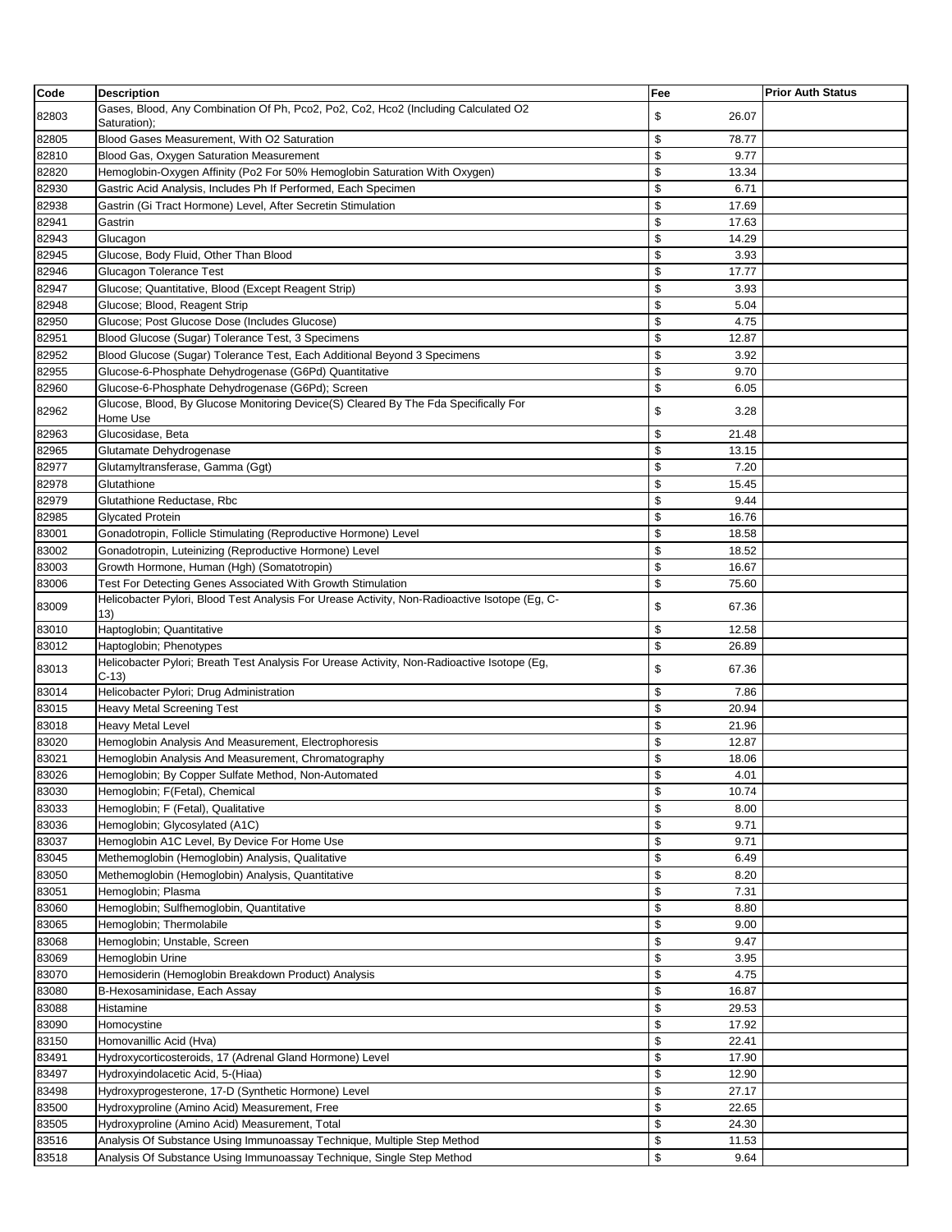| Code           | <b>Description</b>                                                                                                     | Fee                       | <b>Prior Auth Status</b> |
|----------------|------------------------------------------------------------------------------------------------------------------------|---------------------------|--------------------------|
| 82803          | Gases, Blood, Any Combination Of Ph, Pco2, Po2, Co2, Hco2 (Including Calculated O2                                     | \$<br>26.07               |                          |
|                | Saturation);                                                                                                           |                           |                          |
| 82805          | Blood Gases Measurement, With O2 Saturation                                                                            | \$<br>78.77<br>\$<br>9.77 |                          |
| 82810<br>82820 | Blood Gas, Oxygen Saturation Measurement<br>Hemoglobin-Oxygen Affinity (Po2 For 50% Hemoglobin Saturation With Oxygen) | \$<br>13.34               |                          |
| 82930          | Gastric Acid Analysis, Includes Ph If Performed, Each Specimen                                                         | \$<br>6.71                |                          |
| 82938          | Gastrin (Gi Tract Hormone) Level, After Secretin Stimulation                                                           | \$<br>17.69               |                          |
| 82941          | Gastrin                                                                                                                | \$<br>17.63               |                          |
| 82943          | Glucagon                                                                                                               | \$<br>14.29               |                          |
| 82945          | Glucose, Body Fluid, Other Than Blood                                                                                  | \$<br>3.93                |                          |
| 82946          | <b>Glucagon Tolerance Test</b>                                                                                         | \$<br>17.77               |                          |
| 82947          | Glucose; Quantitative, Blood (Except Reagent Strip)                                                                    | \$<br>3.93                |                          |
| 82948          | Glucose; Blood, Reagent Strip                                                                                          | \$<br>5.04                |                          |
| 82950          | Glucose; Post Glucose Dose (Includes Glucose)                                                                          | \$<br>4.75                |                          |
| 82951          | Blood Glucose (Sugar) Tolerance Test, 3 Specimens                                                                      | \$<br>12.87               |                          |
| 82952          | Blood Glucose (Sugar) Tolerance Test, Each Additional Beyond 3 Specimens                                               | \$<br>3.92                |                          |
| 82955          | Glucose-6-Phosphate Dehydrogenase (G6Pd) Quantitative                                                                  | \$<br>9.70                |                          |
| 82960          | Glucose-6-Phosphate Dehydrogenase (G6Pd); Screen                                                                       | \$<br>6.05                |                          |
| 82962          | Glucose, Blood, By Glucose Monitoring Device(S) Cleared By The Fda Specifically For<br>Home Use                        | \$<br>3.28                |                          |
| 82963          | Glucosidase, Beta                                                                                                      | \$<br>21.48               |                          |
| 82965          | Glutamate Dehydrogenase                                                                                                | \$<br>13.15               |                          |
| 82977          | Glutamyltransferase, Gamma (Ggt)                                                                                       | \$<br>7.20                |                          |
| 82978          | Glutathione                                                                                                            | \$<br>15.45               |                          |
| 82979          | Glutathione Reductase, Rbc                                                                                             | \$<br>9.44                |                          |
| 82985          | <b>Glycated Protein</b>                                                                                                | \$<br>16.76               |                          |
| 83001          | Gonadotropin, Follicle Stimulating (Reproductive Hormone) Level                                                        | \$<br>18.58               |                          |
| 83002          | Gonadotropin, Luteinizing (Reproductive Hormone) Level                                                                 | \$<br>18.52               |                          |
| 83003          | Growth Hormone, Human (Hgh) (Somatotropin)                                                                             | \$<br>16.67               |                          |
| 83006          | Test For Detecting Genes Associated With Growth Stimulation                                                            | \$<br>75.60               |                          |
| 83009          | Helicobacter Pylori, Blood Test Analysis For Urease Activity, Non-Radioactive Isotope (Eg, C-<br>(13)                  | \$<br>67.36               |                          |
| 83010          | Haptoglobin; Quantitative                                                                                              | \$<br>12.58               |                          |
| 83012          | Haptoglobin; Phenotypes                                                                                                | \$<br>26.89               |                          |
| 83013          | Helicobacter Pylori; Breath Test Analysis For Urease Activity, Non-Radioactive Isotope (Eg,<br>$C-13$                  | \$<br>67.36               |                          |
| 83014          | Helicobacter Pylori; Drug Administration                                                                               | \$<br>7.86                |                          |
| 83015          | <b>Heavy Metal Screening Test</b>                                                                                      | \$<br>20.94               |                          |
| 83018          | Heavy Metal Level                                                                                                      | \$<br>21.96               |                          |
| 83020          | Hemoglobin Analysis And Measurement, Electrophoresis                                                                   | \$<br>12.87               |                          |
| 83021          | Hemoglobin Analysis And Measurement, Chromatography                                                                    | \$<br>18.06               |                          |
| 83026          | Hemoglobin; By Copper Sulfate Method, Non-Automated                                                                    | \$<br>4.01                |                          |
| 83030          | Hemoglobin; F(Fetal), Chemical                                                                                         | \$<br>10.74               |                          |
| 83033          | Hemoglobin; F (Fetal), Qualitative                                                                                     | \$<br>8.00                |                          |
| 83036          | Hemoglobin; Glycosylated (A1C)                                                                                         | \$<br>9.71                |                          |
| 83037          | Hemoglobin A1C Level, By Device For Home Use                                                                           | \$<br>9.71                |                          |
| 83045          | Methemoglobin (Hemoglobin) Analysis, Qualitative                                                                       | \$<br>6.49                |                          |
| 83050          | Methemoglobin (Hemoglobin) Analysis, Quantitative                                                                      | \$<br>8.20                |                          |
| 83051          | Hemoglobin; Plasma                                                                                                     | \$<br>7.31                |                          |
| 83060          | Hemoglobin; Sulfhemoglobin, Quantitative                                                                               | \$<br>8.80                |                          |
| 83065<br>83068 | Hemoglobin; Thermolabile<br>Hemoglobin; Unstable, Screen                                                               | \$<br>9.00<br>\$<br>9.47  |                          |
| 83069          | Hemoglobin Urine                                                                                                       | \$<br>3.95                |                          |
| 83070          | Hemosiderin (Hemoglobin Breakdown Product) Analysis                                                                    | \$<br>4.75                |                          |
| 83080          | B-Hexosaminidase, Each Assay                                                                                           | \$<br>16.87               |                          |
| 83088          | Histamine                                                                                                              | \$<br>29.53               |                          |
| 83090          | Homocystine                                                                                                            | \$<br>17.92               |                          |
| 83150          | Homovanillic Acid (Hva)                                                                                                | \$<br>22.41               |                          |
| 83491          | Hydroxycorticosteroids, 17 (Adrenal Gland Hormone) Level                                                               | \$<br>17.90               |                          |
| 83497          | Hydroxyindolacetic Acid, 5-(Hiaa)                                                                                      | \$<br>12.90               |                          |
| 83498          | Hydroxyprogesterone, 17-D (Synthetic Hormone) Level                                                                    | \$<br>27.17               |                          |
| 83500          | Hydroxyproline (Amino Acid) Measurement, Free                                                                          | \$<br>22.65               |                          |
| 83505          | Hydroxyproline (Amino Acid) Measurement, Total                                                                         | \$<br>24.30               |                          |
| 83516          | Analysis Of Substance Using Immunoassay Technique, Multiple Step Method                                                | \$<br>11.53               |                          |
| 83518          | Analysis Of Substance Using Immunoassay Technique, Single Step Method                                                  | \$<br>9.64                |                          |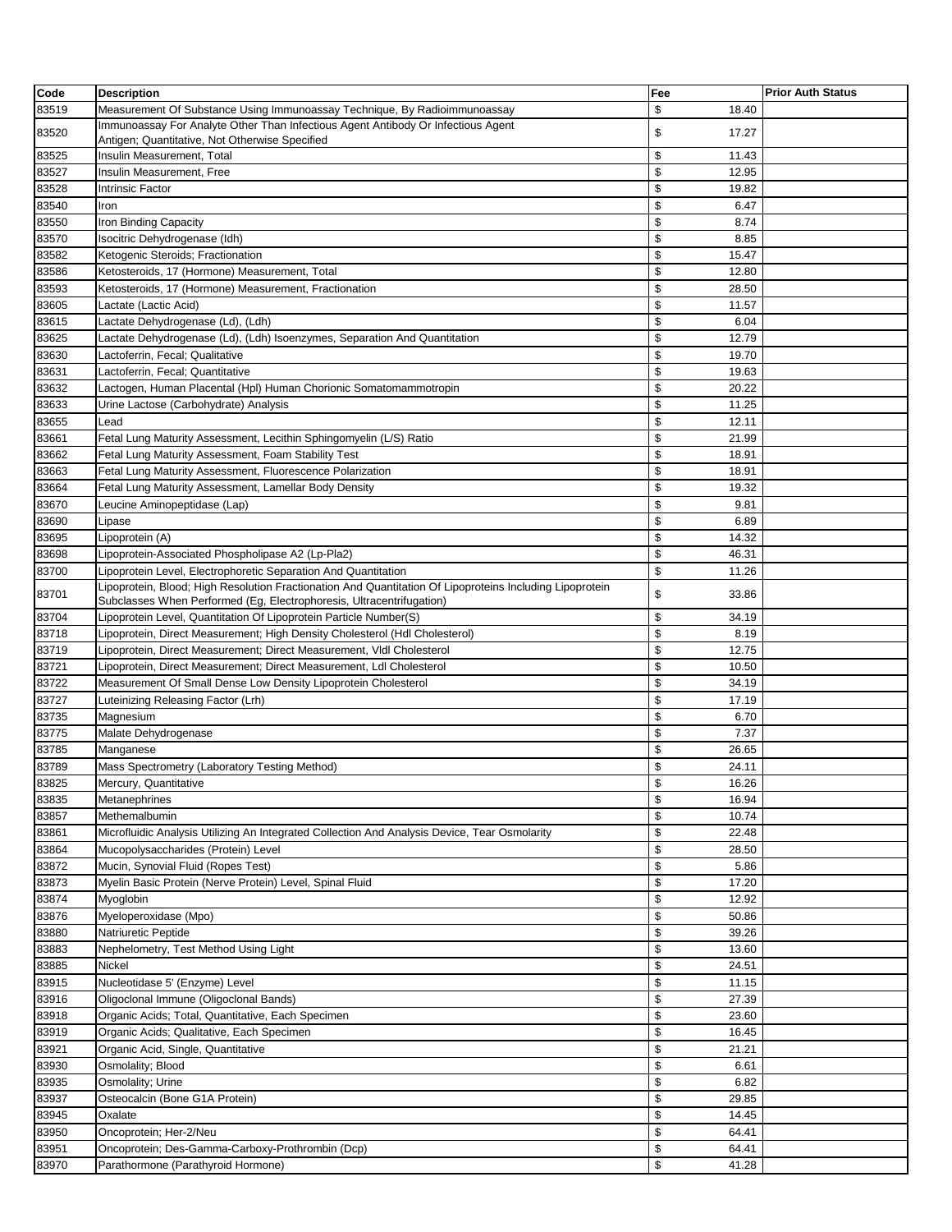| Code  | <b>Description</b>                                                                                                                                                               | Fee              | <b>Prior Auth Status</b> |
|-------|----------------------------------------------------------------------------------------------------------------------------------------------------------------------------------|------------------|--------------------------|
| 83519 | Measurement Of Substance Using Immunoassay Technique, By Radioimmunoassay                                                                                                        | \$<br>18.40      |                          |
| 83520 | Immunoassay For Analyte Other Than Infectious Agent Antibody Or Infectious Agent                                                                                                 | \$<br>17.27      |                          |
|       | Antigen; Quantitative, Not Otherwise Specified                                                                                                                                   |                  |                          |
| 83525 | Insulin Measurement, Total                                                                                                                                                       | \$<br>11.43      |                          |
| 83527 | Insulin Measurement, Free                                                                                                                                                        | \$<br>12.95      |                          |
| 83528 | <b>Intrinsic Factor</b>                                                                                                                                                          | \$<br>19.82      |                          |
| 83540 | Iron                                                                                                                                                                             | \$<br>6.47       |                          |
| 83550 | Iron Binding Capacity                                                                                                                                                            | \$<br>8.74       |                          |
| 83570 | Isocitric Dehydrogenase (Idh)                                                                                                                                                    | \$<br>8.85       |                          |
| 83582 | Ketogenic Steroids; Fractionation                                                                                                                                                | \$<br>15.47      |                          |
| 83586 | Ketosteroids, 17 (Hormone) Measurement, Total                                                                                                                                    | \$<br>12.80      |                          |
| 83593 | Ketosteroids, 17 (Hormone) Measurement, Fractionation                                                                                                                            | \$<br>28.50      |                          |
| 83605 | Lactate (Lactic Acid)                                                                                                                                                            | \$<br>11.57      |                          |
| 83615 | Lactate Dehydrogenase (Ld), (Ldh)                                                                                                                                                | \$<br>6.04       |                          |
| 83625 | Lactate Dehydrogenase (Ld), (Ldh) Isoenzymes, Separation And Quantitation                                                                                                        | \$<br>12.79      |                          |
| 83630 | Lactoferrin, Fecal; Qualitative                                                                                                                                                  | \$<br>19.70      |                          |
| 83631 | Lactoferrin, Fecal; Quantitative                                                                                                                                                 | \$<br>19.63      |                          |
| 83632 | Lactogen, Human Placental (Hpl) Human Chorionic Somatomammotropin                                                                                                                | \$<br>20.22      |                          |
| 83633 | Urine Lactose (Carbohydrate) Analysis                                                                                                                                            | \$<br>11.25      |                          |
| 83655 | Lead                                                                                                                                                                             | \$<br>12.11      |                          |
| 83661 | Fetal Lung Maturity Assessment, Lecithin Sphingomyelin (L/S) Ratio                                                                                                               | \$<br>21.99      |                          |
| 83662 | Fetal Lung Maturity Assessment, Foam Stability Test                                                                                                                              | \$<br>18.91      |                          |
|       |                                                                                                                                                                                  |                  |                          |
| 83663 | Fetal Lung Maturity Assessment, Fluorescence Polarization                                                                                                                        | \$<br>18.91      |                          |
| 83664 | Fetal Lung Maturity Assessment, Lamellar Body Density                                                                                                                            | \$<br>19.32      |                          |
| 83670 | Leucine Aminopeptidase (Lap)                                                                                                                                                     | \$<br>9.81       |                          |
| 83690 | Lipase                                                                                                                                                                           | \$<br>6.89       |                          |
| 83695 | Lipoprotein (A)                                                                                                                                                                  | \$<br>14.32      |                          |
| 83698 | Lipoprotein-Associated Phospholipase A2 (Lp-Pla2)                                                                                                                                | \$<br>46.31      |                          |
| 83700 | Lipoprotein Level, Electrophoretic Separation And Quantitation                                                                                                                   | \$<br>11.26      |                          |
| 83701 | Lipoprotein, Blood; High Resolution Fractionation And Quantitation Of Lipoproteins Including Lipoprotein<br>Subclasses When Performed (Eg, Electrophoresis, Ultracentrifugation) | \$<br>33.86      |                          |
| 83704 | Lipoprotein Level, Quantitation Of Lipoprotein Particle Number(S)                                                                                                                | \$<br>34.19      |                          |
| 83718 | Lipoprotein, Direct Measurement; High Density Cholesterol (Hdl Cholesterol)                                                                                                      | \$<br>8.19       |                          |
| 83719 | Lipoprotein, Direct Measurement; Direct Measurement, VIdl Cholesterol                                                                                                            | \$<br>12.75      |                          |
| 83721 | Lipoprotein, Direct Measurement; Direct Measurement, Ldl Cholesterol                                                                                                             | \$<br>10.50      |                          |
| 83722 | Measurement Of Small Dense Low Density Lipoprotein Cholesterol                                                                                                                   | \$<br>34.19      |                          |
| 83727 | Luteinizing Releasing Factor (Lrh)                                                                                                                                               | \$<br>17.19      |                          |
| 83735 | Magnesium                                                                                                                                                                        | \$<br>6.70       |                          |
| 83775 | Malate Dehydrogenase                                                                                                                                                             | \$<br>7.37       |                          |
| 83785 | Manganese                                                                                                                                                                        | \$<br>26.65      |                          |
| 83789 | Mass Spectrometry (Laboratory Testing Method)                                                                                                                                    | \$<br>24.11      |                          |
| 83825 | Mercury, Quantitative                                                                                                                                                            | 16.26            |                          |
| 83835 | Metanephrines                                                                                                                                                                    | Φ<br>\$<br>16.94 |                          |
| 83857 | Methemalbumin                                                                                                                                                                    | \$<br>10.74      |                          |
| 83861 | Microfluidic Analysis Utilizing An Integrated Collection And Analysis Device, Tear Osmolarity                                                                                    | \$<br>22.48      |                          |
|       |                                                                                                                                                                                  | \$<br>28.50      |                          |
| 83864 | Mucopolysaccharides (Protein) Level                                                                                                                                              | \$               |                          |
| 83872 | Mucin, Synovial Fluid (Ropes Test)                                                                                                                                               | 5.86<br>\$       |                          |
| 83873 | Myelin Basic Protein (Nerve Protein) Level, Spinal Fluid                                                                                                                         | 17.20            |                          |
| 83874 | Myoglobin                                                                                                                                                                        | \$<br>12.92      |                          |
| 83876 | Myeloperoxidase (Mpo)                                                                                                                                                            | \$<br>50.86      |                          |
| 83880 | Natriuretic Peptide                                                                                                                                                              | \$<br>39.26      |                          |
| 83883 | Nephelometry, Test Method Using Light                                                                                                                                            | \$<br>13.60      |                          |
| 83885 | Nickel                                                                                                                                                                           | \$<br>24.51      |                          |
| 83915 | Nucleotidase 5' (Enzyme) Level                                                                                                                                                   | \$<br>11.15      |                          |
| 83916 | Oligoclonal Immune (Oligoclonal Bands)                                                                                                                                           | \$<br>27.39      |                          |
| 83918 | Organic Acids; Total, Quantitative, Each Specimen                                                                                                                                | \$<br>23.60      |                          |
| 83919 | Organic Acids; Qualitative, Each Specimen                                                                                                                                        | \$<br>16.45      |                          |
| 83921 | Organic Acid, Single, Quantitative                                                                                                                                               | \$<br>21.21      |                          |
| 83930 | Osmolality; Blood                                                                                                                                                                | \$<br>6.61       |                          |
| 83935 | Osmolality; Urine                                                                                                                                                                | \$<br>6.82       |                          |
| 83937 | Osteocalcin (Bone G1A Protein)                                                                                                                                                   | \$<br>29.85      |                          |
| 83945 | Oxalate                                                                                                                                                                          | \$<br>14.45      |                          |
| 83950 | Oncoprotein; Her-2/Neu                                                                                                                                                           | \$<br>64.41      |                          |
| 83951 | Oncoprotein; Des-Gamma-Carboxy-Prothrombin (Dcp)                                                                                                                                 | \$<br>64.41      |                          |
| 83970 | Parathormone (Parathyroid Hormone)                                                                                                                                               | \$<br>41.28      |                          |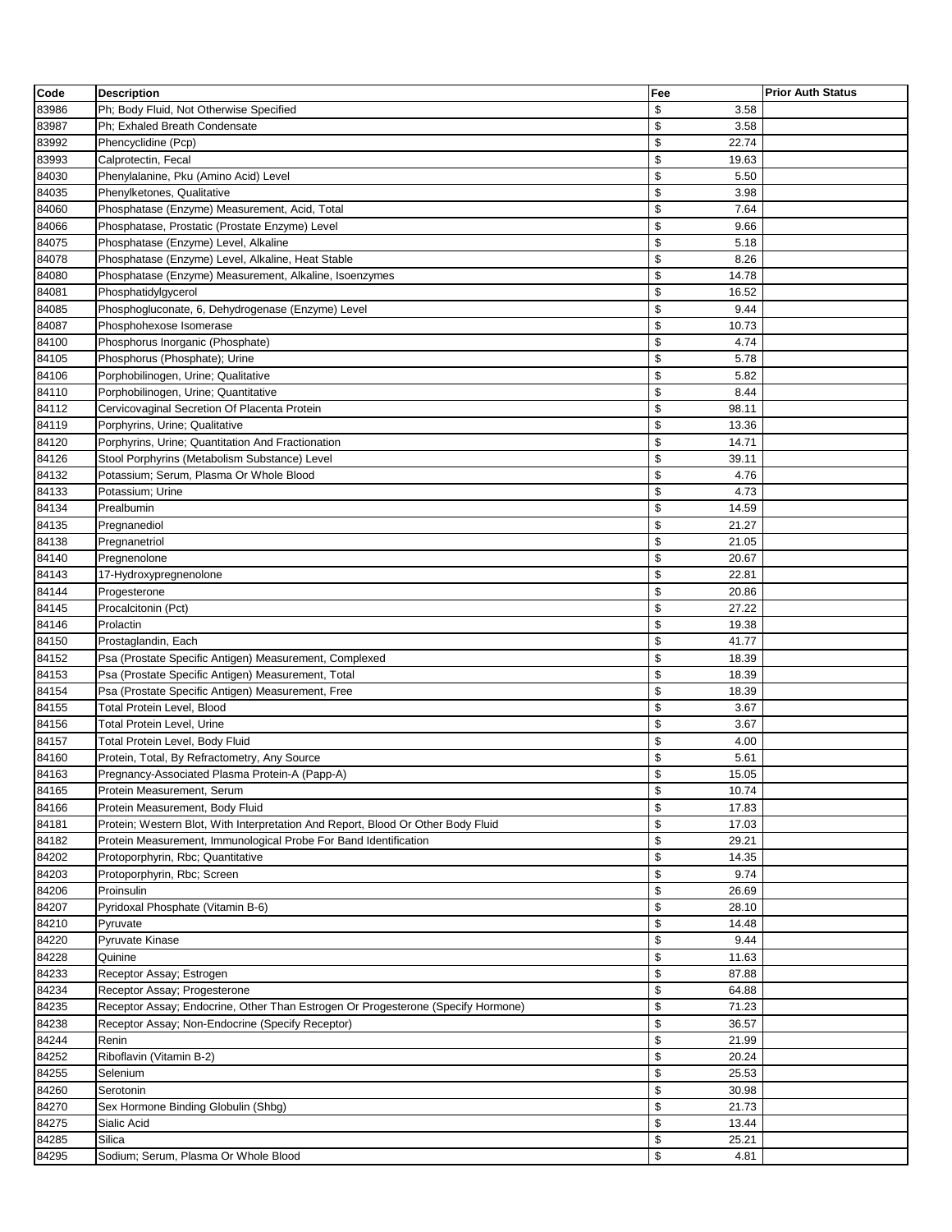| Code           | <b>Description</b>                                                               | Fee                        | <b>Prior Auth Status</b> |
|----------------|----------------------------------------------------------------------------------|----------------------------|--------------------------|
| 83986          | Ph; Body Fluid, Not Otherwise Specified                                          | \$<br>3.58                 |                          |
| 83987          | Ph: Exhaled Breath Condensate                                                    | \$<br>3.58                 |                          |
| 83992          | Phencyclidine (Pcp)                                                              | \$<br>22.74                |                          |
| 83993          | Calprotectin, Fecal                                                              | \$<br>19.63                |                          |
| 84030          | Phenylalanine, Pku (Amino Acid) Level                                            | \$<br>5.50                 |                          |
| 84035          | Phenylketones, Qualitative                                                       | \$<br>3.98                 |                          |
| 84060          | Phosphatase (Enzyme) Measurement, Acid, Total                                    | \$<br>7.64                 |                          |
| 84066          | Phosphatase, Prostatic (Prostate Enzyme) Level                                   | \$<br>9.66                 |                          |
| 84075          | Phosphatase (Enzyme) Level, Alkaline                                             | \$<br>5.18                 |                          |
| 84078          | Phosphatase (Enzyme) Level, Alkaline, Heat Stable                                | \$<br>8.26                 |                          |
| 84080          | Phosphatase (Enzyme) Measurement, Alkaline, Isoenzymes                           | \$<br>14.78                |                          |
| 84081          | Phosphatidylgycerol                                                              | \$<br>16.52                |                          |
| 84085          | Phosphogluconate, 6, Dehydrogenase (Enzyme) Level                                | \$<br>9.44                 |                          |
| 84087          | Phosphohexose Isomerase                                                          | \$<br>10.73                |                          |
| 84100          | Phosphorus Inorganic (Phosphate)                                                 | \$<br>4.74                 |                          |
| 84105          | Phosphorus (Phosphate); Urine                                                    | \$<br>5.78                 |                          |
| 84106          | Porphobilinogen, Urine; Qualitative                                              | \$<br>5.82                 |                          |
| 84110          | Porphobilinogen, Urine; Quantitative                                             | \$<br>8.44                 |                          |
| 84112          | Cervicovaginal Secretion Of Placenta Protein                                     | \$<br>98.11                |                          |
| 84119          | Porphyrins, Urine; Qualitative                                                   | \$<br>13.36                |                          |
| 84120          | Porphyrins, Urine; Quantitation And Fractionation                                | \$<br>14.71                |                          |
| 84126          | Stool Porphyrins (Metabolism Substance) Level                                    | \$<br>39.11                |                          |
| 84132          | Potassium; Serum, Plasma Or Whole Blood                                          | \$<br>4.76                 |                          |
| 84133          | Potassium; Urine                                                                 | \$<br>4.73                 |                          |
| 84134          | Prealbumin                                                                       | \$<br>14.59                |                          |
| 84135          | Pregnanediol                                                                     | \$<br>21.27                |                          |
| 84138          | Pregnanetriol                                                                    | \$<br>21.05                |                          |
| 84140          | Pregnenolone                                                                     | \$<br>20.67                |                          |
| 84143          | 17-Hydroxypregnenolone                                                           | \$<br>22.81                |                          |
| 84144          | Progesterone                                                                     | \$<br>20.86                |                          |
| 84145          | Procalcitonin (Pct)                                                              | \$<br>27.22                |                          |
| 84146<br>84150 | Prolactin                                                                        | \$<br>19.38<br>\$<br>41.77 |                          |
| 84152          | Prostaglandin, Each<br>Psa (Prostate Specific Antigen) Measurement, Complexed    | \$<br>18.39                |                          |
| 84153          | Psa (Prostate Specific Antigen) Measurement, Total                               | \$<br>18.39                |                          |
| 84154          | Psa (Prostate Specific Antigen) Measurement, Free                                | \$<br>18.39                |                          |
| 84155          | <b>Total Protein Level, Blood</b>                                                | \$<br>3.67                 |                          |
| 84156          | <b>Total Protein Level, Urine</b>                                                | \$<br>3.67                 |                          |
| 84157          | Total Protein Level, Body Fluid                                                  | \$<br>4.00                 |                          |
| 84160          | Protein, Total, By Refractometry, Any Source                                     | \$<br>5.61                 |                          |
| 84163          | Pregnancy-Associated Plasma Protein-A (Papp-A)                                   | \$<br>15.05                |                          |
| 84165          | Protein Measurement, Serum                                                       | \$<br>10.74                |                          |
| 84166          | Protein Measurement, Body Fluid                                                  | \$<br>17.83                |                          |
| 84181          | Protein; Western Blot, With Interpretation And Report, Blood Or Other Body Fluid | \$<br>17.03                |                          |
| 84182          | Protein Measurement, Immunological Probe For Band Identification                 | \$<br>29.21                |                          |
| 84202          | Protoporphyrin, Rbc; Quantitative                                                | \$<br>14.35                |                          |
| 84203          | Protoporphyrin, Rbc; Screen                                                      | \$<br>9.74                 |                          |
| 84206          | Proinsulin                                                                       | \$<br>26.69                |                          |
| 84207          | Pyridoxal Phosphate (Vitamin B-6)                                                | \$<br>28.10                |                          |
| 84210          | Pyruvate                                                                         | \$<br>14.48                |                          |
| 84220          | Pyruvate Kinase                                                                  | \$<br>9.44                 |                          |
| 84228          | Quinine                                                                          | \$<br>11.63                |                          |
| 84233          | Receptor Assay; Estrogen                                                         | \$<br>87.88                |                          |
| 84234          | Receptor Assay; Progesterone                                                     | \$<br>64.88                |                          |
| 84235          | Receptor Assay; Endocrine, Other Than Estrogen Or Progesterone (Specify Hormone) | \$<br>71.23                |                          |
| 84238          | Receptor Assay; Non-Endocrine (Specify Receptor)                                 | \$<br>36.57                |                          |
| 84244          | Renin                                                                            | \$<br>21.99                |                          |
| 84252          | Riboflavin (Vitamin B-2)                                                         | \$<br>20.24                |                          |
| 84255          | Selenium                                                                         | \$<br>25.53                |                          |
| 84260          | Serotonin                                                                        | \$<br>30.98                |                          |
| 84270          | Sex Hormone Binding Globulin (Shbg)                                              | \$<br>21.73                |                          |
| 84275          | Sialic Acid                                                                      | \$<br>13.44                |                          |
| 84285          | Silica                                                                           | \$<br>25.21                |                          |
| 84295          | Sodium; Serum, Plasma Or Whole Blood                                             | \$<br>4.81                 |                          |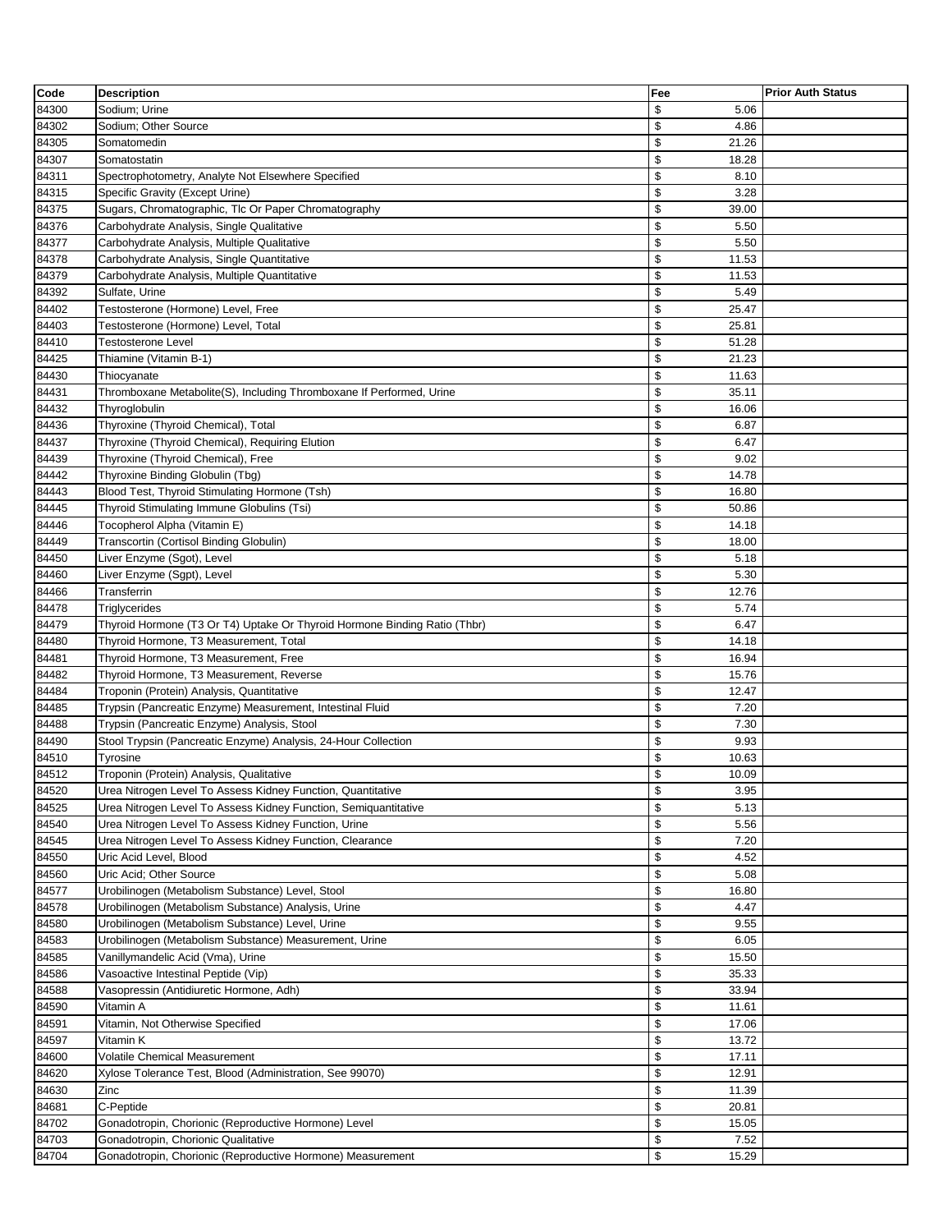| Code           | <b>Description</b>                                                        | Fee                  | <b>Prior Auth Status</b> |
|----------------|---------------------------------------------------------------------------|----------------------|--------------------------|
| 84300          | Sodium; Urine                                                             | \$<br>5.06           |                          |
| 84302          | Sodium; Other Source                                                      | \$<br>4.86           |                          |
| 84305          | Somatomedin                                                               | \$<br>21.26          |                          |
| 84307          | Somatostatin                                                              | \$<br>18.28          |                          |
| 84311          | Spectrophotometry, Analyte Not Elsewhere Specified                        | \$<br>8.10           |                          |
| 84315          | Specific Gravity (Except Urine)                                           | \$<br>3.28           |                          |
| 84375          | Sugars, Chromatographic, Tlc Or Paper Chromatography                      | \$<br>39.00          |                          |
| 84376          | Carbohydrate Analysis, Single Qualitative                                 | \$<br>5.50           |                          |
| 84377          | Carbohydrate Analysis, Multiple Qualitative                               | \$<br>5.50           |                          |
| 84378          | Carbohydrate Analysis, Single Quantitative                                | \$<br>11.53          |                          |
|                |                                                                           |                      |                          |
| 84379          | Carbohydrate Analysis, Multiple Quantitative                              | \$<br>11.53          |                          |
| 84392          | Sulfate, Urine                                                            | \$<br>5.49           |                          |
| 84402          | Testosterone (Hormone) Level, Free                                        | \$<br>25.47          |                          |
| 84403          | Testosterone (Hormone) Level, Total                                       | \$<br>25.81          |                          |
| 84410          | <b>Testosterone Level</b>                                                 | \$<br>51.28          |                          |
| 84425          | Thiamine (Vitamin B-1)                                                    | \$<br>21.23          |                          |
| 84430          | Thiocyanate                                                               | \$<br>11.63          |                          |
| 84431          | Thromboxane Metabolite(S), Including Thromboxane If Performed, Urine      | \$<br>35.11          |                          |
| 84432          | Thyroglobulin                                                             | \$<br>16.06          |                          |
| 84436          | Thyroxine (Thyroid Chemical), Total                                       | \$<br>6.87           |                          |
| 84437          | Thyroxine (Thyroid Chemical), Requiring Elution                           | \$<br>6.47           |                          |
| 84439          | Thyroxine (Thyroid Chemical), Free                                        | \$<br>9.02           |                          |
| 84442          | Thyroxine Binding Globulin (Tbg)                                          | \$<br>14.78          |                          |
| 84443          | Blood Test, Thyroid Stimulating Hormone (Tsh)                             | \$<br>16.80          |                          |
| 84445          | Thyroid Stimulating Immune Globulins (Tsi)                                | \$<br>50.86          |                          |
| 84446          | Tocopherol Alpha (Vitamin E)                                              | \$<br>14.18          |                          |
| 84449          | Transcortin (Cortisol Binding Globulin)                                   | \$<br>18.00          |                          |
| 84450          | Liver Enzyme (Sgot), Level                                                | \$<br>5.18           |                          |
| 84460          | Liver Enzyme (Sgpt), Level                                                | \$<br>5.30           |                          |
| 84466          | Transferrin                                                               | \$<br>12.76          |                          |
| 84478          | Triglycerides                                                             | \$<br>5.74           |                          |
| 84479          | Thyroid Hormone (T3 Or T4) Uptake Or Thyroid Hormone Binding Ratio (Thbr) | \$<br>6.47           |                          |
| 84480          | Thyroid Hormone, T3 Measurement, Total                                    | \$<br>14.18          |                          |
| 84481          | Thyroid Hormone, T3 Measurement, Free                                     | \$<br>16.94          |                          |
| 84482          | Thyroid Hormone, T3 Measurement, Reverse                                  | \$<br>15.76          |                          |
| 84484          | Troponin (Protein) Analysis, Quantitative                                 | \$<br>12.47          |                          |
| 84485          | Trypsin (Pancreatic Enzyme) Measurement, Intestinal Fluid                 | \$<br>7.20           |                          |
| 84488          | Trypsin (Pancreatic Enzyme) Analysis, Stool                               | \$<br>7.30           |                          |
| 84490          | Stool Trypsin (Pancreatic Enzyme) Analysis, 24-Hour Collection            | \$<br>9.93           |                          |
|                |                                                                           | \$                   |                          |
| 84510<br>84512 | <b>Tyrosine</b><br>Troponin (Protein) Analysis, Qualitative               | 10.63<br>\$<br>10.09 |                          |
|                |                                                                           |                      |                          |
| 84520          | Urea Nitrogen Level To Assess Kidney Function, Quantitative               | \$<br>3.95           |                          |
| 84525          | Urea Nitrogen Level To Assess Kidney Function, Semiquantitative           | \$<br>5.13           |                          |
| 84540          | Urea Nitrogen Level To Assess Kidney Function, Urine                      | \$<br>5.56           |                          |
| 84545          | Urea Nitrogen Level To Assess Kidney Function, Clearance                  | \$<br>7.20           |                          |
| 84550          | Uric Acid Level, Blood                                                    | \$<br>4.52           |                          |
| 84560          | Uric Acid; Other Source                                                   | \$<br>5.08           |                          |
| 84577          | Urobilinogen (Metabolism Substance) Level, Stool                          | \$<br>16.80          |                          |
| 84578          | Urobilinogen (Metabolism Substance) Analysis, Urine                       | \$<br>4.47           |                          |
| 84580          | Urobilinogen (Metabolism Substance) Level, Urine                          | \$<br>9.55           |                          |
| 84583          | Urobilinogen (Metabolism Substance) Measurement, Urine                    | \$<br>6.05           |                          |
| 84585          | Vanillymandelic Acid (Vma), Urine                                         | \$<br>15.50          |                          |
| 84586          | Vasoactive Intestinal Peptide (Vip)                                       | \$<br>35.33          |                          |
| 84588          | Vasopressin (Antidiuretic Hormone, Adh)                                   | \$<br>33.94          |                          |
| 84590          | Vitamin A                                                                 | \$<br>11.61          |                          |
| 84591          | Vitamin, Not Otherwise Specified                                          | \$<br>17.06          |                          |
| 84597          | Vitamin K                                                                 | \$<br>13.72          |                          |
| 84600          | Volatile Chemical Measurement                                             | \$<br>17.11          |                          |
| 84620          | Xylose Tolerance Test, Blood (Administration, See 99070)                  | \$<br>12.91          |                          |
| 84630          | Zinc                                                                      | \$<br>11.39          |                          |
| 84681          | C-Peptide                                                                 | \$<br>20.81          |                          |
| 84702          | Gonadotropin, Chorionic (Reproductive Hormone) Level                      | \$<br>15.05          |                          |
| 84703          | Gonadotropin, Chorionic Qualitative                                       | \$<br>7.52           |                          |
| 84704          | Gonadotropin, Chorionic (Reproductive Hormone) Measurement                | \$<br>15.29          |                          |
|                |                                                                           |                      |                          |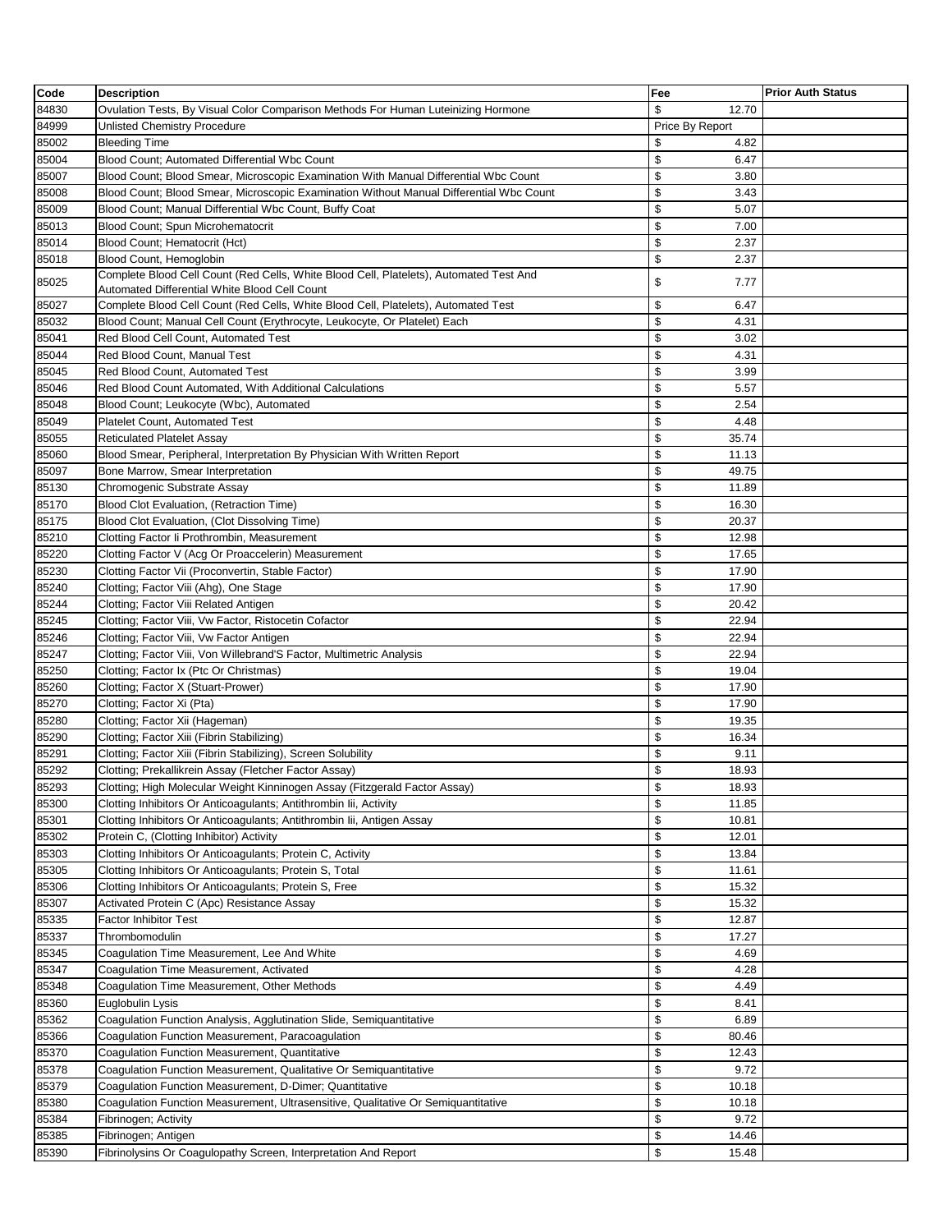| Code  | <b>Description</b>                                                                                                                  | Fee                  | <b>Prior Auth Status</b> |
|-------|-------------------------------------------------------------------------------------------------------------------------------------|----------------------|--------------------------|
| 84830 | Ovulation Tests, By Visual Color Comparison Methods For Human Luteinizing Hormone                                                   | \$<br>12.70          |                          |
| 84999 | Unlisted Chemistry Procedure                                                                                                        | Price By Report      |                          |
| 85002 | <b>Bleeding Time</b>                                                                                                                | \$<br>4.82           |                          |
| 85004 | Blood Count; Automated Differential Wbc Count                                                                                       | \$<br>6.47           |                          |
| 85007 | Blood Count; Blood Smear, Microscopic Examination With Manual Differential Wbc Count                                                | \$<br>3.80           |                          |
| 85008 | Blood Count; Blood Smear, Microscopic Examination Without Manual Differential Wbc Count                                             | \$<br>3.43           |                          |
| 85009 | Blood Count; Manual Differential Wbc Count, Buffy Coat                                                                              | \$<br>5.07           |                          |
| 85013 | Blood Count; Spun Microhematocrit                                                                                                   | \$<br>7.00           |                          |
| 85014 | Blood Count; Hematocrit (Hct)                                                                                                       | \$<br>2.37           |                          |
| 85018 | Blood Count, Hemoglobin                                                                                                             | \$<br>2.37           |                          |
|       | Complete Blood Cell Count (Red Cells, White Blood Cell, Platelets), Automated Test And                                              |                      |                          |
| 85025 | Automated Differential White Blood Cell Count                                                                                       | \$<br>7.77           |                          |
| 85027 | Complete Blood Cell Count (Red Cells, White Blood Cell, Platelets), Automated Test                                                  | \$<br>6.47           |                          |
| 85032 | Blood Count; Manual Cell Count (Erythrocyte, Leukocyte, Or Platelet) Each                                                           | \$<br>4.31           |                          |
| 85041 | Red Blood Cell Count, Automated Test                                                                                                | \$<br>3.02           |                          |
| 85044 | Red Blood Count, Manual Test                                                                                                        | \$<br>4.31           |                          |
| 85045 | Red Blood Count, Automated Test                                                                                                     | \$<br>3.99           |                          |
| 85046 | Red Blood Count Automated, With Additional Calculations                                                                             | \$<br>5.57           |                          |
| 85048 | Blood Count; Leukocyte (Wbc), Automated                                                                                             | \$<br>2.54           |                          |
| 85049 | <b>Platelet Count, Automated Test</b>                                                                                               | \$<br>4.48           |                          |
| 85055 | <b>Reticulated Platelet Assay</b>                                                                                                   | \$<br>35.74          |                          |
| 85060 | Blood Smear, Peripheral, Interpretation By Physician With Written Report                                                            | \$<br>11.13          |                          |
| 85097 | Bone Marrow, Smear Interpretation                                                                                                   | \$<br>49.75          |                          |
| 85130 | Chromogenic Substrate Assay                                                                                                         | \$<br>11.89          |                          |
| 85170 | Blood Clot Evaluation, (Retraction Time)                                                                                            | \$<br>16.30          |                          |
| 85175 | Blood Clot Evaluation, (Clot Dissolving Time)                                                                                       | \$<br>20.37          |                          |
| 85210 | Clotting Factor Ii Prothrombin, Measurement                                                                                         | \$<br>12.98          |                          |
| 85220 | Clotting Factor V (Acg Or Proaccelerin) Measurement                                                                                 | \$<br>17.65          |                          |
| 85230 | Clotting Factor Vii (Proconvertin, Stable Factor)                                                                                   | \$<br>17.90          |                          |
| 85240 | Clotting; Factor Viii (Ahg), One Stage                                                                                              | \$<br>17.90          |                          |
| 85244 | Clotting; Factor Viii Related Antigen                                                                                               | \$<br>20.42          |                          |
| 85245 | Clotting; Factor Viii, Vw Factor, Ristocetin Cofactor                                                                               | \$<br>22.94          |                          |
| 85246 | Clotting; Factor Viii, Vw Factor Antigen                                                                                            | \$<br>22.94          |                          |
| 85247 | Clotting; Factor Viii, Von Willebrand'S Factor, Multimetric Analysis                                                                | \$<br>22.94          |                          |
| 85250 | Clotting; Factor Ix (Ptc Or Christmas)                                                                                              | \$<br>19.04          |                          |
| 85260 | Clotting; Factor X (Stuart-Prower)                                                                                                  | \$<br>17.90          |                          |
| 85270 | Clotting; Factor Xi (Pta)                                                                                                           | \$<br>17.90          |                          |
| 85280 | Clotting; Factor Xii (Hageman)                                                                                                      | \$<br>19.35          |                          |
| 85290 | Clotting; Factor Xiii (Fibrin Stabilizing)                                                                                          | \$<br>16.34          |                          |
| 85291 |                                                                                                                                     | \$<br>9.11           |                          |
|       | Clotting; Factor Xiii (Fibrin Stabilizing), Screen Solubility                                                                       | \$<br>18.93          |                          |
| 85292 | Clotting; Prekallikrein Assay (Fletcher Factor Assay)<br>Clotting; High Molecular Weight Kinninogen Assay (Fitzgerald Factor Assay) |                      |                          |
| 85293 |                                                                                                                                     | \$<br>18.93<br>\$    |                          |
| 85300 | Clotting Inhibitors Or Anticoagulants; Antithrombin Iii, Activity                                                                   | 11.85<br>\$<br>10.81 |                          |
| 85301 | Clotting Inhibitors Or Anticoagulants; Antithrombin Iii, Antigen Assay                                                              | \$                   |                          |
| 85302 | Protein C, (Clotting Inhibitor) Activity                                                                                            | 12.01<br>\$          |                          |
| 85303 | Clotting Inhibitors Or Anticoagulants; Protein C, Activity                                                                          | 13.84                |                          |
| 85305 | Clotting Inhibitors Or Anticoagulants; Protein S, Total                                                                             | \$<br>11.61          |                          |
| 85306 | Clotting Inhibitors Or Anticoagulants; Protein S, Free                                                                              | \$<br>15.32<br>\$    |                          |
| 85307 | Activated Protein C (Apc) Resistance Assay                                                                                          | 15.32                |                          |
| 85335 | <b>Factor Inhibitor Test</b>                                                                                                        | \$<br>12.87          |                          |
| 85337 | Thrombomodulin                                                                                                                      | \$<br>17.27          |                          |
| 85345 | Coagulation Time Measurement, Lee And White                                                                                         | \$<br>4.69           |                          |
| 85347 | Coagulation Time Measurement, Activated                                                                                             | \$<br>4.28           |                          |
| 85348 | Coagulation Time Measurement, Other Methods                                                                                         | \$<br>4.49           |                          |
| 85360 | Euglobulin Lysis                                                                                                                    | \$<br>8.41           |                          |
| 85362 | Coagulation Function Analysis, Agglutination Slide, Semiquantitative                                                                | \$<br>6.89           |                          |
| 85366 | Coagulation Function Measurement, Paracoagulation                                                                                   | \$<br>80.46          |                          |
| 85370 | Coagulation Function Measurement, Quantitative                                                                                      | \$<br>12.43          |                          |
| 85378 | Coagulation Function Measurement, Qualitative Or Semiquantitative                                                                   | \$<br>9.72           |                          |
| 85379 | Coagulation Function Measurement, D-Dimer; Quantitative                                                                             | \$<br>10.18          |                          |
| 85380 | Coagulation Function Measurement, Ultrasensitive, Qualitative Or Semiquantitative                                                   | \$<br>10.18          |                          |
| 85384 | Fibrinogen; Activity                                                                                                                | \$<br>9.72           |                          |
| 85385 | Fibrinogen; Antigen                                                                                                                 | \$<br>14.46          |                          |
| 85390 | Fibrinolysins Or Coagulopathy Screen, Interpretation And Report                                                                     | \$<br>15.48          |                          |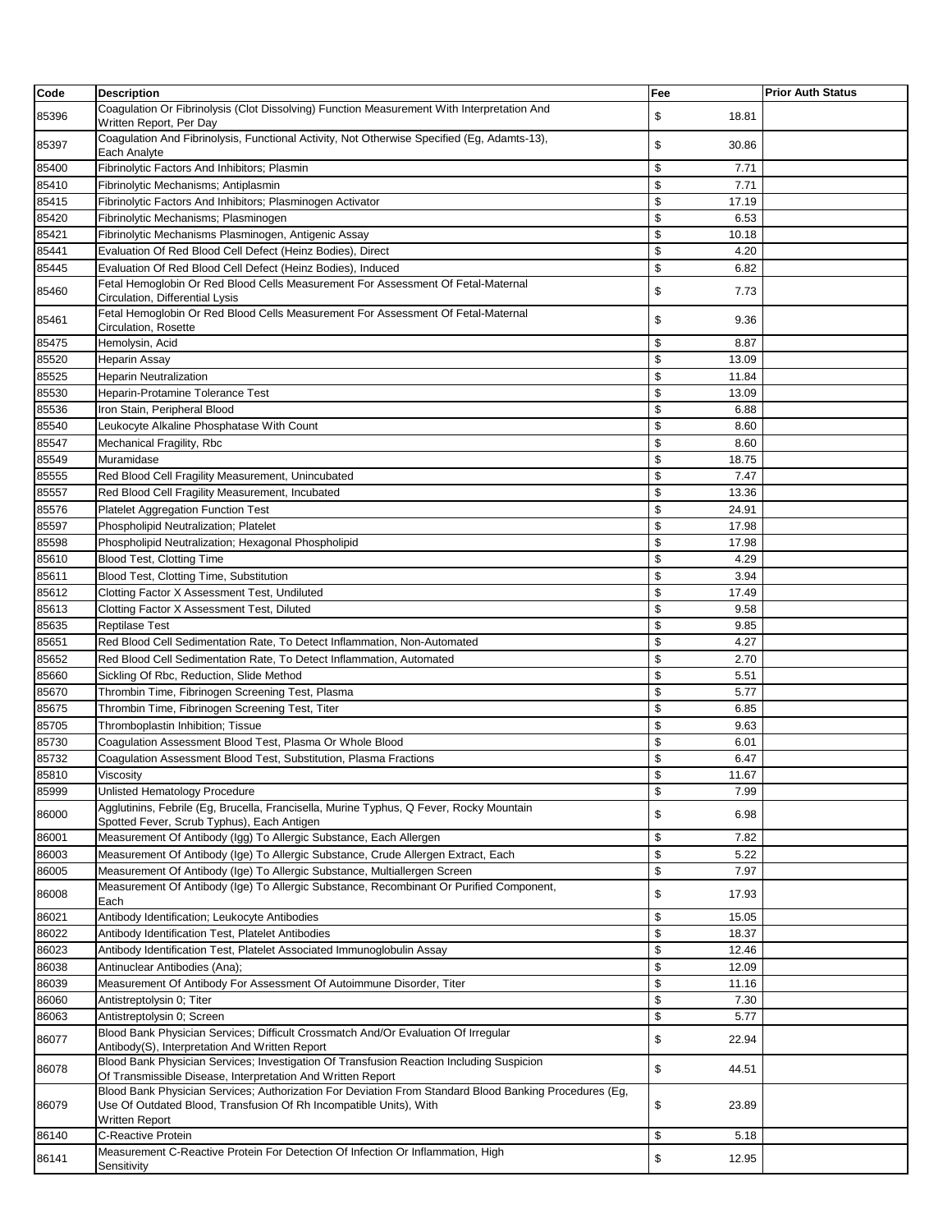| Code           | <b>Description</b>                                                                                                                                                                                    | Fee                 | <b>Prior Auth Status</b> |
|----------------|-------------------------------------------------------------------------------------------------------------------------------------------------------------------------------------------------------|---------------------|--------------------------|
| 85396          | Coagulation Or Fibrinolysis (Clot Dissolving) Function Measurement With Interpretation And<br>Written Report, Per Day                                                                                 | \$<br>18.81         |                          |
| 85397          | Coagulation And Fibrinolysis, Functional Activity, Not Otherwise Specified (Eg, Adamts-13),<br>Each Analyte                                                                                           | \$<br>30.86         |                          |
| 85400          | Fibrinolytic Factors And Inhibitors; Plasmin                                                                                                                                                          | \$<br>7.71          |                          |
| 85410          | Fibrinolytic Mechanisms; Antiplasmin                                                                                                                                                                  | \$<br>7.71          |                          |
| 85415          | Fibrinolytic Factors And Inhibitors; Plasminogen Activator                                                                                                                                            | \$<br>17.19         |                          |
| 85420          | Fibrinolytic Mechanisms; Plasminogen                                                                                                                                                                  | \$<br>6.53          |                          |
| 85421          | Fibrinolytic Mechanisms Plasminogen, Antigenic Assay                                                                                                                                                  | \$<br>10.18         |                          |
| 85441          | Evaluation Of Red Blood Cell Defect (Heinz Bodies), Direct                                                                                                                                            | \$<br>4.20          |                          |
| 85445          | Evaluation Of Red Blood Cell Defect (Heinz Bodies), Induced                                                                                                                                           | \$<br>6.82          |                          |
| 85460          | Fetal Hemoglobin Or Red Blood Cells Measurement For Assessment Of Fetal-Maternal<br>Circulation, Differential Lysis                                                                                   | \$<br>7.73          |                          |
| 85461          | Fetal Hemoglobin Or Red Blood Cells Measurement For Assessment Of Fetal-Maternal<br>Circulation, Rosette                                                                                              | \$<br>9.36          |                          |
| 85475          | Hemolysin, Acid                                                                                                                                                                                       | \$<br>8.87          |                          |
| 85520          | <b>Heparin Assay</b>                                                                                                                                                                                  | \$<br>13.09         |                          |
| 85525          | <b>Heparin Neutralization</b>                                                                                                                                                                         | \$<br>11.84         |                          |
| 85530          | Heparin-Protamine Tolerance Test                                                                                                                                                                      | \$<br>13.09         |                          |
| 85536          | Iron Stain, Peripheral Blood                                                                                                                                                                          | \$<br>6.88          |                          |
| 85540          | Leukocyte Alkaline Phosphatase With Count                                                                                                                                                             | \$<br>8.60          |                          |
| 85547          | Mechanical Fragility, Rbc                                                                                                                                                                             | \$<br>8.60          |                          |
| 85549          | Muramidase                                                                                                                                                                                            | \$<br>18.75         |                          |
| 85555          | Red Blood Cell Fragility Measurement, Unincubated                                                                                                                                                     | \$<br>7.47          |                          |
| 85557          | Red Blood Cell Fragility Measurement, Incubated                                                                                                                                                       | \$<br>13.36         |                          |
| 85576          | Platelet Aggregation Function Test                                                                                                                                                                    | \$<br>24.91         |                          |
| 85597          | Phospholipid Neutralization; Platelet                                                                                                                                                                 | \$<br>17.98         |                          |
| 85598          | Phospholipid Neutralization; Hexagonal Phospholipid                                                                                                                                                   | \$                  |                          |
|                |                                                                                                                                                                                                       | 17.98<br>\$<br>4.29 |                          |
| 85610<br>85611 | Blood Test, Clotting Time<br>Blood Test, Clotting Time, Substitution                                                                                                                                  | \$<br>3.94          |                          |
| 85612          | Clotting Factor X Assessment Test, Undiluted                                                                                                                                                          | \$<br>17.49         |                          |
|                |                                                                                                                                                                                                       | \$                  |                          |
| 85613          | Clotting Factor X Assessment Test, Diluted                                                                                                                                                            | 9.58<br>\$<br>9.85  |                          |
| 85635<br>85651 | <b>Reptilase Test</b><br>Red Blood Cell Sedimentation Rate, To Detect Inflammation, Non-Automated                                                                                                     | \$<br>4.27          |                          |
| 85652          |                                                                                                                                                                                                       | \$                  |                          |
|                | Red Blood Cell Sedimentation Rate, To Detect Inflammation, Automated                                                                                                                                  | 2.70                |                          |
| 85660          | Sickling Of Rbc, Reduction, Slide Method<br>Thrombin Time, Fibrinogen Screening Test, Plasma                                                                                                          | \$<br>5.51<br>\$    |                          |
| 85670          |                                                                                                                                                                                                       | 5.77                |                          |
| 85675          | Thrombin Time, Fibrinogen Screening Test, Titer                                                                                                                                                       | \$<br>6.85          |                          |
| 85705          | Thromboplastin Inhibition; Tissue                                                                                                                                                                     | \$<br>9.63          |                          |
| 85730          | Coagulation Assessment Blood Test, Plasma Or Whole Blood                                                                                                                                              | \$<br>6.01          |                          |
| 85732          | Coagulation Assessment Blood Test, Substitution, Plasma Fractions                                                                                                                                     | \$<br>6.47          |                          |
| 85810          | Viscosity                                                                                                                                                                                             | \$<br>11.67         |                          |
| 85999          | Unlisted Hematology Procedure                                                                                                                                                                         | \$<br>7.99          |                          |
| 86000          | Agglutinins, Febrile (Eg, Brucella, Francisella, Murine Typhus, Q Fever, Rocky Mountain<br>Spotted Fever, Scrub Typhus), Each Antigen                                                                 | \$<br>6.98          |                          |
| 86001          | Measurement Of Antibody (Igg) To Allergic Substance, Each Allergen                                                                                                                                    | \$<br>7.82          |                          |
| 86003          | Measurement Of Antibody (Ige) To Allergic Substance, Crude Allergen Extract, Each                                                                                                                     | \$<br>5.22          |                          |
| 86005          | Measurement Of Antibody (Ige) To Allergic Substance, Multiallergen Screen                                                                                                                             | \$<br>7.97          |                          |
| 86008          | Measurement Of Antibody (Ige) To Allergic Substance, Recombinant Or Purified Component,<br>Each                                                                                                       | \$<br>17.93         |                          |
| 86021          | Antibody Identification; Leukocyte Antibodies                                                                                                                                                         | \$<br>15.05         |                          |
| 86022          | Antibody Identification Test, Platelet Antibodies                                                                                                                                                     | \$<br>18.37         |                          |
| 86023          | Antibody Identification Test, Platelet Associated Immunoglobulin Assay                                                                                                                                | \$<br>12.46         |                          |
| 86038          | Antinuclear Antibodies (Ana);                                                                                                                                                                         | \$<br>12.09         |                          |
| 86039          | Measurement Of Antibody For Assessment Of Autoimmune Disorder, Titer                                                                                                                                  | \$<br>11.16         |                          |
| 86060          | Antistreptolysin 0; Titer                                                                                                                                                                             | \$<br>7.30          |                          |
| 86063          | Antistreptolysin 0; Screen                                                                                                                                                                            | \$<br>5.77          |                          |
| 86077          | Blood Bank Physician Services; Difficult Crossmatch And/Or Evaluation Of Irregular<br>Antibody(S), Interpretation And Written Report                                                                  | \$<br>22.94         |                          |
| 86078          | Blood Bank Physician Services; Investigation Of Transfusion Reaction Including Suspicion<br>Of Transmissible Disease, Interpretation And Written Report                                               | \$<br>44.51         |                          |
| 86079          | Blood Bank Physician Services; Authorization For Deviation From Standard Blood Banking Procedures (Eg,<br>Use Of Outdated Blood, Transfusion Of Rh Incompatible Units), With<br><b>Written Report</b> | \$<br>23.89         |                          |
| 86140          | C-Reactive Protein                                                                                                                                                                                    | \$<br>5.18          |                          |
| 86141          | Measurement C-Reactive Protein For Detection Of Infection Or Inflammation, High<br>Sensitivity                                                                                                        | \$<br>12.95         |                          |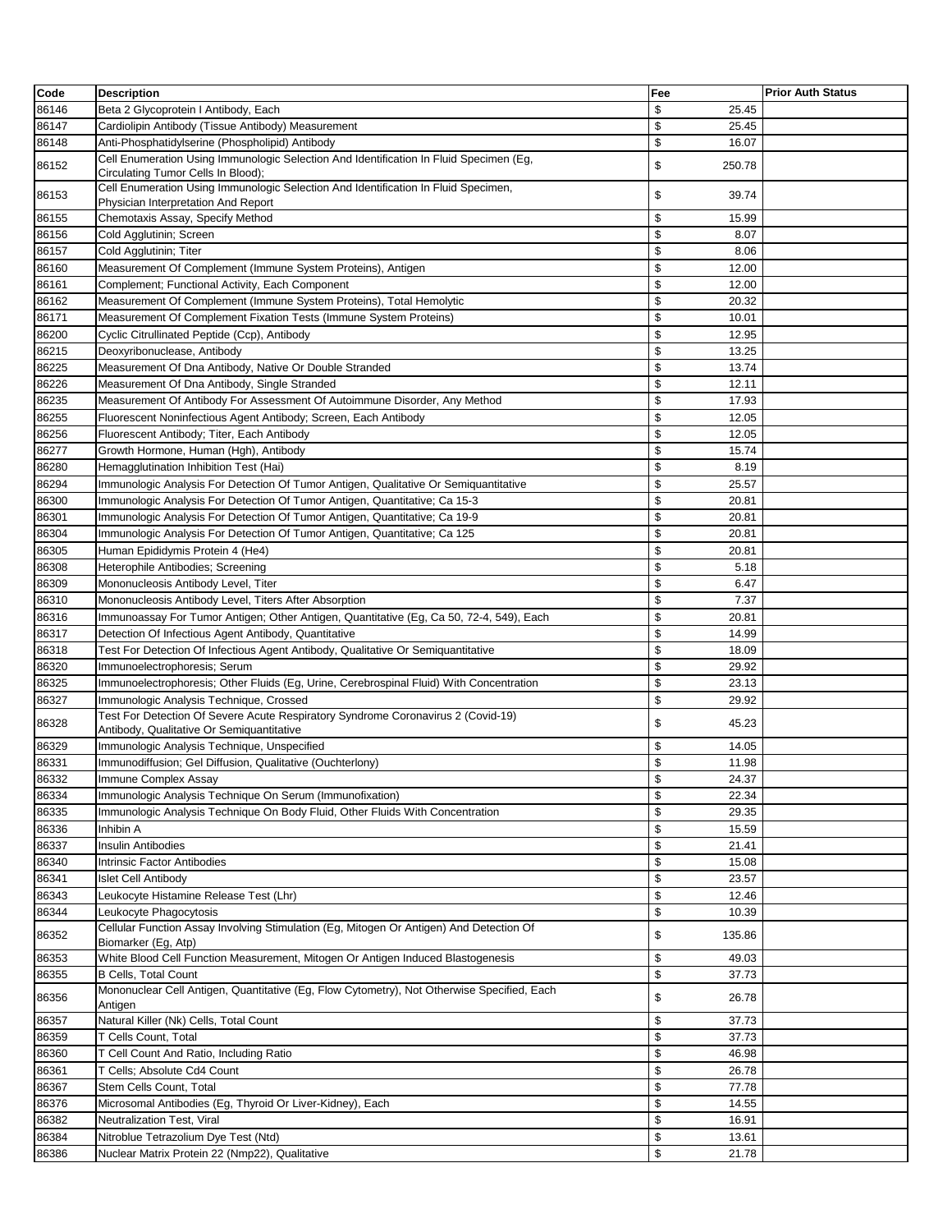| Code  | <b>Description</b>                                                                                                           | Fee          | <b>Prior Auth Status</b> |
|-------|------------------------------------------------------------------------------------------------------------------------------|--------------|--------------------------|
| 86146 | Beta 2 Glycoprotein I Antibody, Each                                                                                         | \$<br>25.45  |                          |
| 86147 | Cardiolipin Antibody (Tissue Antibody) Measurement                                                                           | \$<br>25.45  |                          |
| 86148 | Anti-Phosphatidylserine (Phospholipid) Antibody                                                                              | \$<br>16.07  |                          |
| 86152 | Cell Enumeration Using Immunologic Selection And Identification In Fluid Specimen (Eg,<br>Circulating Tumor Cells In Blood); | \$<br>250.78 |                          |
| 86153 | Cell Enumeration Using Immunologic Selection And Identification In Fluid Specimen,<br>Physician Interpretation And Report    | \$<br>39.74  |                          |
| 86155 | Chemotaxis Assay, Specify Method                                                                                             | \$<br>15.99  |                          |
| 86156 | Cold Agglutinin; Screen                                                                                                      | \$<br>8.07   |                          |
| 86157 | Cold Agglutinin; Titer                                                                                                       | \$<br>8.06   |                          |
| 86160 | Measurement Of Complement (Immune System Proteins), Antigen                                                                  | \$<br>12.00  |                          |
| 86161 | Complement; Functional Activity, Each Component                                                                              | \$<br>12.00  |                          |
| 86162 | Measurement Of Complement (Immune System Proteins), Total Hemolytic                                                          | \$<br>20.32  |                          |
| 86171 | Measurement Of Complement Fixation Tests (Immune System Proteins)                                                            | \$<br>10.01  |                          |
| 86200 | Cyclic Citrullinated Peptide (Ccp), Antibody                                                                                 | \$<br>12.95  |                          |
| 86215 | Deoxyribonuclease, Antibody                                                                                                  | \$<br>13.25  |                          |
| 86225 | Measurement Of Dna Antibody, Native Or Double Stranded                                                                       | \$<br>13.74  |                          |
| 86226 | Measurement Of Dna Antibody, Single Stranded                                                                                 | \$<br>12.11  |                          |
| 86235 | Measurement Of Antibody For Assessment Of Autoimmune Disorder, Any Method                                                    | \$<br>17.93  |                          |
| 86255 | Fluorescent Noninfectious Agent Antibody; Screen, Each Antibody                                                              | \$<br>12.05  |                          |
| 86256 | Fluorescent Antibody; Titer, Each Antibody                                                                                   | \$<br>12.05  |                          |
| 86277 | Growth Hormone, Human (Hgh), Antibody                                                                                        | \$<br>15.74  |                          |
| 86280 | Hemagglutination Inhibition Test (Hai)                                                                                       | \$<br>8.19   |                          |
| 86294 | Immunologic Analysis For Detection Of Tumor Antigen, Qualitative Or Semiquantitative                                         | \$<br>25.57  |                          |
| 86300 | Immunologic Analysis For Detection Of Tumor Antigen, Quantitative; Ca 15-3                                                   | \$<br>20.81  |                          |
| 86301 | Immunologic Analysis For Detection Of Tumor Antigen, Quantitative; Ca 19-9                                                   | \$<br>20.81  |                          |
| 86304 | Immunologic Analysis For Detection Of Tumor Antigen, Quantitative; Ca 125                                                    | \$<br>20.81  |                          |
| 86305 | Human Epididymis Protein 4 (He4)                                                                                             | \$<br>20.81  |                          |
| 86308 | Heterophile Antibodies; Screening                                                                                            | \$<br>5.18   |                          |
| 86309 | Mononucleosis Antibody Level, Titer                                                                                          | \$<br>6.47   |                          |
| 86310 | Mononucleosis Antibody Level, Titers After Absorption                                                                        | \$<br>7.37   |                          |
| 86316 | Immunoassay For Tumor Antigen; Other Antigen, Quantitative (Eg, Ca 50, 72-4, 549), Each                                      | \$<br>20.81  |                          |
| 86317 | Detection Of Infectious Agent Antibody, Quantitative                                                                         | \$<br>14.99  |                          |
| 86318 | Test For Detection Of Infectious Agent Antibody, Qualitative Or Semiquantitative                                             | \$<br>18.09  |                          |
| 86320 | Immunoelectrophoresis; Serum                                                                                                 | \$<br>29.92  |                          |
| 86325 | Immunoelectrophoresis; Other Fluids (Eg, Urine, Cerebrospinal Fluid) With Concentration                                      | \$<br>23.13  |                          |
| 86327 | Immunologic Analysis Technique, Crossed                                                                                      | \$<br>29.92  |                          |
|       | Test For Detection Of Severe Acute Respiratory Syndrome Coronavirus 2 (Covid-19)                                             |              |                          |
| 86328 | Antibody, Qualitative Or Semiquantitative                                                                                    | \$<br>45.23  |                          |
| 86329 | Immunologic Analysis Technique, Unspecified                                                                                  | \$<br>14.05  |                          |
| 86331 | Immunodiffusion; Gel Diffusion, Qualitative (Ouchterlony)                                                                    | \$<br>11.98  |                          |
| 86332 | Immune Complex Assay                                                                                                         | \$<br>24.37  |                          |
| 86334 | Immunologic Analysis Technique On Serum (Immunofixation)                                                                     | \$<br>22.34  |                          |
| 86335 | Immunologic Analysis Technique On Body Fluid, Other Fluids With Concentration                                                | \$<br>29.35  |                          |
| 86336 | Inhibin A                                                                                                                    | \$<br>15.59  |                          |
| 86337 | Insulin Antibodies                                                                                                           | \$<br>21.41  |                          |
| 86340 | Intrinsic Factor Antibodies                                                                                                  | \$<br>15.08  |                          |
| 86341 | <b>Islet Cell Antibody</b>                                                                                                   | \$<br>23.57  |                          |
| 86343 | Leukocyte Histamine Release Test (Lhr)                                                                                       | \$<br>12.46  |                          |
| 86344 | Leukocyte Phagocytosis<br>Cellular Function Assay Involving Stimulation (Eq. Mitogen Or Antigen) And Detection Of            | \$<br>10.39  |                          |
| 86352 | Biomarker (Eg, Atp)                                                                                                          | \$<br>135.86 |                          |
| 86353 | White Blood Cell Function Measurement, Mitogen Or Antigen Induced Blastogenesis                                              | \$<br>49.03  |                          |
| 86355 | <b>B Cells, Total Count</b>                                                                                                  | \$<br>37.73  |                          |
| 86356 | Mononuclear Cell Antigen, Quantitative (Eg, Flow Cytometry), Not Otherwise Specified, Each<br>Antigen                        | \$<br>26.78  |                          |
| 86357 | Natural Killer (Nk) Cells, Total Count                                                                                       | \$<br>37.73  |                          |
| 86359 | T Cells Count, Total                                                                                                         | \$<br>37.73  |                          |
| 86360 | T Cell Count And Ratio, Including Ratio                                                                                      | \$<br>46.98  |                          |
| 86361 | T Cells; Absolute Cd4 Count                                                                                                  | \$<br>26.78  |                          |
| 86367 | Stem Cells Count, Total                                                                                                      | \$<br>77.78  |                          |
| 86376 | Microsomal Antibodies (Eg, Thyroid Or Liver-Kidney), Each                                                                    | \$<br>14.55  |                          |
| 86382 | Neutralization Test, Viral                                                                                                   | \$<br>16.91  |                          |
| 86384 | Nitroblue Tetrazolium Dye Test (Ntd)                                                                                         | \$<br>13.61  |                          |
| 86386 | Nuclear Matrix Protein 22 (Nmp22), Qualitative                                                                               | \$<br>21.78  |                          |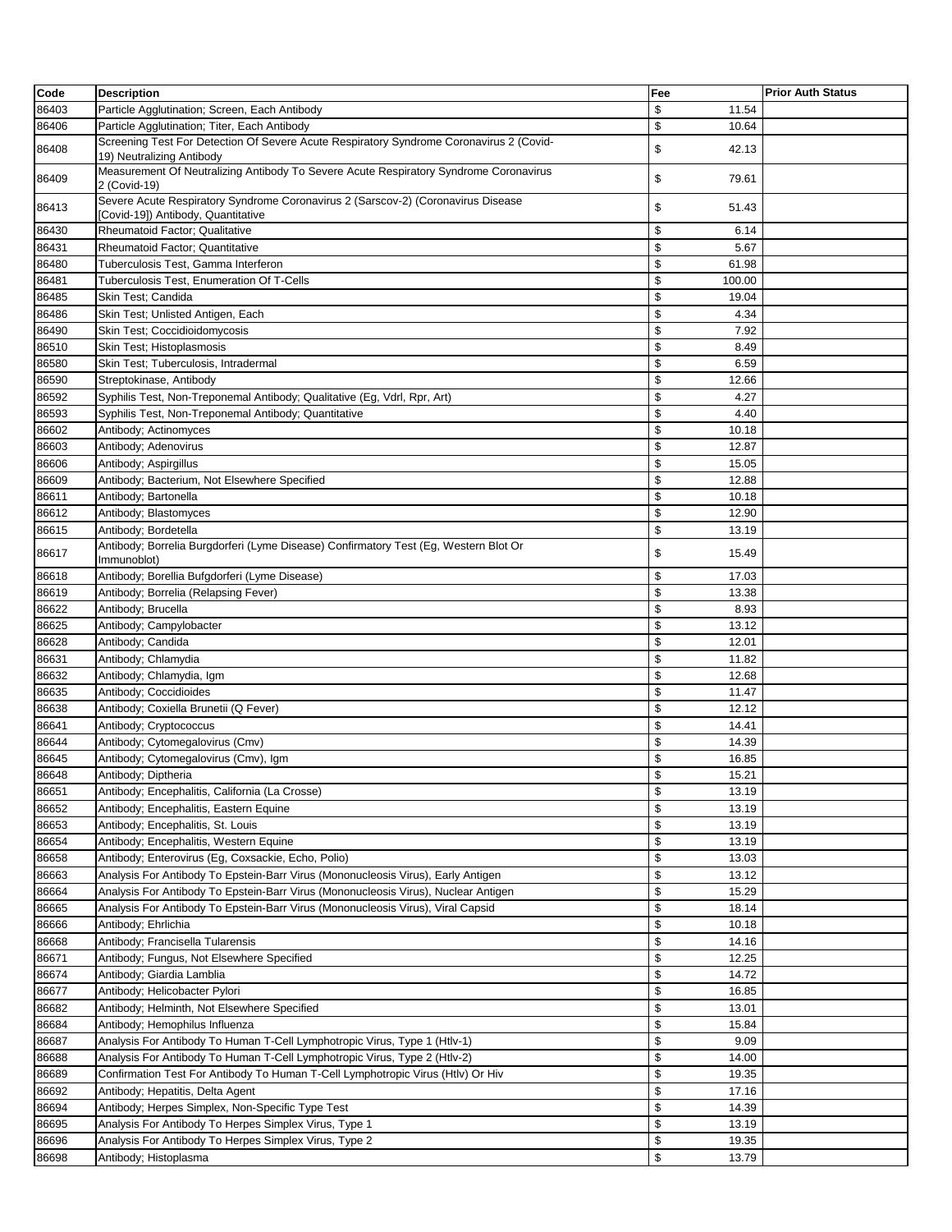| Code           | <b>Description</b>                                                                                                     | Fee                        | <b>Prior Auth Status</b> |
|----------------|------------------------------------------------------------------------------------------------------------------------|----------------------------|--------------------------|
| 86403          | Particle Agglutination; Screen, Each Antibody                                                                          | \$<br>11.54                |                          |
| 86406          | Particle Agglutination; Titer, Each Antibody                                                                           | \$<br>10.64                |                          |
| 86408          | Screening Test For Detection Of Severe Acute Respiratory Syndrome Coronavirus 2 (Covid-<br>19) Neutralizing Antibody   | \$<br>42.13                |                          |
| 86409          | Measurement Of Neutralizing Antibody To Severe Acute Respiratory Syndrome Coronavirus<br>2 (Covid-19)                  | \$<br>79.61                |                          |
| 86413          | Severe Acute Respiratory Syndrome Coronavirus 2 (Sarscov-2) (Coronavirus Disease<br>[Covid-19]) Antibody, Quantitative | \$<br>51.43                |                          |
| 86430          | <b>Rheumatoid Factor: Qualitative</b>                                                                                  | \$<br>6.14                 |                          |
| 86431          | Rheumatoid Factor; Quantitative                                                                                        | \$<br>5.67                 |                          |
| 86480          | Tuberculosis Test, Gamma Interferon                                                                                    | \$<br>61.98                |                          |
| 86481          | <b>Tuberculosis Test, Enumeration Of T-Cells</b>                                                                       | \$<br>100.00               |                          |
| 86485          | Skin Test; Candida                                                                                                     | \$<br>19.04                |                          |
| 86486          | Skin Test; Unlisted Antigen, Each                                                                                      | \$<br>4.34                 |                          |
| 86490          | Skin Test; Coccidioidomycosis                                                                                          | \$<br>7.92                 |                          |
| 86510          | Skin Test; Histoplasmosis                                                                                              | \$<br>8.49                 |                          |
| 86580          | Skin Test; Tuberculosis, Intradermal                                                                                   | \$<br>6.59                 |                          |
| 86590          | Streptokinase, Antibody                                                                                                | \$<br>12.66                |                          |
| 86592          | Syphilis Test, Non-Treponemal Antibody; Qualitative (Eg, Vdrl, Rpr, Art)                                               | \$<br>4.27                 |                          |
| 86593          | Syphilis Test, Non-Treponemal Antibody; Quantitative                                                                   | \$<br>4.40                 |                          |
| 86602          |                                                                                                                        | \$<br>10.18                |                          |
|                | Antibody; Actinomyces                                                                                                  | \$                         |                          |
| 86603          | Antibody; Adenovirus                                                                                                   | 12.87                      |                          |
| 86606          | Antibody; Aspirgillus                                                                                                  | \$<br>15.05                |                          |
| 86609          | Antibody; Bacterium, Not Elsewhere Specified                                                                           | \$<br>12.88                |                          |
| 86611          | Antibody; Bartonella                                                                                                   | \$<br>10.18                |                          |
| 86612          | Antibody; Blastomyces                                                                                                  | \$<br>12.90                |                          |
| 86615          | Antibody; Bordetella<br>Antibody; Borrelia Burgdorferi (Lyme Disease) Confirmatory Test (Eg, Western Blot Or           | \$<br>13.19                |                          |
| 86617<br>86618 | Immunoblot)<br>Antibody; Borellia Bufgdorferi (Lyme Disease)                                                           | \$<br>15.49<br>\$<br>17.03 |                          |
| 86619          | Antibody; Borrelia (Relapsing Fever)                                                                                   | \$<br>13.38                |                          |
| 86622          | Antibody; Brucella                                                                                                     | \$<br>8.93                 |                          |
| 86625          | Antibody; Campylobacter                                                                                                | \$<br>13.12                |                          |
| 86628          | Antibody; Candida                                                                                                      | \$<br>12.01                |                          |
| 86631          | Antibody; Chlamydia                                                                                                    | \$<br>11.82                |                          |
| 86632          | Antibody; Chlamydia, Igm                                                                                               | \$                         |                          |
|                |                                                                                                                        | 12.68<br>\$<br>11.47       |                          |
| 86635          | Antibody; Coccidioides                                                                                                 | \$                         |                          |
| 86638          | Antibody; Coxiella Brunetii (Q Fever)                                                                                  | 12.12<br>\$                |                          |
| 86641          | Antibody; Cryptococcus                                                                                                 | 14.41                      |                          |
| 86644          | Antibody; Cytomegalovirus (Cmv)                                                                                        | \$<br>14.39                |                          |
| 86645          | Antibody; Cytomegalovirus (Cmv), Igm                                                                                   | \$<br>16.85                |                          |
| 86648          | Antibody; Diptheria                                                                                                    | \$<br>15.21                |                          |
| 86651          | Antibody; Encephalitis, California (La Crosse)                                                                         | \$<br>13.19                |                          |
| 86652          | Antibody; Encephalitis, Eastern Equine                                                                                 | \$<br>13.19                |                          |
| 86653          | Antibody; Encephalitis, St. Louis                                                                                      | \$<br>13.19                |                          |
| 86654          | Antibody; Encephalitis, Western Equine                                                                                 | \$<br>13.19                |                          |
| 86658          | Antibody; Enterovirus (Eg, Coxsackie, Echo, Polio)                                                                     | \$<br>13.03                |                          |
| 86663          | Analysis For Antibody To Epstein-Barr Virus (Mononucleosis Virus), Early Antigen                                       | \$<br>13.12                |                          |
| 86664          | Analysis For Antibody To Epstein-Barr Virus (Mononucleosis Virus), Nuclear Antigen                                     | \$<br>15.29                |                          |
| 86665          | Analysis For Antibody To Epstein-Barr Virus (Mononucleosis Virus), Viral Capsid                                        | \$<br>18.14                |                          |
| 86666          | Antibody; Ehrlichia                                                                                                    | \$<br>10.18                |                          |
| 86668          | Antibody; Francisella Tularensis                                                                                       | \$<br>14.16                |                          |
| 86671          | Antibody; Fungus, Not Elsewhere Specified                                                                              | \$<br>12.25                |                          |
| 86674          | Antibody; Giardia Lamblia                                                                                              | \$<br>14.72                |                          |
| 86677          | Antibody; Helicobacter Pylori                                                                                          | \$<br>16.85                |                          |
| 86682          | Antibody; Helminth, Not Elsewhere Specified                                                                            | \$<br>13.01                |                          |
| 86684          | Antibody; Hemophilus Influenza                                                                                         | \$<br>15.84                |                          |
| 86687          | Analysis For Antibody To Human T-Cell Lymphotropic Virus, Type 1 (Htlv-1)                                              | \$<br>9.09                 |                          |
| 86688          | Analysis For Antibody To Human T-Cell Lymphotropic Virus, Type 2 (Htlv-2)                                              | \$<br>14.00                |                          |
| 86689          | Confirmation Test For Antibody To Human T-Cell Lymphotropic Virus (Htlv) Or Hiv                                        | \$<br>19.35                |                          |
| 86692          | Antibody; Hepatitis, Delta Agent                                                                                       | \$<br>17.16                |                          |
| 86694          | Antibody; Herpes Simplex, Non-Specific Type Test                                                                       | \$<br>14.39                |                          |
| 86695          | Analysis For Antibody To Herpes Simplex Virus, Type 1                                                                  | \$<br>13.19                |                          |
| 86696          | Analysis For Antibody To Herpes Simplex Virus, Type 2                                                                  | \$<br>19.35                |                          |
| 86698          | Antibody; Histoplasma                                                                                                  | \$<br>13.79                |                          |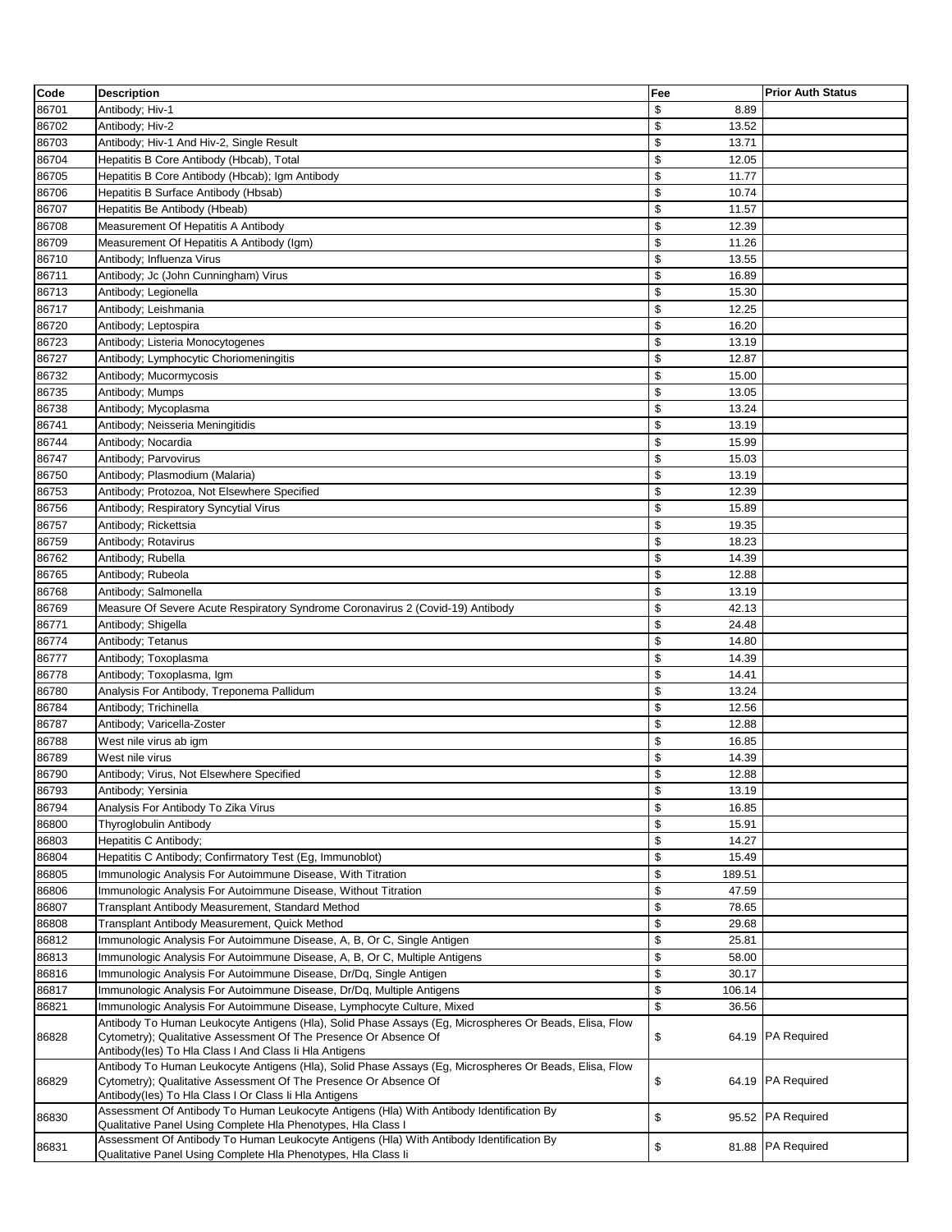| Code           | <b>Description</b>                                                                                                                                                         | Fee                  | <b>Prior Auth Status</b> |
|----------------|----------------------------------------------------------------------------------------------------------------------------------------------------------------------------|----------------------|--------------------------|
| 86701          | Antibody; Hiv-1                                                                                                                                                            | \$<br>8.89           |                          |
| 86702          | Antibody; Hiv-2                                                                                                                                                            | \$<br>13.52          |                          |
| 86703          | Antibody; Hiv-1 And Hiv-2, Single Result                                                                                                                                   | \$<br>13.71          |                          |
| 86704          | Hepatitis B Core Antibody (Hbcab), Total                                                                                                                                   | \$<br>12.05          |                          |
| 86705          | Hepatitis B Core Antibody (Hbcab); Igm Antibody                                                                                                                            | \$<br>11.77          |                          |
| 86706          | Hepatitis B Surface Antibody (Hbsab)                                                                                                                                       | \$<br>10.74          |                          |
| 86707          | Hepatitis Be Antibody (Hbeab)                                                                                                                                              | \$<br>11.57          |                          |
| 86708          | Measurement Of Hepatitis A Antibody                                                                                                                                        | \$<br>12.39          |                          |
| 86709          | Measurement Of Hepatitis A Antibody (Igm)                                                                                                                                  | \$<br>11.26          |                          |
| 86710          | Antibody; Influenza Virus                                                                                                                                                  | \$<br>13.55          |                          |
| 86711          | Antibody; Jc (John Cunningham) Virus                                                                                                                                       | \$<br>16.89          |                          |
| 86713          | Antibody; Legionella                                                                                                                                                       | \$<br>15.30          |                          |
| 86717          | Antibody; Leishmania                                                                                                                                                       | \$<br>12.25          |                          |
| 86720          | Antibody; Leptospira                                                                                                                                                       | \$<br>16.20          |                          |
| 86723          | Antibody; Listeria Monocytogenes                                                                                                                                           | \$<br>13.19          |                          |
| 86727          | Antibody; Lymphocytic Choriomeningitis                                                                                                                                     | \$<br>12.87          |                          |
| 86732          | Antibody; Mucormycosis                                                                                                                                                     | \$<br>15.00          |                          |
| 86735          | Antibody; Mumps                                                                                                                                                            | \$<br>13.05          |                          |
| 86738          | Antibody; Mycoplasma                                                                                                                                                       | \$<br>13.24          |                          |
| 86741          | Antibody; Neisseria Meningitidis                                                                                                                                           | \$<br>13.19          |                          |
| 86744          | Antibody; Nocardia                                                                                                                                                         | \$<br>15.99          |                          |
| 86747          | Antibody; Parvovirus                                                                                                                                                       | \$<br>15.03          |                          |
| 86750          | Antibody; Plasmodium (Malaria)                                                                                                                                             | \$<br>13.19          |                          |
| 86753          | Antibody; Protozoa, Not Elsewhere Specified                                                                                                                                | \$<br>12.39          |                          |
| 86756          | Antibody; Respiratory Syncytial Virus                                                                                                                                      | \$<br>15.89          |                          |
| 86757          | Antibody; Rickettsia                                                                                                                                                       | \$<br>19.35          |                          |
| 86759          | Antibody; Rotavirus                                                                                                                                                        | \$<br>18.23          |                          |
| 86762          | Antibody; Rubella                                                                                                                                                          | \$<br>14.39          |                          |
| 86765          | Antibody; Rubeola                                                                                                                                                          | \$<br>12.88          |                          |
| 86768          | Antibody; Salmonella                                                                                                                                                       | \$<br>13.19          |                          |
| 86769          | Measure Of Severe Acute Respiratory Syndrome Coronavirus 2 (Covid-19) Antibody                                                                                             | \$<br>42.13          |                          |
| 86771          | Antibody; Shigella                                                                                                                                                         | \$<br>24.48          |                          |
| 86774          | Antibody; Tetanus                                                                                                                                                          | \$<br>14.80          |                          |
| 86777          | Antibody; Toxoplasma                                                                                                                                                       | \$<br>14.39          |                          |
| 86778          | Antibody; Toxoplasma, Igm                                                                                                                                                  | \$<br>14.41<br>\$    |                          |
| 86780<br>86784 | Analysis For Antibody, Treponema Pallidum<br>Antibody; Trichinella                                                                                                         | 13.24<br>\$<br>12.56 |                          |
| 86787          | Antibody; Varicella-Zoster                                                                                                                                                 | \$                   |                          |
| 86788          | West nile virus ab igm                                                                                                                                                     | 12.88<br>\$<br>16.85 |                          |
| 86789          | West nile virus                                                                                                                                                            | \$<br>14.39          |                          |
| 86790          | Antibody; Virus, Not Elsewhere Specified                                                                                                                                   | \$<br>12.88          |                          |
| 86793          | Antibody; Yersinia                                                                                                                                                         | \$<br>13.19          |                          |
| 86794          | Analysis For Antibody To Zika Virus                                                                                                                                        | \$<br>16.85          |                          |
| 86800          | <b>Thyroglobulin Antibody</b>                                                                                                                                              | \$<br>15.91          |                          |
| 86803          | Hepatitis C Antibody;                                                                                                                                                      | \$<br>14.27          |                          |
| 86804          | Hepatitis C Antibody; Confirmatory Test (Eg, Immunoblot)                                                                                                                   | \$<br>15.49          |                          |
| 86805          | Immunologic Analysis For Autoimmune Disease, With Titration                                                                                                                | \$<br>189.51         |                          |
| 86806          | Immunologic Analysis For Autoimmune Disease, Without Titration                                                                                                             | \$<br>47.59          |                          |
| 86807          | Transplant Antibody Measurement, Standard Method                                                                                                                           | \$<br>78.65          |                          |
| 86808          | Transplant Antibody Measurement, Quick Method                                                                                                                              | \$<br>29.68          |                          |
| 86812          | Immunologic Analysis For Autoimmune Disease, A, B, Or C, Single Antigen                                                                                                    | \$<br>25.81          |                          |
| 86813          | Immunologic Analysis For Autoimmune Disease, A, B, Or C, Multiple Antigens                                                                                                 | \$<br>58.00          |                          |
| 86816          | Immunologic Analysis For Autoimmune Disease, Dr/Dg, Single Antigen                                                                                                         | \$<br>30.17          |                          |
| 86817          | Immunologic Analysis For Autoimmune Disease, Dr/Dq, Multiple Antigens                                                                                                      | \$<br>106.14         |                          |
| 86821          | Immunologic Analysis For Autoimmune Disease, Lymphocyte Culture, Mixed                                                                                                     | \$<br>36.56          |                          |
| 86828          | Antibody To Human Leukocyte Antigens (Hla), Solid Phase Assays (Eg, Microspheres Or Beads, Elisa, Flow<br>Cytometry); Qualitative Assessment Of The Presence Or Absence Of | \$                   | 64.19 PA Required        |
|                | Antibody(les) To Hla Class I And Class Ii Hla Antigens<br>Antibody To Human Leukocyte Antigens (Hla), Solid Phase Assays (Eg, Microspheres Or Beads, Elisa, Flow           |                      |                          |
| 86829          | Cytometry); Qualitative Assessment Of The Presence Or Absence Of<br>Antibody(les) To Hla Class I Or Class Ii Hla Antigens                                                  | \$                   | 64.19 PA Required        |
| 86830          | Assessment Of Antibody To Human Leukocyte Antigens (Hla) With Antibody Identification By<br>Qualitative Panel Using Complete Hla Phenotypes, Hla Class I                   | \$                   | 95.52 PA Required        |
| 86831          | Assessment Of Antibody To Human Leukocyte Antigens (Hla) With Antibody Identification By<br>Qualitative Panel Using Complete Hla Phenotypes, Hla Class li                  | \$                   | 81.88 PA Required        |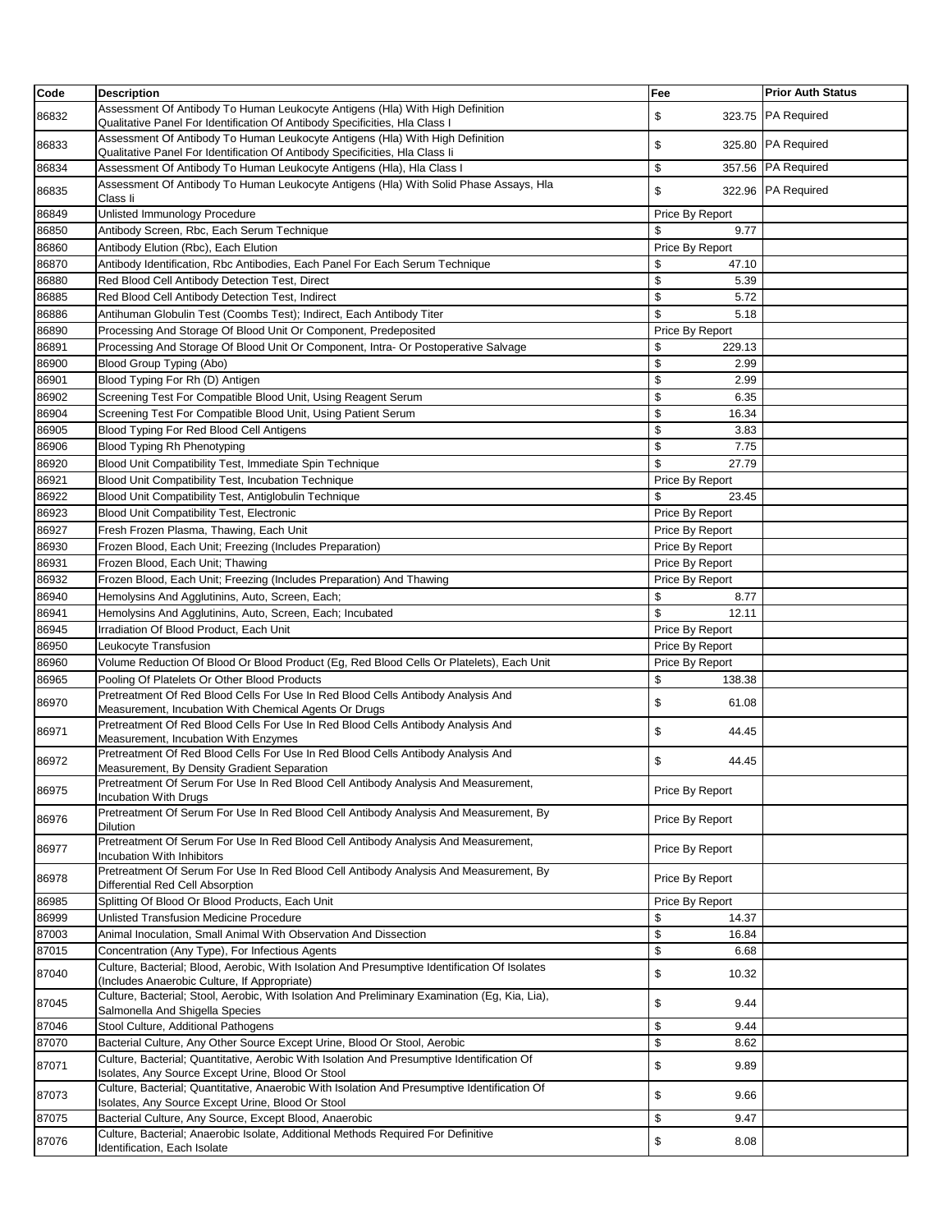| Code  | <b>Description</b>                                                                                                                                            | Fee             | <b>Prior Auth Status</b> |
|-------|---------------------------------------------------------------------------------------------------------------------------------------------------------------|-----------------|--------------------------|
| 86832 | Assessment Of Antibody To Human Leukocyte Antigens (Hla) With High Definition<br>Qualitative Panel For Identification Of Antibody Specificities, Hla Class I  | 323.75<br>\$    | PA Required              |
| 86833 | Assessment Of Antibody To Human Leukocyte Antigens (Hla) With High Definition<br>Qualitative Panel For Identification Of Antibody Specificities, Hla Class li | \$              | 325.80 PA Required       |
| 86834 | Assessment Of Antibody To Human Leukocyte Antigens (Hla), Hla Class I                                                                                         | \$              | 357.56 PA Required       |
| 86835 | Assessment Of Antibody To Human Leukocyte Antigens (Hla) With Solid Phase Assays, Hla<br>Class li                                                             | \$              | 322.96 PA Required       |
| 86849 | Unlisted Immunology Procedure                                                                                                                                 | Price By Report |                          |
| 86850 | Antibody Screen, Rbc, Each Serum Technique                                                                                                                    | \$<br>9.77      |                          |
| 86860 | Antibody Elution (Rbc), Each Elution                                                                                                                          | Price By Report |                          |
| 86870 | Antibody Identification, Rbc Antibodies, Each Panel For Each Serum Technique                                                                                  | \$<br>47.10     |                          |
| 86880 | Red Blood Cell Antibody Detection Test, Direct                                                                                                                | \$<br>5.39      |                          |
| 86885 | Red Blood Cell Antibody Detection Test, Indirect                                                                                                              | \$<br>5.72      |                          |
| 86886 | Antihuman Globulin Test (Coombs Test); Indirect, Each Antibody Titer                                                                                          | \$<br>5.18      |                          |
| 86890 | Processing And Storage Of Blood Unit Or Component, Predeposited                                                                                               | Price By Report |                          |
| 86891 | Processing And Storage Of Blood Unit Or Component, Intra- Or Postoperative Salvage                                                                            | \$<br>229.13    |                          |
| 86900 | Blood Group Typing (Abo)                                                                                                                                      | \$<br>2.99      |                          |
| 86901 | Blood Typing For Rh (D) Antigen                                                                                                                               | \$<br>2.99      |                          |
| 86902 | Screening Test For Compatible Blood Unit, Using Reagent Serum                                                                                                 | \$<br>6.35      |                          |
| 86904 | Screening Test For Compatible Blood Unit, Using Patient Serum                                                                                                 | \$<br>16.34     |                          |
| 86905 | Blood Typing For Red Blood Cell Antigens                                                                                                                      | \$<br>3.83      |                          |
| 86906 | Blood Typing Rh Phenotyping                                                                                                                                   | \$<br>7.75      |                          |
| 86920 | Blood Unit Compatibility Test, Immediate Spin Technique                                                                                                       | \$<br>27.79     |                          |
| 86921 | Blood Unit Compatibility Test, Incubation Technique                                                                                                           | Price By Report |                          |
| 86922 | Blood Unit Compatibility Test, Antiglobulin Technique                                                                                                         | \$<br>23.45     |                          |
| 86923 | Blood Unit Compatibility Test, Electronic                                                                                                                     | Price By Report |                          |
| 86927 | Fresh Frozen Plasma, Thawing, Each Unit                                                                                                                       | Price By Report |                          |
| 86930 | Frozen Blood, Each Unit; Freezing (Includes Preparation)                                                                                                      | Price By Report |                          |
| 86931 | Frozen Blood, Each Unit; Thawing                                                                                                                              | Price By Report |                          |
| 86932 | Frozen Blood, Each Unit; Freezing (Includes Preparation) And Thawing                                                                                          | Price By Report |                          |
| 86940 | Hemolysins And Agglutinins, Auto, Screen, Each;                                                                                                               | \$<br>8.77      |                          |
| 86941 | Hemolysins And Agglutinins, Auto, Screen, Each; Incubated                                                                                                     | \$<br>12.11     |                          |
| 86945 | Irradiation Of Blood Product, Each Unit                                                                                                                       | Price By Report |                          |
| 86950 | Leukocyte Transfusion                                                                                                                                         | Price By Report |                          |
| 86960 | Volume Reduction Of Blood Or Blood Product (Eg, Red Blood Cells Or Platelets), Each Unit                                                                      | Price By Report |                          |
| 86965 | Pooling Of Platelets Or Other Blood Products                                                                                                                  | \$<br>138.38    |                          |
| 86970 | Pretreatment Of Red Blood Cells For Use In Red Blood Cells Antibody Analysis And<br>Measurement, Incubation With Chemical Agents Or Drugs                     | \$<br>61.08     |                          |
| 86971 | Pretreatment Of Red Blood Cells For Use In Red Blood Cells Antibody Analysis And<br>Measurement, Incubation With Enzymes                                      | \$<br>44.45     |                          |
| 86972 | Pretreatment Of Red Blood Cells For Use In Red Blood Cells Antibody Analysis And<br>Measurement, By Density Gradient Separation                               | \$<br>44.45     |                          |
| 86975 | Pretreatment Of Serum For Use In Red Blood Cell Antibody Analysis And Measurement,<br><b>Incubation With Drugs</b>                                            | Price By Report |                          |
| 86976 | Pretreatment Of Serum For Use In Red Blood Cell Antibody Analysis And Measurement, By<br><b>Dilution</b>                                                      | Price By Report |                          |
| 86977 | Pretreatment Of Serum For Use In Red Blood Cell Antibody Analysis And Measurement,<br>Incubation With Inhibitors                                              | Price By Report |                          |
| 86978 | Pretreatment Of Serum For Use In Red Blood Cell Antibody Analysis And Measurement, By<br>Differential Red Cell Absorption                                     | Price By Report |                          |
| 86985 | Splitting Of Blood Or Blood Products, Each Unit                                                                                                               | Price By Report |                          |
| 86999 | Unlisted Transfusion Medicine Procedure                                                                                                                       | \$<br>14.37     |                          |
| 87003 | Animal Inoculation, Small Animal With Observation And Dissection                                                                                              | \$<br>16.84     |                          |
| 87015 | Concentration (Any Type), For Infectious Agents                                                                                                               | \$<br>6.68      |                          |
| 87040 | Culture, Bacterial; Blood, Aerobic, With Isolation And Presumptive Identification Of Isolates<br>(Includes Anaerobic Culture, If Appropriate)                 | \$<br>10.32     |                          |
| 87045 | Culture, Bacterial; Stool, Aerobic, With Isolation And Preliminary Examination (Eg, Kia, Lia),<br>Salmonella And Shigella Species                             | \$<br>9.44      |                          |
| 87046 | Stool Culture, Additional Pathogens                                                                                                                           | \$<br>9.44      |                          |
| 87070 | Bacterial Culture, Any Other Source Except Urine, Blood Or Stool, Aerobic                                                                                     | \$<br>8.62      |                          |
| 87071 | Culture, Bacterial; Quantitative, Aerobic With Isolation And Presumptive Identification Of<br>Isolates, Any Source Except Urine, Blood Or Stool               | \$<br>9.89      |                          |
| 87073 | Culture, Bacterial; Quantitative, Anaerobic With Isolation And Presumptive Identification Of<br>Isolates, Any Source Except Urine, Blood Or Stool             | \$<br>9.66      |                          |
| 87075 | Bacterial Culture, Any Source, Except Blood, Anaerobic                                                                                                        | \$<br>9.47      |                          |
| 87076 | Culture, Bacterial; Anaerobic Isolate, Additional Methods Required For Definitive<br>Identification, Each Isolate                                             | \$<br>8.08      |                          |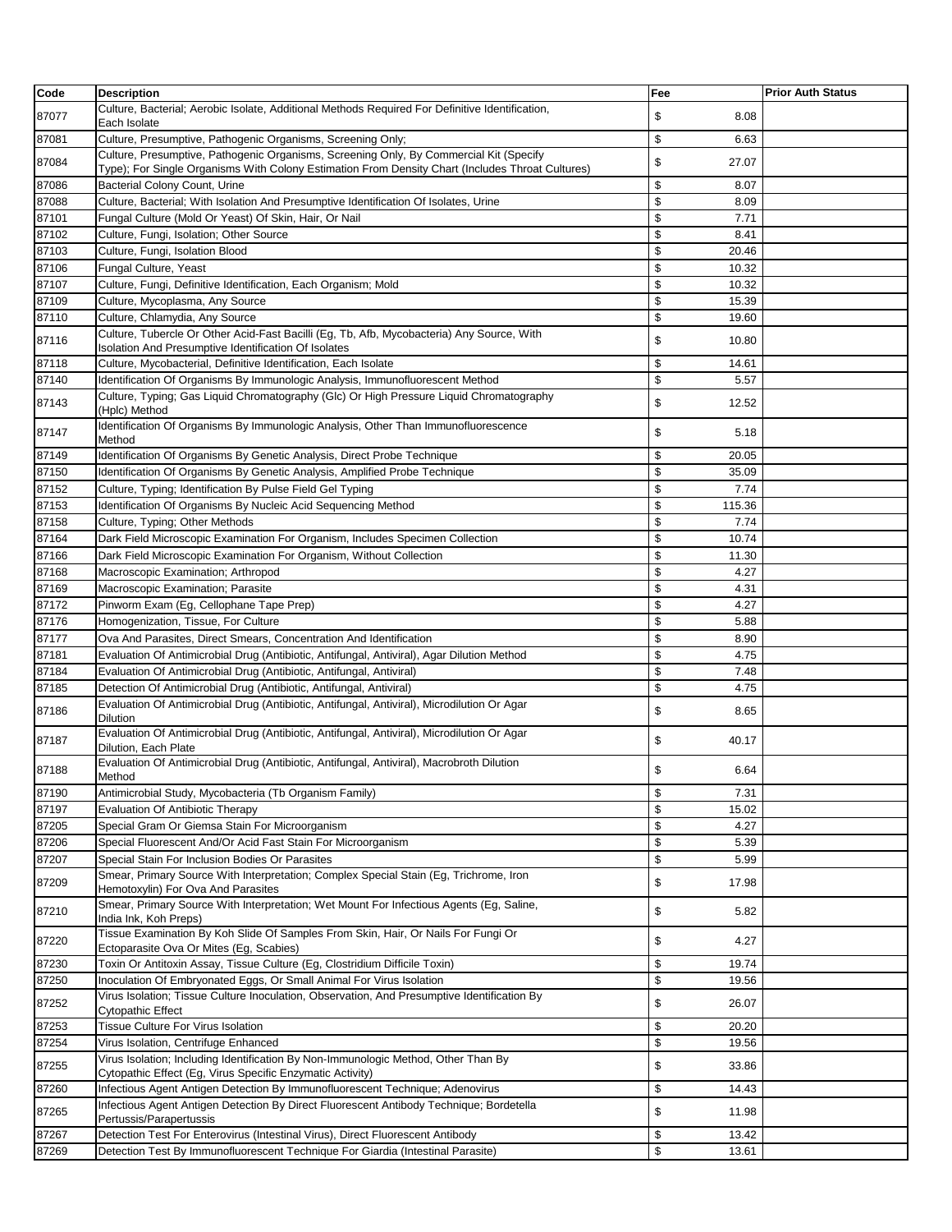| Code           | <b>Description</b>                                                                                                                                                 | Fee                      | <b>Prior Auth Status</b> |
|----------------|--------------------------------------------------------------------------------------------------------------------------------------------------------------------|--------------------------|--------------------------|
| 87077          | Culture, Bacterial; Aerobic Isolate, Additional Methods Required For Definitive Identification,<br>Each Isolate                                                    | 8.08<br>\$               |                          |
| 87081          | Culture, Presumptive, Pathogenic Organisms, Screening Only;                                                                                                        | \$<br>6.63               |                          |
| 87084          | Culture, Presumptive, Pathogenic Organisms, Screening Only, By Commercial Kit (Specify                                                                             | \$<br>27.07              |                          |
|                | Type); For Single Organisms With Colony Estimation From Density Chart (Includes Throat Cultures)                                                                   |                          |                          |
| 87086          | <b>Bacterial Colony Count, Urine</b>                                                                                                                               | \$<br>8.07               |                          |
| 87088          | Culture, Bacterial; With Isolation And Presumptive Identification Of Isolates, Urine                                                                               | \$<br>8.09               |                          |
| 87101<br>87102 | Fungal Culture (Mold Or Yeast) Of Skin, Hair, Or Nail<br>Culture, Fungi, Isolation; Other Source                                                                   | \$<br>7.71<br>\$<br>8.41 |                          |
| 87103          | Culture, Fungi, Isolation Blood                                                                                                                                    | \$<br>20.46              |                          |
| 87106          | Fungal Culture, Yeast                                                                                                                                              | \$<br>10.32              |                          |
| 87107          | Culture, Fungi, Definitive Identification, Each Organism; Mold                                                                                                     | \$<br>10.32              |                          |
| 87109          | Culture, Mycoplasma, Any Source                                                                                                                                    | \$<br>15.39              |                          |
| 87110          | Culture, Chlamydia, Any Source                                                                                                                                     | \$<br>19.60              |                          |
| 87116          | Culture, Tubercle Or Other Acid-Fast Bacilli (Eg, Tb, Afb, Mycobacteria) Any Source, With<br>Isolation And Presumptive Identification Of Isolates                  | \$<br>10.80              |                          |
| 87118          | Culture, Mycobacterial, Definitive Identification, Each Isolate                                                                                                    | \$<br>14.61              |                          |
| 87140          | Identification Of Organisms By Immunologic Analysis, Immunofluorescent Method                                                                                      | \$<br>5.57               |                          |
| 87143          | Culture, Typing; Gas Liquid Chromatography (Glc) Or High Pressure Liquid Chromatography<br>(Hplc) Method                                                           | \$<br>12.52              |                          |
| 87147          | Identification Of Organisms By Immunologic Analysis, Other Than Immunofluorescence<br>Method                                                                       | \$<br>5.18               |                          |
| 87149          | Identification Of Organisms By Genetic Analysis, Direct Probe Technique                                                                                            | \$<br>20.05              |                          |
| 87150          | Identification Of Organisms By Genetic Analysis, Amplified Probe Technique                                                                                         | \$<br>35.09              |                          |
| 87152          | Culture, Typing; Identification By Pulse Field Gel Typing                                                                                                          | \$<br>7.74               |                          |
| 87153          | Identification Of Organisms By Nucleic Acid Sequencing Method                                                                                                      | \$<br>115.36             |                          |
| 87158          | Culture, Typing; Other Methods                                                                                                                                     | \$<br>7.74               |                          |
| 87164          | Dark Field Microscopic Examination For Organism, Includes Specimen Collection                                                                                      | \$<br>10.74              |                          |
| 87166          | Dark Field Microscopic Examination For Organism, Without Collection                                                                                                | \$<br>11.30              |                          |
| 87168          | Macroscopic Examination; Arthropod                                                                                                                                 | \$<br>4.27               |                          |
| 87169          | Macroscopic Examination; Parasite                                                                                                                                  | \$<br>4.31               |                          |
| 87172          | Pinworm Exam (Eg, Cellophane Tape Prep)                                                                                                                            | \$<br>4.27               |                          |
| 87176          | Homogenization, Tissue, For Culture                                                                                                                                | \$<br>5.88               |                          |
| 87177          | Ova And Parasites, Direct Smears, Concentration And Identification                                                                                                 | \$<br>8.90               |                          |
| 87181          | Evaluation Of Antimicrobial Drug (Antibiotic, Antifungal, Antiviral), Agar Dilution Method                                                                         | \$<br>4.75               |                          |
| 87184          | Evaluation Of Antimicrobial Drug (Antibiotic, Antifungal, Antiviral)                                                                                               | \$<br>7.48               |                          |
| 87185          | Detection Of Antimicrobial Drug (Antibiotic, Antifungal, Antiviral)<br>Evaluation Of Antimicrobial Drug (Antibiotic, Antifungal, Antiviral), Microdilution Or Agar | \$<br>4.75               |                          |
| 87186          | <b>Dilution</b>                                                                                                                                                    | \$<br>8.65               |                          |
| 87187          | Evaluation Of Antimicrobial Drug (Antibiotic, Antifungal, Antiviral), Microdilution Or Agar<br>Dilution, Each Plate                                                | \$<br>40.17              |                          |
| 87188          | Evaluation Of Antimicrobial Drug (Antibiotic, Antifungal, Antiviral), Macrobroth Dilution<br>Method                                                                | \$<br>6.64               |                          |
| 87190          | Antimicrobial Study, Mycobacteria (Tb Organism Family)                                                                                                             | \$<br>7.31               |                          |
| 87197          | <b>Evaluation Of Antibiotic Therapy</b>                                                                                                                            | \$<br>15.02              |                          |
| 87205          | Special Gram Or Giemsa Stain For Microorganism                                                                                                                     | \$<br>4.27               |                          |
| 87206          | Special Fluorescent And/Or Acid Fast Stain For Microorganism                                                                                                       | \$<br>5.39               |                          |
| 87207          | Special Stain For Inclusion Bodies Or Parasites                                                                                                                    | \$<br>5.99               |                          |
| 87209          | Smear, Primary Source With Interpretation; Complex Special Stain (Eg, Trichrome, Iron<br>Hemotoxylin) For Ova And Parasites                                        | \$<br>17.98              |                          |
| 87210          | Smear, Primary Source With Interpretation; Wet Mount For Infectious Agents (Eg, Saline,<br>India Ink, Koh Preps)                                                   | \$<br>5.82               |                          |
| 87220          | Tissue Examination By Koh Slide Of Samples From Skin, Hair, Or Nails For Fungi Or<br>Ectoparasite Ova Or Mites (Eg, Scabies)                                       | \$<br>4.27               |                          |
| 87230          | Toxin Or Antitoxin Assay, Tissue Culture (Eg, Clostridium Difficile Toxin)                                                                                         | \$<br>19.74              |                          |
| 87250          | Inoculation Of Embryonated Eggs, Or Small Animal For Virus Isolation                                                                                               | \$<br>19.56              |                          |
| 87252          | Virus Isolation; Tissue Culture Inoculation, Observation, And Presumptive Identification By<br>Cytopathic Effect                                                   | \$<br>26.07              |                          |
| 87253          | Tissue Culture For Virus Isolation                                                                                                                                 | \$<br>20.20              |                          |
| 87254          | Virus Isolation, Centrifuge Enhanced                                                                                                                               | \$<br>19.56              |                          |
| 87255          | Virus Isolation; Including Identification By Non-Immunologic Method, Other Than By<br>Cytopathic Effect (Eg, Virus Specific Enzymatic Activity)                    | \$<br>33.86              |                          |
| 87260          | Infectious Agent Antigen Detection By Immunofluorescent Technique; Adenovirus                                                                                      | \$<br>14.43              |                          |
| 87265          | Infectious Agent Antigen Detection By Direct Fluorescent Antibody Technique; Bordetella<br>Pertussis/Parapertussis                                                 | \$<br>11.98              |                          |
| 87267          | Detection Test For Enterovirus (Intestinal Virus), Direct Fluorescent Antibody                                                                                     | \$<br>13.42              |                          |
| 87269          | Detection Test By Immunofluorescent Technique For Giardia (Intestinal Parasite)                                                                                    | \$<br>13.61              |                          |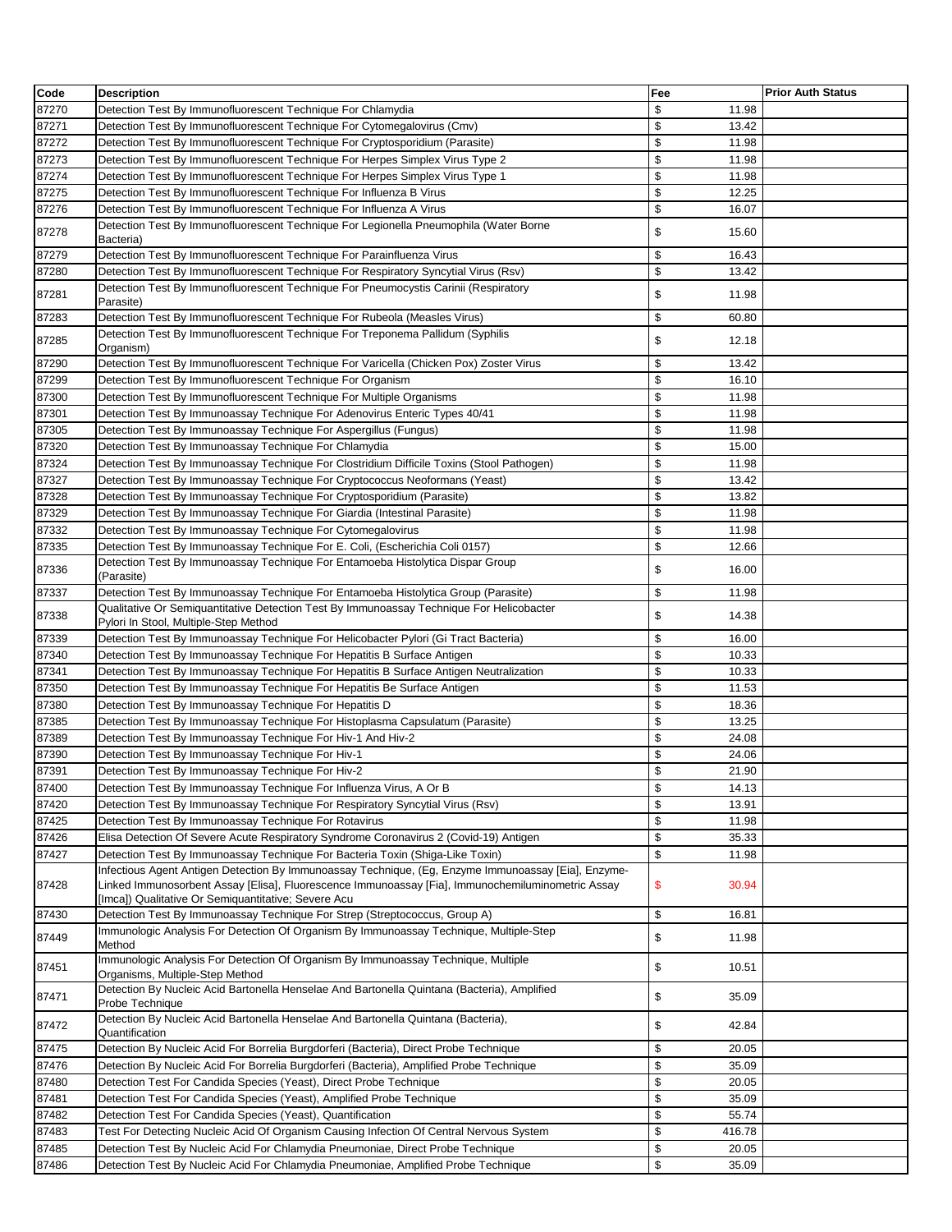| Code  | <b>Description</b>                                                                                                                                                                                                                                              | Fee          | <b>Prior Auth Status</b> |
|-------|-----------------------------------------------------------------------------------------------------------------------------------------------------------------------------------------------------------------------------------------------------------------|--------------|--------------------------|
| 87270 | Detection Test By Immunofluorescent Technique For Chlamydia                                                                                                                                                                                                     | \$<br>11.98  |                          |
| 87271 | Detection Test By Immunofluorescent Technique For Cytomegalovirus (Cmv)                                                                                                                                                                                         | \$<br>13.42  |                          |
| 87272 | Detection Test By Immunofluorescent Technique For Cryptosporidium (Parasite)                                                                                                                                                                                    | \$<br>11.98  |                          |
| 87273 | Detection Test By Immunofluorescent Technique For Herpes Simplex Virus Type 2                                                                                                                                                                                   | \$<br>11.98  |                          |
| 87274 | Detection Test By Immunofluorescent Technique For Herpes Simplex Virus Type 1                                                                                                                                                                                   | \$<br>11.98  |                          |
| 87275 | Detection Test By Immunofluorescent Technique For Influenza B Virus                                                                                                                                                                                             | \$<br>12.25  |                          |
| 87276 | Detection Test By Immunofluorescent Technique For Influenza A Virus                                                                                                                                                                                             | \$<br>16.07  |                          |
| 87278 | Detection Test By Immunofluorescent Technique For Legionella Pneumophila (Water Borne<br>Bacteria)                                                                                                                                                              | \$<br>15.60  |                          |
| 87279 | Detection Test By Immunofluorescent Technique For Parainfluenza Virus                                                                                                                                                                                           | \$<br>16.43  |                          |
| 87280 | Detection Test By Immunofluorescent Technique For Respiratory Syncytial Virus (Rsv)                                                                                                                                                                             | \$<br>13.42  |                          |
| 87281 | Detection Test By Immunofluorescent Technique For Pneumocystis Carinii (Respiratory<br>Parasite)                                                                                                                                                                | \$<br>11.98  |                          |
| 87283 | Detection Test By Immunofluorescent Technique For Rubeola (Measles Virus)                                                                                                                                                                                       | \$<br>60.80  |                          |
| 87285 | Detection Test By Immunofluorescent Technique For Treponema Pallidum (Syphilis                                                                                                                                                                                  | \$<br>12.18  |                          |
|       | Organism)                                                                                                                                                                                                                                                       |              |                          |
| 87290 | Detection Test By Immunofluorescent Technique For Varicella (Chicken Pox) Zoster Virus                                                                                                                                                                          | \$<br>13.42  |                          |
| 87299 | Detection Test By Immunofluorescent Technique For Organism                                                                                                                                                                                                      | \$<br>16.10  |                          |
| 87300 | Detection Test By Immunofluorescent Technique For Multiple Organisms                                                                                                                                                                                            | \$<br>11.98  |                          |
| 87301 | Detection Test By Immunoassay Technique For Adenovirus Enteric Types 40/41                                                                                                                                                                                      | \$<br>11.98  |                          |
| 87305 | Detection Test By Immunoassay Technique For Aspergillus (Fungus)                                                                                                                                                                                                | \$<br>11.98  |                          |
| 87320 | Detection Test By Immunoassay Technique For Chlamydia                                                                                                                                                                                                           | \$<br>15.00  |                          |
| 87324 | Detection Test By Immunoassay Technique For Clostridium Difficile Toxins (Stool Pathogen)                                                                                                                                                                       | \$<br>11.98  |                          |
| 87327 | Detection Test By Immunoassay Technique For Cryptococcus Neoformans (Yeast)                                                                                                                                                                                     | \$<br>13.42  |                          |
| 87328 | Detection Test By Immunoassay Technique For Cryptosporidium (Parasite)                                                                                                                                                                                          | \$<br>13.82  |                          |
| 87329 | Detection Test By Immunoassay Technique For Giardia (Intestinal Parasite)                                                                                                                                                                                       | \$<br>11.98  |                          |
| 87332 | Detection Test By Immunoassay Technique For Cytomegalovirus                                                                                                                                                                                                     | \$<br>11.98  |                          |
| 87335 | Detection Test By Immunoassay Technique For E. Coli, (Escherichia Coli 0157)                                                                                                                                                                                    | \$<br>12.66  |                          |
| 87336 | Detection Test By Immunoassay Technique For Entamoeba Histolytica Dispar Group<br>(Parasite)                                                                                                                                                                    | \$<br>16.00  |                          |
| 87337 | Detection Test By Immunoassay Technique For Entamoeba Histolytica Group (Parasite)                                                                                                                                                                              | \$<br>11.98  |                          |
| 87338 | Qualitative Or Semiquantitative Detection Test By Immunoassay Technique For Helicobacter<br>Pylori In Stool, Multiple-Step Method                                                                                                                               | \$<br>14.38  |                          |
| 87339 | Detection Test By Immunoassay Technique For Helicobacter Pylori (Gi Tract Bacteria)                                                                                                                                                                             | \$<br>16.00  |                          |
| 87340 | Detection Test By Immunoassay Technique For Hepatitis B Surface Antigen                                                                                                                                                                                         | \$<br>10.33  |                          |
| 87341 | Detection Test By Immunoassay Technique For Hepatitis B Surface Antigen Neutralization                                                                                                                                                                          | \$<br>10.33  |                          |
| 87350 | Detection Test By Immunoassay Technique For Hepatitis Be Surface Antigen                                                                                                                                                                                        | \$<br>11.53  |                          |
| 87380 | Detection Test By Immunoassay Technique For Hepatitis D                                                                                                                                                                                                         | \$<br>18.36  |                          |
| 87385 | Detection Test By Immunoassay Technique For Histoplasma Capsulatum (Parasite)                                                                                                                                                                                   | \$<br>13.25  |                          |
| 87389 | Detection Test By Immunoassay Technique For Hiv-1 And Hiv-2                                                                                                                                                                                                     | \$<br>24.08  |                          |
| 87390 | Detection Test By Immunoassay Technique For Hiv-1                                                                                                                                                                                                               | \$<br>24.06  |                          |
| 87391 | Detection Test By Immunoassay Technique For Hiv-2                                                                                                                                                                                                               | \$<br>21.90  |                          |
| 87400 | Detection Test By Immunoassay Technique For Influenza Virus, A Or B                                                                                                                                                                                             | \$<br>14.13  |                          |
| 87420 | Detection Test By Immunoassay Technique For Respiratory Syncytial Virus (Rsv)                                                                                                                                                                                   | \$<br>13.91  |                          |
| 87425 | Detection Test By Immunoassay Technique For Rotavirus                                                                                                                                                                                                           | \$<br>11.98  |                          |
| 87426 | Elisa Detection Of Severe Acute Respiratory Syndrome Coronavirus 2 (Covid-19) Antigen                                                                                                                                                                           | \$<br>35.33  |                          |
| 87427 | Detection Test By Immunoassay Technique For Bacteria Toxin (Shiga-Like Toxin)                                                                                                                                                                                   | \$<br>11.98  |                          |
| 87428 | Infectious Agent Antigen Detection By Immunoassay Technique, (Eg, Enzyme Immunoassay [Eia], Enzyme-<br>Linked Immunosorbent Assay [Elisa], Fluorescence Immunoassay [Fia], Immunochemiluminometric Assay<br>[Imca]) Qualitative Or Semiquantitative; Severe Acu | \$<br>30.94  |                          |
| 87430 | Detection Test By Immunoassay Technique For Strep (Streptococcus, Group A)                                                                                                                                                                                      | \$<br>16.81  |                          |
| 87449 | Immunologic Analysis For Detection Of Organism By Immunoassay Technique, Multiple-Step<br>Method                                                                                                                                                                | \$<br>11.98  |                          |
| 87451 | Immunologic Analysis For Detection Of Organism By Immunoassay Technique, Multiple<br>Organisms, Multiple-Step Method                                                                                                                                            | \$<br>10.51  |                          |
| 87471 | Detection By Nucleic Acid Bartonella Henselae And Bartonella Quintana (Bacteria), Amplified<br>Probe Technique                                                                                                                                                  | \$<br>35.09  |                          |
| 87472 | Detection By Nucleic Acid Bartonella Henselae And Bartonella Quintana (Bacteria),<br>Quantification                                                                                                                                                             | \$<br>42.84  |                          |
| 87475 | Detection By Nucleic Acid For Borrelia Burgdorferi (Bacteria), Direct Probe Technique                                                                                                                                                                           | \$<br>20.05  |                          |
| 87476 | Detection By Nucleic Acid For Borrelia Burgdorferi (Bacteria), Amplified Probe Technique                                                                                                                                                                        | \$<br>35.09  |                          |
| 87480 | Detection Test For Candida Species (Yeast), Direct Probe Technique                                                                                                                                                                                              | \$<br>20.05  |                          |
| 87481 | Detection Test For Candida Species (Yeast), Amplified Probe Technique                                                                                                                                                                                           | \$<br>35.09  |                          |
| 87482 | Detection Test For Candida Species (Yeast), Quantification                                                                                                                                                                                                      | \$<br>55.74  |                          |
| 87483 | Test For Detecting Nucleic Acid Of Organism Causing Infection Of Central Nervous System                                                                                                                                                                         | \$<br>416.78 |                          |
| 87485 | Detection Test By Nucleic Acid For Chlamydia Pneumoniae, Direct Probe Technique                                                                                                                                                                                 | \$<br>20.05  |                          |
| 87486 | Detection Test By Nucleic Acid For Chlamydia Pneumoniae, Amplified Probe Technique                                                                                                                                                                              | \$<br>35.09  |                          |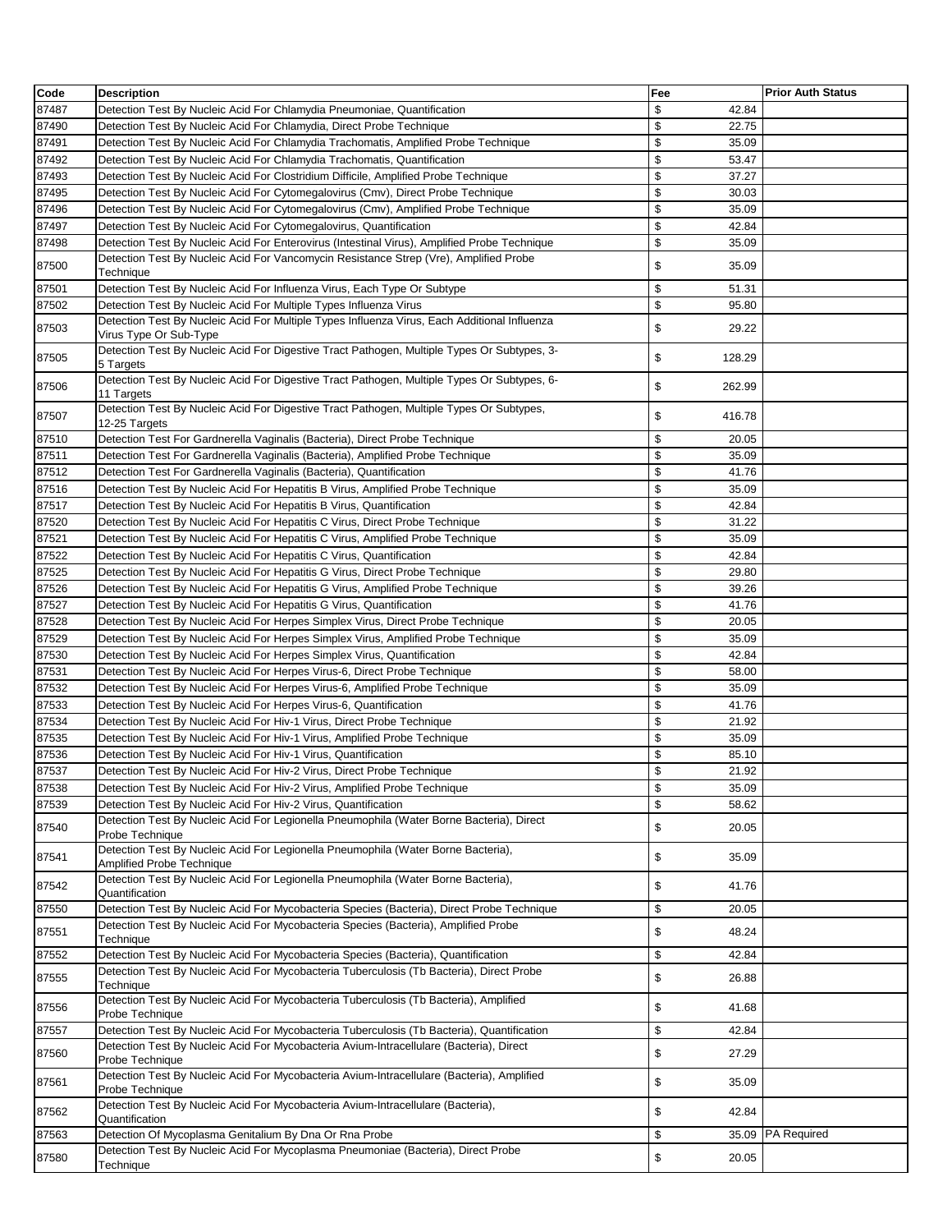| Code  | <b>Description</b>                                                                                                                                                                | Fee          | <b>Prior Auth Status</b> |
|-------|-----------------------------------------------------------------------------------------------------------------------------------------------------------------------------------|--------------|--------------------------|
| 87487 | Detection Test By Nucleic Acid For Chlamydia Pneumoniae, Quantification                                                                                                           | \$<br>42.84  |                          |
| 87490 | Detection Test By Nucleic Acid For Chlamydia, Direct Probe Technique                                                                                                              | \$<br>22.75  |                          |
| 87491 | Detection Test By Nucleic Acid For Chlamydia Trachomatis, Amplified Probe Technique                                                                                               | \$<br>35.09  |                          |
| 87492 | Detection Test By Nucleic Acid For Chlamydia Trachomatis, Quantification                                                                                                          | \$<br>53.47  |                          |
| 87493 | Detection Test By Nucleic Acid For Clostridium Difficile, Amplified Probe Technique                                                                                               | \$<br>37.27  |                          |
| 87495 | Detection Test By Nucleic Acid For Cytomegalovirus (Cmv), Direct Probe Technique                                                                                                  | \$<br>30.03  |                          |
| 87496 | Detection Test By Nucleic Acid For Cytomegalovirus (Cmv), Amplified Probe Technique                                                                                               | \$<br>35.09  |                          |
| 87497 | Detection Test By Nucleic Acid For Cytomegalovirus, Quantification                                                                                                                | \$<br>42.84  |                          |
| 87498 | Detection Test By Nucleic Acid For Enterovirus (Intestinal Virus), Amplified Probe Technique                                                                                      | \$<br>35.09  |                          |
| 87500 | Detection Test By Nucleic Acid For Vancomycin Resistance Strep (Vre), Amplified Probe                                                                                             | \$<br>35.09  |                          |
| 87501 | Technique<br>Detection Test By Nucleic Acid For Influenza Virus, Each Type Or Subtype                                                                                             | \$<br>51.31  |                          |
| 87502 | Detection Test By Nucleic Acid For Multiple Types Influenza Virus                                                                                                                 | \$<br>95.80  |                          |
|       | Detection Test By Nucleic Acid For Multiple Types Influenza Virus, Each Additional Influenza                                                                                      |              |                          |
| 87503 | Virus Type Or Sub-Type                                                                                                                                                            | \$<br>29.22  |                          |
| 87505 | Detection Test By Nucleic Acid For Digestive Tract Pathogen, Multiple Types Or Subtypes, 3-<br>5 Targets                                                                          | \$<br>128.29 |                          |
| 87506 | Detection Test By Nucleic Acid For Digestive Tract Pathogen, Multiple Types Or Subtypes, 6-<br>11 Targets                                                                         | \$<br>262.99 |                          |
| 87507 | Detection Test By Nucleic Acid For Digestive Tract Pathogen, Multiple Types Or Subtypes,                                                                                          | \$<br>416.78 |                          |
| 87510 | 12-25 Targets<br>Detection Test For Gardnerella Vaginalis (Bacteria), Direct Probe Technique                                                                                      | \$<br>20.05  |                          |
| 87511 | Detection Test For Gardnerella Vaginalis (Bacteria), Amplified Probe Technique                                                                                                    | \$<br>35.09  |                          |
| 87512 | Detection Test For Gardnerella Vaginalis (Bacteria), Quantification                                                                                                               | \$<br>41.76  |                          |
| 87516 | Detection Test By Nucleic Acid For Hepatitis B Virus, Amplified Probe Technique                                                                                                   | \$<br>35.09  |                          |
| 87517 | Detection Test By Nucleic Acid For Hepatitis B Virus, Quantification                                                                                                              | \$<br>42.84  |                          |
| 87520 | Detection Test By Nucleic Acid For Hepatitis C Virus, Direct Probe Technique                                                                                                      | \$<br>31.22  |                          |
| 87521 | Detection Test By Nucleic Acid For Hepatitis C Virus, Amplified Probe Technique                                                                                                   | \$<br>35.09  |                          |
| 87522 | Detection Test By Nucleic Acid For Hepatitis C Virus, Quantification                                                                                                              | \$<br>42.84  |                          |
| 87525 | Detection Test By Nucleic Acid For Hepatitis G Virus, Direct Probe Technique                                                                                                      | \$<br>29.80  |                          |
| 87526 | Detection Test By Nucleic Acid For Hepatitis G Virus, Amplified Probe Technique                                                                                                   | \$<br>39.26  |                          |
| 87527 | Detection Test By Nucleic Acid For Hepatitis G Virus, Quantification                                                                                                              | \$<br>41.76  |                          |
| 87528 | Detection Test By Nucleic Acid For Herpes Simplex Virus, Direct Probe Technique                                                                                                   | \$<br>20.05  |                          |
| 87529 | Detection Test By Nucleic Acid For Herpes Simplex Virus, Amplified Probe Technique                                                                                                | \$<br>35.09  |                          |
| 87530 | Detection Test By Nucleic Acid For Herpes Simplex Virus, Quantification                                                                                                           | \$<br>42.84  |                          |
| 87531 | Detection Test By Nucleic Acid For Herpes Virus-6, Direct Probe Technique                                                                                                         | \$<br>58.00  |                          |
| 87532 | Detection Test By Nucleic Acid For Herpes Virus-6, Amplified Probe Technique                                                                                                      | \$<br>35.09  |                          |
| 87533 | Detection Test By Nucleic Acid For Herpes Virus-6, Quantification                                                                                                                 | \$<br>41.76  |                          |
| 87534 | Detection Test By Nucleic Acid For Hiv-1 Virus, Direct Probe Technique                                                                                                            | \$<br>21.92  |                          |
| 87535 | Detection Test By Nucleic Acid For Hiv-1 Virus, Amplified Probe Technique                                                                                                         | \$<br>35.09  |                          |
| 87536 | Detection Test By Nucleic Acid For Hiv-1 Virus, Quantification                                                                                                                    | \$<br>85.10  |                          |
| 87537 | Detection Test By Nucleic Acid For Hiv-2 Virus, Direct Probe Technique                                                                                                            | \$<br>21.92  |                          |
| 87538 | Detection Test By Nucleic Acid For Hiv-2 Virus, Amplified Probe Technique                                                                                                         | \$<br>35.09  |                          |
| 87539 | Detection Test By Nucleic Acid For Hiv-2 Virus, Quantification                                                                                                                    | \$<br>58.62  |                          |
| 87540 | Detection Test By Nucleic Acid For Legionella Pneumophila (Water Borne Bacteria), Direct<br>Probe Technique                                                                       | \$<br>20.05  |                          |
| 87541 | Detection Test By Nucleic Acid For Legionella Pneumophila (Water Borne Bacteria),                                                                                                 | \$<br>35.09  |                          |
| 87542 | Amplified Probe Technique<br>Detection Test By Nucleic Acid For Legionella Pneumophila (Water Borne Bacteria),                                                                    | \$<br>41.76  |                          |
|       | Quantification                                                                                                                                                                    |              |                          |
| 87550 | Detection Test By Nucleic Acid For Mycobacteria Species (Bacteria), Direct Probe Technique<br>Detection Test By Nucleic Acid For Mycobacteria Species (Bacteria), Amplified Probe | \$<br>20.05  |                          |
| 87551 | Technique                                                                                                                                                                         | \$<br>48.24  |                          |
| 87552 | Detection Test By Nucleic Acid For Mycobacteria Species (Bacteria), Quantification                                                                                                | \$<br>42.84  |                          |
| 87555 | Detection Test By Nucleic Acid For Mycobacteria Tuberculosis (Tb Bacteria), Direct Probe<br>Technique                                                                             | \$<br>26.88  |                          |
| 87556 | Detection Test By Nucleic Acid For Mycobacteria Tuberculosis (Tb Bacteria), Amplified<br>Probe Technique                                                                          | \$<br>41.68  |                          |
| 87557 | Detection Test By Nucleic Acid For Mycobacteria Tuberculosis (Tb Bacteria), Quantification                                                                                        | \$<br>42.84  |                          |
| 87560 | Detection Test By Nucleic Acid For Mycobacteria Avium-Intracellulare (Bacteria), Direct                                                                                           | \$<br>27.29  |                          |
|       | Probe Technique<br>Detection Test By Nucleic Acid For Mycobacteria Avium-Intracellulare (Bacteria), Amplified                                                                     |              |                          |
| 87561 | Probe Technique                                                                                                                                                                   | \$<br>35.09  |                          |
| 87562 | Detection Test By Nucleic Acid For Mycobacteria Avium-Intracellulare (Bacteria),<br>Quantification                                                                                | \$<br>42.84  |                          |
| 87563 | Detection Of Mycoplasma Genitalium By Dna Or Rna Probe                                                                                                                            | \$<br>35.09  | <b>PA Required</b>       |
| 87580 | Detection Test By Nucleic Acid For Mycoplasma Pneumoniae (Bacteria), Direct Probe                                                                                                 | \$<br>20.05  |                          |
|       | Technique                                                                                                                                                                         |              |                          |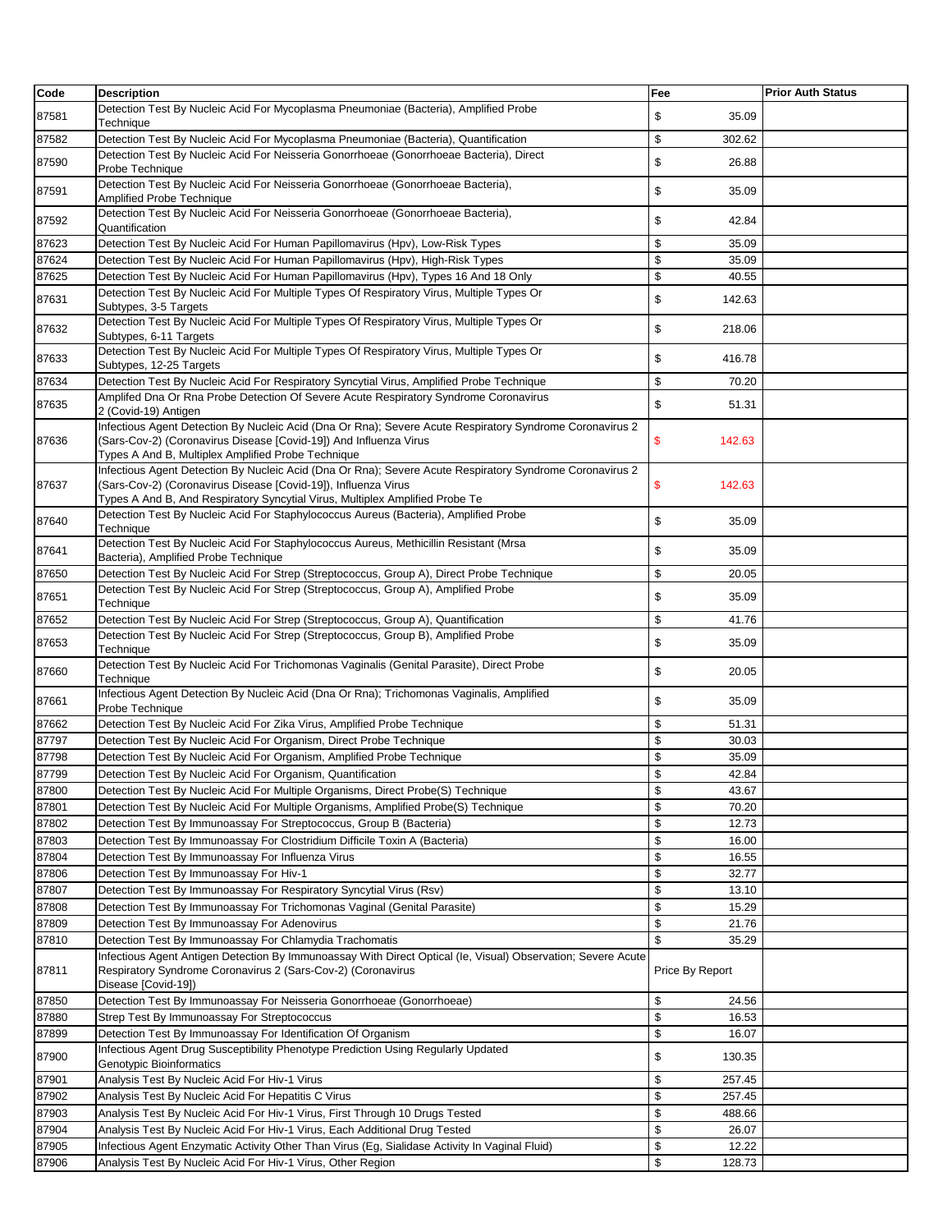| Code  | <b>Description</b>                                                                                                                                                                                                                                         | Fee             | <b>Prior Auth Status</b> |
|-------|------------------------------------------------------------------------------------------------------------------------------------------------------------------------------------------------------------------------------------------------------------|-----------------|--------------------------|
| 87581 | Detection Test By Nucleic Acid For Mycoplasma Pneumoniae (Bacteria), Amplified Probe<br>Technique                                                                                                                                                          | \$<br>35.09     |                          |
| 87582 | Detection Test By Nucleic Acid For Mycoplasma Pneumoniae (Bacteria), Quantification                                                                                                                                                                        | \$<br>302.62    |                          |
|       | Detection Test By Nucleic Acid For Neisseria Gonorrhoeae (Gonorrhoeae Bacteria), Direct                                                                                                                                                                    |                 |                          |
| 87590 | Probe Technique                                                                                                                                                                                                                                            | \$<br>26.88     |                          |
| 87591 | Detection Test By Nucleic Acid For Neisseria Gonorrhoeae (Gonorrhoeae Bacteria),<br>Amplified Probe Technique                                                                                                                                              | \$<br>35.09     |                          |
| 87592 | Detection Test By Nucleic Acid For Neisseria Gonorrhoeae (Gonorrhoeae Bacteria),<br>Quantification                                                                                                                                                         | \$<br>42.84     |                          |
| 87623 | Detection Test By Nucleic Acid For Human Papillomavirus (Hpv), Low-Risk Types                                                                                                                                                                              | \$<br>35.09     |                          |
| 87624 | Detection Test By Nucleic Acid For Human Papillomavirus (Hpv), High-Risk Types                                                                                                                                                                             | \$<br>35.09     |                          |
| 87625 | Detection Test By Nucleic Acid For Human Papillomavirus (Hpv), Types 16 And 18 Only                                                                                                                                                                        | \$<br>40.55     |                          |
| 87631 | Detection Test By Nucleic Acid For Multiple Types Of Respiratory Virus, Multiple Types Or<br>Subtypes, 3-5 Targets                                                                                                                                         | \$<br>142.63    |                          |
| 87632 | Detection Test By Nucleic Acid For Multiple Types Of Respiratory Virus, Multiple Types Or<br>Subtypes, 6-11 Targets                                                                                                                                        | \$<br>218.06    |                          |
| 87633 | Detection Test By Nucleic Acid For Multiple Types Of Respiratory Virus, Multiple Types Or<br>Subtypes, 12-25 Targets                                                                                                                                       | \$<br>416.78    |                          |
| 87634 | Detection Test By Nucleic Acid For Respiratory Syncytial Virus, Amplified Probe Technique                                                                                                                                                                  | \$<br>70.20     |                          |
|       | Amplifed Dna Or Rna Probe Detection Of Severe Acute Respiratory Syndrome Coronavirus                                                                                                                                                                       |                 |                          |
| 87635 | 2 (Covid-19) Antigen                                                                                                                                                                                                                                       | \$<br>51.31     |                          |
| 87636 | Infectious Agent Detection By Nucleic Acid (Dna Or Rna); Severe Acute Respiratory Syndrome Coronavirus 2<br>(Sars-Cov-2) (Coronavirus Disease [Covid-19]) And Influenza Virus<br>Types A And B, Multiplex Amplified Probe Technique                        | 142.63<br>\$    |                          |
| 87637 | Infectious Agent Detection By Nucleic Acid (Dna Or Rna); Severe Acute Respiratory Syndrome Coronavirus 2<br>(Sars-Cov-2) (Coronavirus Disease [Covid-19]), Influenza Virus<br>Types A And B, And Respiratory Syncytial Virus, Multiplex Amplified Probe Te | \$<br>142.63    |                          |
| 87640 | Detection Test By Nucleic Acid For Staphylococcus Aureus (Bacteria), Amplified Probe<br>Technique                                                                                                                                                          | \$<br>35.09     |                          |
| 87641 | Detection Test By Nucleic Acid For Staphylococcus Aureus, Methicillin Resistant (Mrsa<br>Bacteria), Amplified Probe Technique                                                                                                                              | \$<br>35.09     |                          |
| 87650 | Detection Test By Nucleic Acid For Strep (Streptococcus, Group A), Direct Probe Technique                                                                                                                                                                  | \$<br>20.05     |                          |
| 87651 | Detection Test By Nucleic Acid For Strep (Streptococcus, Group A), Amplified Probe<br>Technique                                                                                                                                                            | \$<br>35.09     |                          |
| 87652 | Detection Test By Nucleic Acid For Strep (Streptococcus, Group A), Quantification                                                                                                                                                                          | \$<br>41.76     |                          |
| 87653 | Detection Test By Nucleic Acid For Strep (Streptococcus, Group B), Amplified Probe<br>Technique                                                                                                                                                            | \$<br>35.09     |                          |
| 87660 | Detection Test By Nucleic Acid For Trichomonas Vaginalis (Genital Parasite), Direct Probe<br>Technique                                                                                                                                                     | \$<br>20.05     |                          |
| 87661 | Infectious Agent Detection By Nucleic Acid (Dna Or Rna); Trichomonas Vaginalis, Amplified<br>Probe Technique                                                                                                                                               | \$<br>35.09     |                          |
| 87662 | Detection Test By Nucleic Acid For Zika Virus, Amplified Probe Technique                                                                                                                                                                                   | \$<br>51.31     |                          |
| 87797 | Detection Test By Nucleic Acid For Organism, Direct Probe Technique                                                                                                                                                                                        | \$<br>30.03     |                          |
| 87798 | Detection Test By Nucleic Acid For Organism, Amplified Probe Technique                                                                                                                                                                                     | \$<br>35.09     |                          |
| 87799 | Detection Test By Nucleic Acid For Organism, Quantification                                                                                                                                                                                                | \$<br>42.84     |                          |
| 87800 | Detection Test By Nucleic Acid For Multiple Organisms, Direct Probe(S) Technique                                                                                                                                                                           | \$<br>43.67     |                          |
| 87801 | Detection Test By Nucleic Acid For Multiple Organisms, Amplified Probe(S) Technique                                                                                                                                                                        | \$<br>70.20     |                          |
| 87802 | Detection Test By Immunoassay For Streptococcus, Group B (Bacteria)                                                                                                                                                                                        | \$<br>12.73     |                          |
| 87803 | Detection Test By Immunoassay For Clostridium Difficile Toxin A (Bacteria)                                                                                                                                                                                 | \$<br>16.00     |                          |
| 87804 | Detection Test By Immunoassay For Influenza Virus                                                                                                                                                                                                          | \$<br>16.55     |                          |
| 87806 | Detection Test By Immunoassay For Hiv-1                                                                                                                                                                                                                    | \$<br>32.77     |                          |
| 87807 | Detection Test By Immunoassay For Respiratory Syncytial Virus (Rsv)                                                                                                                                                                                        | \$<br>13.10     |                          |
| 87808 | Detection Test By Immunoassay For Trichomonas Vaginal (Genital Parasite)                                                                                                                                                                                   | \$<br>15.29     |                          |
| 87809 | Detection Test By Immunoassay For Adenovirus                                                                                                                                                                                                               | \$<br>21.76     |                          |
| 87810 | Detection Test By Immunoassay For Chlamydia Trachomatis                                                                                                                                                                                                    | \$<br>35.29     |                          |
| 87811 | Infectious Agent Antigen Detection By Immunoassay With Direct Optical (le, Visual) Observation; Severe Acute<br>Respiratory Syndrome Coronavirus 2 (Sars-Cov-2) (Coronavirus<br>Disease [Covid-19])                                                        | Price By Report |                          |
| 87850 | Detection Test By Immunoassay For Neisseria Gonorrhoeae (Gonorrhoeae)                                                                                                                                                                                      | \$<br>24.56     |                          |
| 87880 | Strep Test By Immunoassay For Streptococcus                                                                                                                                                                                                                | \$<br>16.53     |                          |
| 87899 | Detection Test By Immunoassay For Identification Of Organism                                                                                                                                                                                               | \$<br>16.07     |                          |
| 87900 | Infectious Agent Drug Susceptibility Phenotype Prediction Using Regularly Updated<br>Genotypic Bioinformatics                                                                                                                                              | \$<br>130.35    |                          |
| 87901 | Analysis Test By Nucleic Acid For Hiv-1 Virus                                                                                                                                                                                                              | \$<br>257.45    |                          |
| 87902 | Analysis Test By Nucleic Acid For Hepatitis C Virus                                                                                                                                                                                                        | \$<br>257.45    |                          |
| 87903 | Analysis Test By Nucleic Acid For Hiv-1 Virus, First Through 10 Drugs Tested                                                                                                                                                                               | \$<br>488.66    |                          |
| 87904 | Analysis Test By Nucleic Acid For Hiv-1 Virus, Each Additional Drug Tested                                                                                                                                                                                 | \$<br>26.07     |                          |
| 87905 | Infectious Agent Enzymatic Activity Other Than Virus (Eg, Sialidase Activity In Vaginal Fluid)                                                                                                                                                             | \$<br>12.22     |                          |
| 87906 | Analysis Test By Nucleic Acid For Hiv-1 Virus, Other Region                                                                                                                                                                                                | \$<br>128.73    |                          |
|       |                                                                                                                                                                                                                                                            |                 |                          |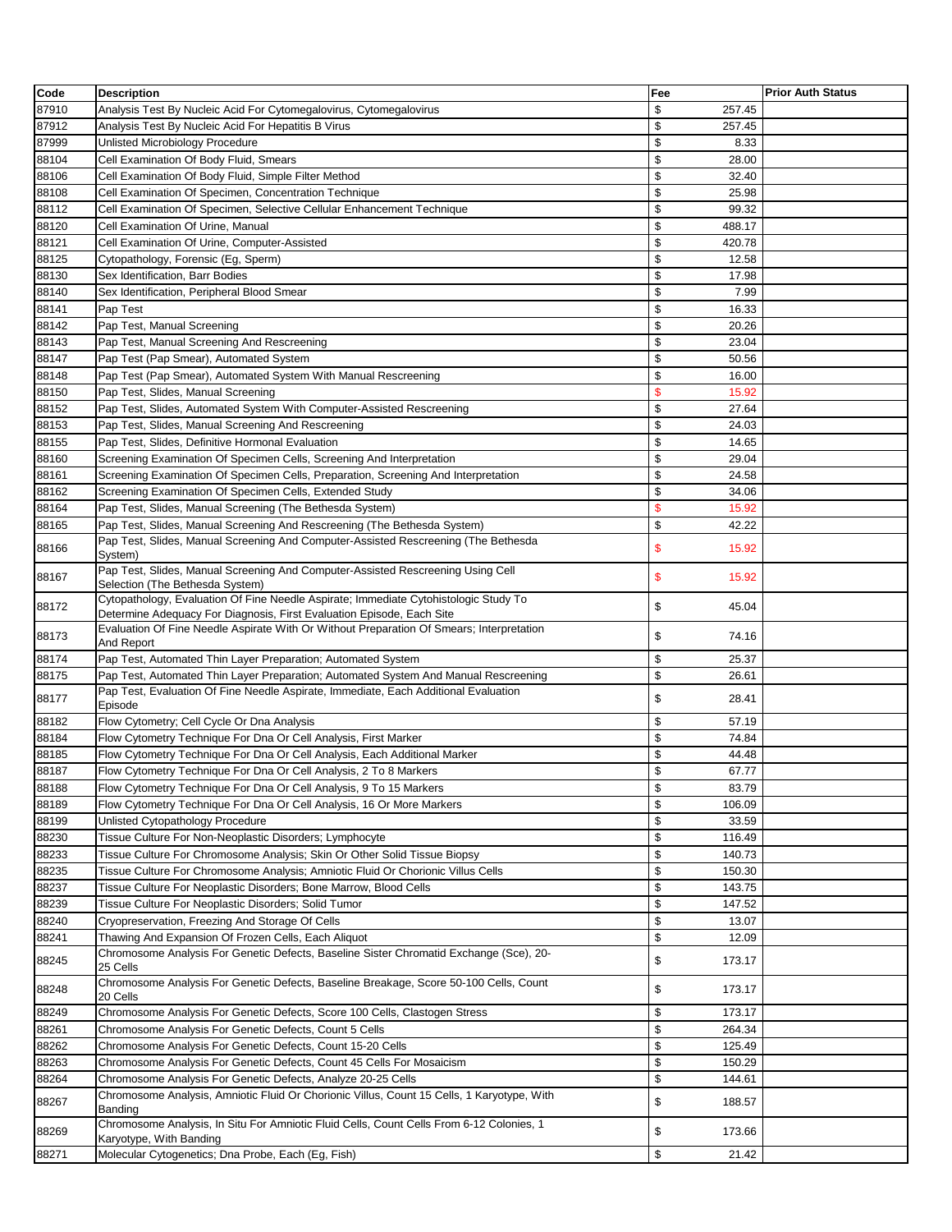| Code           | <b>Description</b>                                                                                                                                  | Fee                  | <b>Prior Auth Status</b> |
|----------------|-----------------------------------------------------------------------------------------------------------------------------------------------------|----------------------|--------------------------|
| 87910          | Analysis Test By Nucleic Acid For Cytomegalovirus, Cytomegalovirus                                                                                  | \$<br>257.45         |                          |
| 87912          | Analysis Test By Nucleic Acid For Hepatitis B Virus                                                                                                 | \$<br>257.45         |                          |
| 87999          | Unlisted Microbiology Procedure                                                                                                                     | \$<br>8.33           |                          |
| 88104          | Cell Examination Of Body Fluid, Smears                                                                                                              | \$<br>28.00          |                          |
| 88106          | Cell Examination Of Body Fluid, Simple Filter Method                                                                                                | \$<br>32.40          |                          |
| 88108          | Cell Examination Of Specimen, Concentration Technique                                                                                               | \$<br>25.98          |                          |
| 88112          | Cell Examination Of Specimen, Selective Cellular Enhancement Technique                                                                              | \$<br>99.32          |                          |
| 88120          | Cell Examination Of Urine, Manual                                                                                                                   | \$<br>488.17         |                          |
| 88121          | Cell Examination Of Urine, Computer-Assisted                                                                                                        | \$<br>420.78         |                          |
| 88125          | Cytopathology, Forensic (Eg, Sperm)                                                                                                                 | \$<br>12.58          |                          |
| 88130          | Sex Identification, Barr Bodies                                                                                                                     | \$<br>17.98          |                          |
| 88140          | Sex Identification, Peripheral Blood Smear                                                                                                          | \$<br>7.99           |                          |
| 88141          | Pap Test                                                                                                                                            | \$<br>16.33          |                          |
| 88142          | Pap Test, Manual Screening                                                                                                                          | \$<br>20.26          |                          |
| 88143          | Pap Test, Manual Screening And Rescreening                                                                                                          | \$<br>23.04          |                          |
| 88147          | Pap Test (Pap Smear), Automated System                                                                                                              | \$<br>50.56          |                          |
| 88148          | Pap Test (Pap Smear), Automated System With Manual Rescreening                                                                                      | \$<br>16.00          |                          |
| 88150          | Pap Test, Slides, Manual Screening                                                                                                                  | \$<br>15.92          |                          |
| 88152          | Pap Test, Slides, Automated System With Computer-Assisted Rescreening                                                                               | \$<br>27.64          |                          |
| 88153          | Pap Test, Slides, Manual Screening And Rescreening                                                                                                  | \$<br>24.03          |                          |
| 88155          | Pap Test, Slides, Definitive Hormonal Evaluation                                                                                                    | \$<br>14.65          |                          |
| 88160          | Screening Examination Of Specimen Cells, Screening And Interpretation                                                                               | \$<br>29.04          |                          |
| 88161          | Screening Examination Of Specimen Cells, Preparation, Screening And Interpretation                                                                  | \$<br>24.58          |                          |
| 88162          | Screening Examination Of Specimen Cells, Extended Study                                                                                             | \$<br>34.06          |                          |
| 88164          | Pap Test, Slides, Manual Screening (The Bethesda System)                                                                                            | \$<br>15.92          |                          |
| 88165          | Pap Test, Slides, Manual Screening And Rescreening (The Bethesda System)                                                                            | \$<br>42.22          |                          |
| 88166          | Pap Test, Slides, Manual Screening And Computer-Assisted Rescreening (The Bethesda<br>System)                                                       | \$<br>15.92          |                          |
|                | Pap Test, Slides, Manual Screening And Computer-Assisted Rescreening Using Cell                                                                     |                      |                          |
| 88167          | Selection (The Bethesda System)                                                                                                                     | \$<br>15.92          |                          |
| 88172          | Cytopathology, Evaluation Of Fine Needle Aspirate; Immediate Cytohistologic Study To                                                                | \$<br>45.04          |                          |
|                | Determine Adequacy For Diagnosis, First Evaluation Episode, Each Site                                                                               |                      |                          |
| 88173          | Evaluation Of Fine Needle Aspirate With Or Without Preparation Of Smears; Interpretation                                                            | \$<br>74.16          |                          |
|                | And Report                                                                                                                                          | \$                   |                          |
| 88174<br>88175 | Pap Test, Automated Thin Layer Preparation; Automated System<br>Pap Test, Automated Thin Layer Preparation; Automated System And Manual Rescreening | 25.37<br>\$<br>26.61 |                          |
|                | Pap Test, Evaluation Of Fine Needle Aspirate, Immediate, Each Additional Evaluation                                                                 |                      |                          |
| 88177          | Episode                                                                                                                                             | \$<br>28.41          |                          |
| 88182          | Flow Cytometry; Cell Cycle Or Dna Analysis                                                                                                          | \$<br>57.19          |                          |
| 88184          | Flow Cytometry Technique For Dna Or Cell Analysis, First Marker                                                                                     | \$<br>74.84          |                          |
| 88185          | Flow Cytometry Technique For Dna Or Cell Analysis, Each Additional Marker                                                                           | \$<br>44.48          |                          |
| 88187          | Flow Cytometry Technique For Dna Or Cell Analysis, 2 To 8 Markers                                                                                   | \$<br>67.77          |                          |
| 88188          | Flow Cytometry Technique For Dna Or Cell Analysis, 9 To 15 Markers                                                                                  | \$<br>83.79          |                          |
| 88189          | Flow Cytometry Technique For Dna Or Cell Analysis, 16 Or More Markers                                                                               | \$<br>106.09         |                          |
| 88199          | Unlisted Cytopathology Procedure                                                                                                                    | \$<br>33.59          |                          |
| 88230          | Tissue Culture For Non-Neoplastic Disorders; Lymphocyte                                                                                             | \$<br>116.49         |                          |
| 88233          | Tissue Culture For Chromosome Analysis; Skin Or Other Solid Tissue Biopsy                                                                           | \$<br>140.73         |                          |
| 88235          | Tissue Culture For Chromosome Analysis; Amniotic Fluid Or Chorionic Villus Cells                                                                    | \$<br>150.30         |                          |
| 88237          | Tissue Culture For Neoplastic Disorders; Bone Marrow, Blood Cells                                                                                   | \$<br>143.75         |                          |
| 88239          | Tissue Culture For Neoplastic Disorders; Solid Tumor                                                                                                | \$<br>147.52         |                          |
| 88240          | Cryopreservation, Freezing And Storage Of Cells                                                                                                     | \$<br>13.07          |                          |
| 88241          | Thawing And Expansion Of Frozen Cells, Each Aliquot                                                                                                 | \$<br>12.09          |                          |
| 88245          | Chromosome Analysis For Genetic Defects, Baseline Sister Chromatid Exchange (Sce), 20-<br>25 Cells                                                  | \$<br>173.17         |                          |
| 88248          | Chromosome Analysis For Genetic Defects, Baseline Breakage, Score 50-100 Cells, Count<br>20 Cells                                                   | \$<br>173.17         |                          |
| 88249          | Chromosome Analysis For Genetic Defects, Score 100 Cells, Clastogen Stress                                                                          | \$<br>173.17         |                          |
| 88261          | Chromosome Analysis For Genetic Defects, Count 5 Cells                                                                                              | \$<br>264.34         |                          |
| 88262          | Chromosome Analysis For Genetic Defects, Count 15-20 Cells                                                                                          | \$<br>125.49         |                          |
| 88263          | Chromosome Analysis For Genetic Defects, Count 45 Cells For Mosaicism                                                                               | \$<br>150.29         |                          |
| 88264          | Chromosome Analysis For Genetic Defects, Analyze 20-25 Cells                                                                                        | \$<br>144.61         |                          |
|                | Chromosome Analysis, Amniotic Fluid Or Chorionic Villus, Count 15 Cells, 1 Karyotype, With                                                          |                      |                          |
| 88267          | Banding<br>Chromosome Analysis, In Situ For Amniotic Fluid Cells, Count Cells From 6-12 Colonies, 1                                                 | \$<br>188.57         |                          |
| 88269          | Karyotype, With Banding                                                                                                                             | \$<br>173.66         |                          |
| 88271          | Molecular Cytogenetics; Dna Probe, Each (Eg, Fish)                                                                                                  | \$<br>21.42          |                          |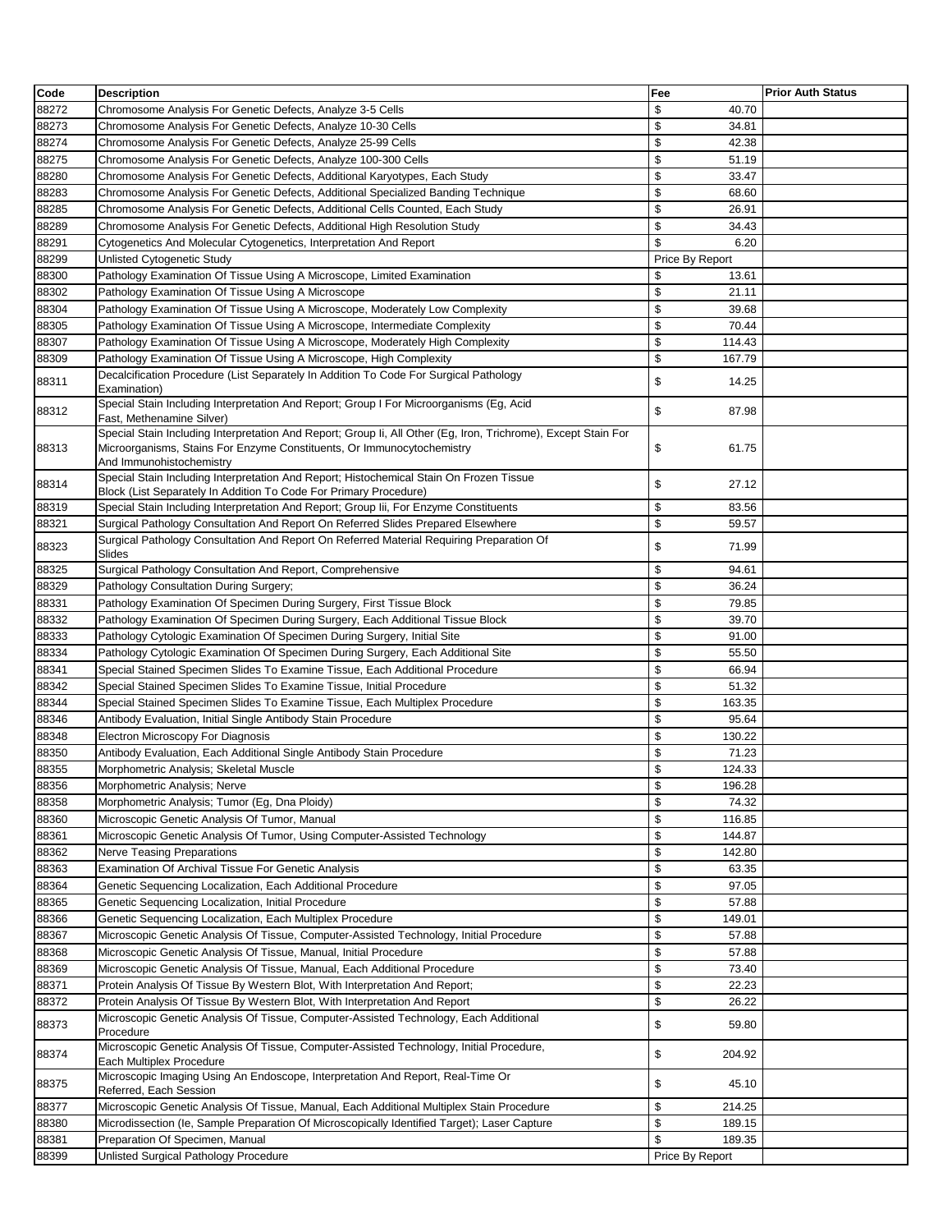| Code           | <b>Description</b>                                                                                                                                                                                                   | Fee                         | <b>Prior Auth Status</b> |
|----------------|----------------------------------------------------------------------------------------------------------------------------------------------------------------------------------------------------------------------|-----------------------------|--------------------------|
| 88272          | Chromosome Analysis For Genetic Defects, Analyze 3-5 Cells                                                                                                                                                           | \$<br>40.70                 |                          |
| 88273          | Chromosome Analysis For Genetic Defects, Analyze 10-30 Cells                                                                                                                                                         | \$<br>34.81                 |                          |
| 88274          | Chromosome Analysis For Genetic Defects, Analyze 25-99 Cells                                                                                                                                                         | \$<br>42.38                 |                          |
| 88275          | Chromosome Analysis For Genetic Defects, Analyze 100-300 Cells                                                                                                                                                       | \$<br>51.19                 |                          |
| 88280          | Chromosome Analysis For Genetic Defects, Additional Karyotypes, Each Study                                                                                                                                           | \$<br>33.47                 |                          |
| 88283          | Chromosome Analysis For Genetic Defects, Additional Specialized Banding Technique                                                                                                                                    | \$<br>68.60                 |                          |
| 88285          | Chromosome Analysis For Genetic Defects, Additional Cells Counted, Each Study                                                                                                                                        | \$<br>26.91                 |                          |
| 88289          | Chromosome Analysis For Genetic Defects, Additional High Resolution Study                                                                                                                                            | \$<br>34.43                 |                          |
| 88291          | Cytogenetics And Molecular Cytogenetics, Interpretation And Report                                                                                                                                                   | \$<br>6.20                  |                          |
| 88299          | Unlisted Cytogenetic Study                                                                                                                                                                                           | Price By Report             |                          |
| 88300          | Pathology Examination Of Tissue Using A Microscope, Limited Examination                                                                                                                                              | \$<br>13.61                 |                          |
| 88302          | Pathology Examination Of Tissue Using A Microscope                                                                                                                                                                   | \$<br>21.11                 |                          |
| 88304          | Pathology Examination Of Tissue Using A Microscope, Moderately Low Complexity                                                                                                                                        | \$<br>39.68                 |                          |
| 88305          | Pathology Examination Of Tissue Using A Microscope, Intermediate Complexity                                                                                                                                          | \$<br>70.44                 |                          |
| 88307          | Pathology Examination Of Tissue Using A Microscope, Moderately High Complexity                                                                                                                                       | \$<br>114.43                |                          |
| 88309          | Pathology Examination Of Tissue Using A Microscope, High Complexity                                                                                                                                                  | \$<br>167.79                |                          |
|                | Decalcification Procedure (List Separately In Addition To Code For Surgical Pathology                                                                                                                                |                             |                          |
| 88311          | Examination)                                                                                                                                                                                                         | \$<br>14.25                 |                          |
| 88312          | Special Stain Including Interpretation And Report; Group I For Microorganisms (Eg, Acid<br>Fast, Methenamine Silver)                                                                                                 | \$<br>87.98                 |                          |
| 88313          | Special Stain Including Interpretation And Report; Group Ii, All Other (Eg, Iron, Trichrome), Except Stain For<br>Microorganisms, Stains For Enzyme Constituents, Or Immunocytochemistry<br>And Immunohistochemistry | \$<br>61.75                 |                          |
| 88314          | Special Stain Including Interpretation And Report; Histochemical Stain On Frozen Tissue<br>Block (List Separately In Addition To Code For Primary Procedure)                                                         | \$<br>27.12                 |                          |
| 88319          | Special Stain Including Interpretation And Report; Group Iii, For Enzyme Constituents                                                                                                                                | \$<br>83.56                 |                          |
| 88321          | Surgical Pathology Consultation And Report On Referred Slides Prepared Elsewhere                                                                                                                                     | \$<br>59.57                 |                          |
| 88323          | Surgical Pathology Consultation And Report On Referred Material Requiring Preparation Of<br>Slides                                                                                                                   | \$<br>71.99                 |                          |
| 88325          | Surgical Pathology Consultation And Report, Comprehensive                                                                                                                                                            | \$<br>94.61                 |                          |
| 88329          | Pathology Consultation During Surgery;                                                                                                                                                                               | \$<br>36.24                 |                          |
| 88331          | Pathology Examination Of Specimen During Surgery, First Tissue Block                                                                                                                                                 | \$<br>79.85                 |                          |
| 88332          | Pathology Examination Of Specimen During Surgery, Each Additional Tissue Block                                                                                                                                       | \$<br>39.70                 |                          |
| 88333          | Pathology Cytologic Examination Of Specimen During Surgery, Initial Site                                                                                                                                             | \$<br>91.00                 |                          |
| 88334          | Pathology Cytologic Examination Of Specimen During Surgery, Each Additional Site                                                                                                                                     | \$<br>55.50                 |                          |
| 88341          | Special Stained Specimen Slides To Examine Tissue, Each Additional Procedure                                                                                                                                         | \$<br>66.94                 |                          |
| 88342          | Special Stained Specimen Slides To Examine Tissue, Initial Procedure                                                                                                                                                 | \$<br>51.32                 |                          |
| 88344          | Special Stained Specimen Slides To Examine Tissue, Each Multiplex Procedure                                                                                                                                          | \$<br>163.35                |                          |
| 88346          | Antibody Evaluation, Initial Single Antibody Stain Procedure                                                                                                                                                         | \$<br>95.64                 |                          |
| 88348          | Electron Microscopy For Diagnosis                                                                                                                                                                                    | \$<br>130.22                |                          |
| 88350          | Antibody Evaluation, Each Additional Single Antibody Stain Procedure                                                                                                                                                 | \$<br>71.23                 |                          |
| 88355          | Morphometric Analysis; Skeletal Muscle                                                                                                                                                                               | \$<br>124.33                |                          |
| 88356          | Morphometric Analysis; Nerve                                                                                                                                                                                         | \$<br>196.28                |                          |
| 88358          | Morphometric Analysis; Tumor (Eg, Dna Ploidy)                                                                                                                                                                        | \$<br>74.32                 |                          |
| 88360          | Microscopic Genetic Analysis Of Tumor, Manual                                                                                                                                                                        | \$<br>116.85                |                          |
| 88361          | Microscopic Genetic Analysis Of Tumor, Using Computer-Assisted Technology                                                                                                                                            | \$<br>144.87                |                          |
| 88362          | <b>Nerve Teasing Preparations</b>                                                                                                                                                                                    | \$<br>142.80                |                          |
| 88363          | Examination Of Archival Tissue For Genetic Analysis                                                                                                                                                                  | \$<br>63.35                 |                          |
| 88364          | Genetic Sequencing Localization, Each Additional Procedure                                                                                                                                                           | \$<br>97.05                 |                          |
|                |                                                                                                                                                                                                                      | \$                          |                          |
| 88365<br>88366 | Genetic Sequencing Localization, Initial Procedure<br>Genetic Sequencing Localization, Each Multiplex Procedure                                                                                                      | 57.88<br>\$<br>149.01       |                          |
| 88367          |                                                                                                                                                                                                                      | \$                          |                          |
|                | Microscopic Genetic Analysis Of Tissue, Computer-Assisted Technology, Initial Procedure<br>Microscopic Genetic Analysis Of Tissue, Manual, Initial Procedure                                                         | 57.88<br>\$<br>57.88        |                          |
| 88368          |                                                                                                                                                                                                                      | \$                          |                          |
| 88369<br>88371 | Microscopic Genetic Analysis Of Tissue, Manual, Each Additional Procedure<br>Protein Analysis Of Tissue By Western Blot, With Interpretation And Report;                                                             | 73.40<br>\$<br>22.23        |                          |
|                | Protein Analysis Of Tissue By Western Blot, With Interpretation And Report                                                                                                                                           | \$                          |                          |
| 88372<br>88373 | Microscopic Genetic Analysis Of Tissue, Computer-Assisted Technology, Each Additional                                                                                                                                | 26.22<br>\$<br>59.80        |                          |
| 88374          | Procedure<br>Microscopic Genetic Analysis Of Tissue, Computer-Assisted Technology, Initial Procedure,                                                                                                                | \$<br>204.92                |                          |
|                | Each Multiplex Procedure<br>Microscopic Imaging Using An Endoscope, Interpretation And Report, Real-Time Or                                                                                                          |                             |                          |
| 88375          | Referred, Each Session                                                                                                                                                                                               | \$<br>45.10<br>\$<br>214.25 |                          |
| 88377<br>88380 | Microscopic Genetic Analysis Of Tissue, Manual, Each Additional Multiplex Stain Procedure<br>Microdissection (le, Sample Preparation Of Microscopically Identified Target); Laser Capture                            | \$<br>189.15                |                          |
|                |                                                                                                                                                                                                                      | \$                          |                          |
| 88381          | Preparation Of Specimen, Manual                                                                                                                                                                                      | 189.35                      |                          |
| 88399          | Unlisted Surgical Pathology Procedure                                                                                                                                                                                | Price By Report             |                          |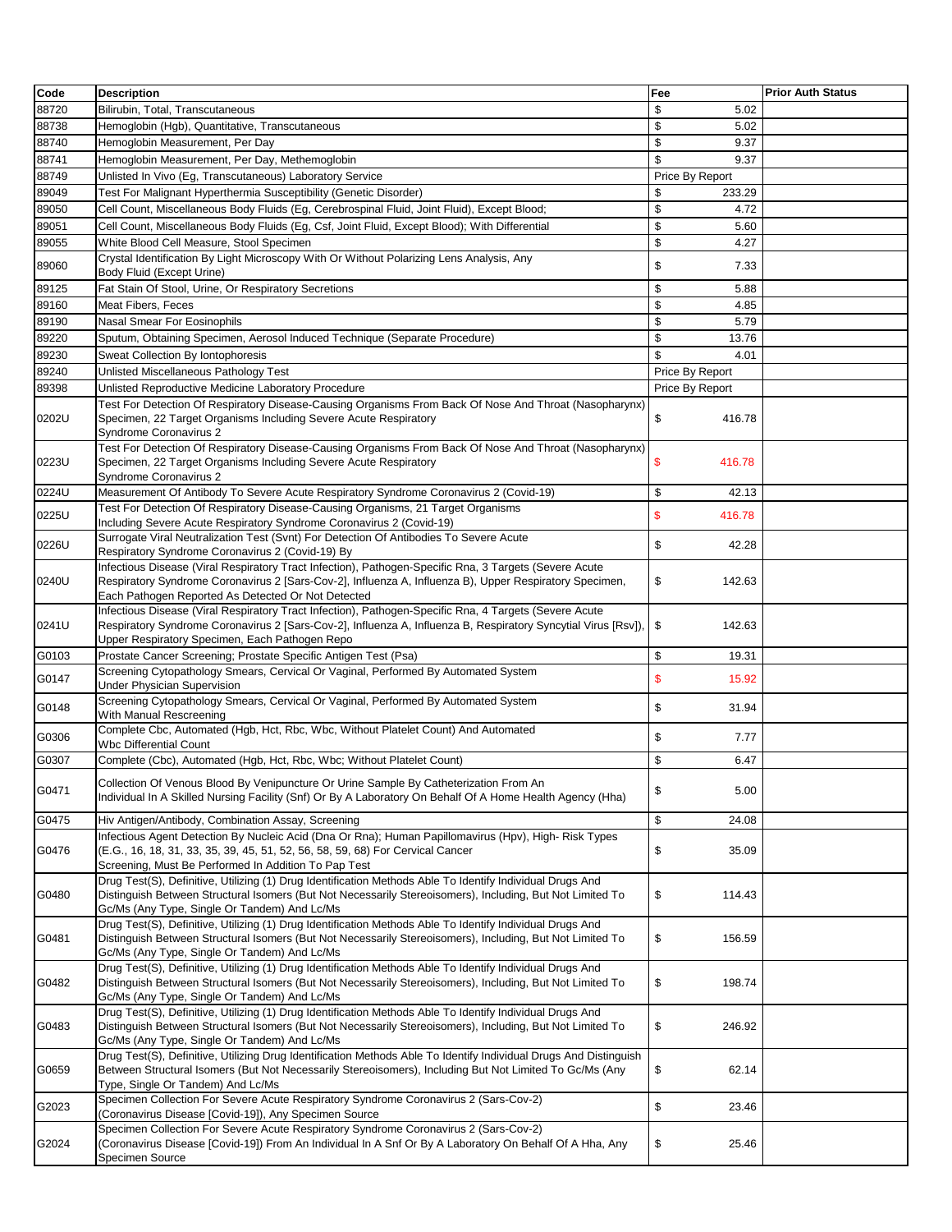| Code  | <b>Description</b>                                                                                                                                                                                                                                                         | Fee             | <b>Prior Auth Status</b> |
|-------|----------------------------------------------------------------------------------------------------------------------------------------------------------------------------------------------------------------------------------------------------------------------------|-----------------|--------------------------|
| 88720 | Bilirubin, Total, Transcutaneous                                                                                                                                                                                                                                           | \$<br>5.02      |                          |
| 88738 | Hemoglobin (Hgb), Quantitative, Transcutaneous                                                                                                                                                                                                                             | \$<br>5.02      |                          |
| 88740 | Hemoglobin Measurement, Per Day                                                                                                                                                                                                                                            | \$<br>9.37      |                          |
|       |                                                                                                                                                                                                                                                                            | \$<br>9.37      |                          |
| 88741 | Hemoglobin Measurement, Per Day, Methemoglobin                                                                                                                                                                                                                             |                 |                          |
| 88749 | Unlisted In Vivo (Eg, Transcutaneous) Laboratory Service                                                                                                                                                                                                                   | Price By Report |                          |
| 89049 | Test For Malignant Hyperthermia Susceptibility (Genetic Disorder)                                                                                                                                                                                                          | \$<br>233.29    |                          |
| 89050 | Cell Count, Miscellaneous Body Fluids (Eg, Cerebrospinal Fluid, Joint Fluid), Except Blood;                                                                                                                                                                                | \$<br>4.72      |                          |
| 89051 | Cell Count, Miscellaneous Body Fluids (Eg, Csf, Joint Fluid, Except Blood); With Differential                                                                                                                                                                              | \$<br>5.60      |                          |
| 89055 | White Blood Cell Measure, Stool Specimen                                                                                                                                                                                                                                   | \$<br>4.27      |                          |
| 89060 | Crystal Identification By Light Microscopy With Or Without Polarizing Lens Analysis, Any<br>Body Fluid (Except Urine)                                                                                                                                                      | \$<br>7.33      |                          |
| 89125 | Fat Stain Of Stool, Urine, Or Respiratory Secretions                                                                                                                                                                                                                       | \$<br>5.88      |                          |
| 89160 | Meat Fibers, Feces                                                                                                                                                                                                                                                         | \$<br>4.85      |                          |
| 89190 | Nasal Smear For Eosinophils                                                                                                                                                                                                                                                | \$<br>5.79      |                          |
| 89220 | Sputum, Obtaining Specimen, Aerosol Induced Technique (Separate Procedure)                                                                                                                                                                                                 | \$<br>13.76     |                          |
| 89230 | Sweat Collection By Iontophoresis                                                                                                                                                                                                                                          | \$<br>4.01      |                          |
| 89240 | Unlisted Miscellaneous Pathology Test                                                                                                                                                                                                                                      | Price By Report |                          |
|       |                                                                                                                                                                                                                                                                            |                 |                          |
| 89398 | Unlisted Reproductive Medicine Laboratory Procedure                                                                                                                                                                                                                        | Price By Report |                          |
| 0202U | Test For Detection Of Respiratory Disease-Causing Organisms From Back Of Nose And Throat (Nasopharynx)<br>Specimen, 22 Target Organisms Including Severe Acute Respiratory<br>Syndrome Coronavirus 2                                                                       | \$<br>416.78    |                          |
| 0223U | Test For Detection Of Respiratory Disease-Causing Organisms From Back Of Nose And Throat (Nasopharynx)<br>Specimen, 22 Target Organisms Including Severe Acute Respiratory<br>Syndrome Coronavirus 2                                                                       | \$<br>416.78    |                          |
| 0224U | Measurement Of Antibody To Severe Acute Respiratory Syndrome Coronavirus 2 (Covid-19)                                                                                                                                                                                      | \$<br>42.13     |                          |
| 0225U | Test For Detection Of Respiratory Disease-Causing Organisms, 21 Target Organisms<br>Including Severe Acute Respiratory Syndrome Coronavirus 2 (Covid-19)                                                                                                                   | \$<br>416.78    |                          |
| 0226U | Surrogate Viral Neutralization Test (Svnt) For Detection Of Antibodies To Severe Acute<br>Respiratory Syndrome Coronavirus 2 (Covid-19) By                                                                                                                                 | \$<br>42.28     |                          |
| 0240U | Infectious Disease (Viral Respiratory Tract Infection), Pathogen-Specific Rna, 3 Targets (Severe Acute<br>Respiratory Syndrome Coronavirus 2 [Sars-Cov-2], Influenza A, Influenza B), Upper Respiratory Specimen,<br>Each Pathogen Reported As Detected Or Not Detected    | \$<br>142.63    |                          |
| 0241U | Infectious Disease (Viral Respiratory Tract Infection), Pathogen-Specific Rna, 4 Targets (Severe Acute<br>Respiratory Syndrome Coronavirus 2 [Sars-Cov-2], Influenza A, Influenza B, Respiratory Syncytial Virus [Rsv]).<br>Upper Respiratory Specimen, Each Pathogen Repo | \$<br>142.63    |                          |
| G0103 | Prostate Cancer Screening; Prostate Specific Antigen Test (Psa)                                                                                                                                                                                                            | \$<br>19.31     |                          |
|       | Screening Cytopathology Smears, Cervical Or Vaginal, Performed By Automated System                                                                                                                                                                                         |                 |                          |
| G0147 | <b>Under Physician Supervision</b>                                                                                                                                                                                                                                         | \$<br>15.92     |                          |
| G0148 | Screening Cytopathology Smears, Cervical Or Vaginal, Performed By Automated System<br>With Manual Rescreening                                                                                                                                                              | \$<br>31.94     |                          |
| G0306 | Complete Cbc, Automated (Hgb, Hct, Rbc, Wbc, Without Platelet Count) And Automated<br><b>Wbc Differential Count</b>                                                                                                                                                        | \$<br>7.77      |                          |
| G0307 | Complete (Cbc), Automated (Hgb, Hct, Rbc, Wbc; Without Platelet Count)                                                                                                                                                                                                     | \$<br>6.47      |                          |
| G0471 | Collection Of Venous Blood By Venipuncture Or Urine Sample By Catheterization From An<br>Individual In A Skilled Nursing Facility (Snf) Or By A Laboratory On Behalf Of A Home Health Agency (Hha)                                                                         | \$<br>5.00      |                          |
| G0475 | Hiv Antigen/Antibody, Combination Assay, Screening                                                                                                                                                                                                                         | \$<br>24.08     |                          |
| G0476 | Infectious Agent Detection By Nucleic Acid (Dna Or Rna); Human Papillomavirus (Hpv), High- Risk Types<br>(E.G., 16, 18, 31, 33, 35, 39, 45, 51, 52, 56, 58, 59, 68) For Cervical Cancer<br>Screening, Must Be Performed In Addition To Pap Test                            | \$<br>35.09     |                          |
| G0480 | Drug Test(S), Definitive, Utilizing (1) Drug Identification Methods Able To Identify Individual Drugs And<br>Distinguish Between Structural Isomers (But Not Necessarily Stereoisomers), Including, But Not Limited To                                                     | \$<br>114.43    |                          |
| G0481 | Gc/Ms (Any Type, Single Or Tandem) And Lc/Ms<br>Drug Test(S), Definitive, Utilizing (1) Drug Identification Methods Able To Identify Individual Drugs And<br>Distinguish Between Structural Isomers (But Not Necessarily Stereoisomers), Including, But Not Limited To     | \$<br>156.59    |                          |
| G0482 | Gc/Ms (Any Type, Single Or Tandem) And Lc/Ms<br>Drug Test(S), Definitive, Utilizing (1) Drug Identification Methods Able To Identify Individual Drugs And<br>Distinguish Between Structural Isomers (But Not Necessarily Stereoisomers), Including, But Not Limited To     | \$<br>198.74    |                          |
|       | Gc/Ms (Any Type, Single Or Tandem) And Lc/Ms<br>Drug Test(S), Definitive, Utilizing (1) Drug Identification Methods Able To Identify Individual Drugs And                                                                                                                  |                 |                          |
| G0483 | Distinguish Between Structural Isomers (But Not Necessarily Stereoisomers), Including, But Not Limited To<br>Gc/Ms (Any Type, Single Or Tandem) And Lc/Ms                                                                                                                  | \$<br>246.92    |                          |
| G0659 | Drug Test(S), Definitive, Utilizing Drug Identification Methods Able To Identify Individual Drugs And Distinguish<br>Between Structural Isomers (But Not Necessarily Stereoisomers), Including But Not Limited To Gc/Ms (Any<br>Type, Single Or Tandem) And Lc/Ms          | \$<br>62.14     |                          |
| G2023 | Specimen Collection For Severe Acute Respiratory Syndrome Coronavirus 2 (Sars-Cov-2)<br>(Coronavirus Disease [Covid-19]), Any Specimen Source                                                                                                                              | \$<br>23.46     |                          |
| G2024 | Specimen Collection For Severe Acute Respiratory Syndrome Coronavirus 2 (Sars-Cov-2)<br>(Coronavirus Disease [Covid-19]) From An Individual In A Snf Or By A Laboratory On Behalf Of A Hha, Any<br>Specimen Source                                                         | \$<br>25.46     |                          |